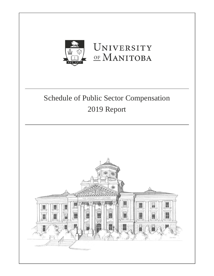

# Schedule of Public Sector Compensation 2019 Report

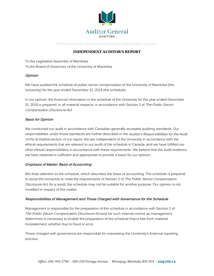

#### **INDEPENDENT AUDITOR'S REPORT**

To the Legislative Assembly of Manitoba To the Board of Governors of the University of Manitoba

#### **Opinion**

We have audited the schedule of public sector compensation of the University of Manitoba (the University) for the year ended December 31, 2019 (the schedule).

In our opinion, the financial information in the schedule of the University for the year ended December 31, 2019 is prepared, in all material respects, in accordance with Section 2 of The Public Sector Compensation Disclosure Act.

#### Basis for Opinion

We conducted our audit in accordance with Canadian generally accepted auditing standards. Our responsibilities under those standards are further described in the Auditor's Responsibilities for the Audit of the Schedule section of our report. We are independent of the University in accordance with the ethical requirements that are relevant to our audit of the schedule in Canada, and we have fulfilled our other ethical responsibilities in accordance with these requirements. We believe that the audit evidence we have obtained is sufficient and appropriate to provide a basis for our opinion.

#### Emphasis of Matter: Basis of Accounting

We draw attention to the schedule, which describes the basis of accounting. The schedule is prepared to assist the University to meet the requirements of Section 2 of The Public Sector Compensation Disclosure Act. As a result, the schedule may not be suitable for another purpose. Our opinion is not modified in respect of this matter.

#### Responsibilities of Management and Those Charged with Governance for the Schedule

Management is responsible for the preparation of this schedule in accordance with Section 2 of The Public Sector Compensation Disclosure Act and for such internal control as management determines is necessary to enable the preparation of the schedule that is free from material misstatement, whether due to fraud or error.

Those charged with governance are responsible for overseeing the University's financial reporting process.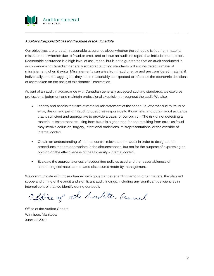

#### Auditor's Responsibilities for the Audit of the Schedule

Our objectives are to obtain reasonable assurance about whether the schedule is free from material misstatement, whether due to fraud or error, and to issue an auditor's report that includes our opinion. Reasonable assurance is a high level of assurance, but is not a guarantee that an audit conducted in accordance with Canadian generally accepted auditing standards will always detect a material misstatement when it exists. Misstatements can arise from fraud or error and are considered material if, individually or in the aggregate, they could reasonably be expected to influence the economic decisions of users taken on the basis of this financial information.

As part of an audit in accordance with Canadian generally accepted auditing standards, we exercise professional judgment and maintain professional skepticism throughout the audit. We also:

- Identify and assess the risks of material misstatement of the schedule, whether due to fraud or error, design and perform audit procedures responsive to those risks, and obtain audit evidence that is sufficient and appropriate to provide a basis for our opinion. The risk of not detecting a material misstatement resulting from fraud is higher than for one resulting from error, as fraud may involve collusion, forgery, intentional omissions, misrepresentations, or the override of internal control.
- Obtain an understanding of internal control relevant to the audit in order to design audit procedures that are appropriate in the circumstances, but not for the purpose of expressing an opinion on the effectiveness of the University's internal control.
- Evaluate the appropriateness of accounting policies used and the reasonableness of accounting estimates and related disclosures made by management.

We communicate with those charged with governance regarding, among other matters, the planned scope and timing of the audit and significant audit findings, including any significant deficiencies in internal control that we identify during our audit.

Office of the Auditor benned

Office of the Auditor General Winnipeg, Manitoba June 23, 2020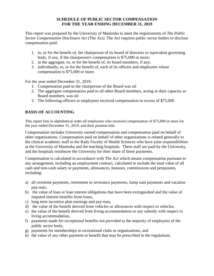#### **SCHEDULE OF PUBLIC SECTOR COMPENSATION FOR THE YEAR ENDING DECEMBER 31, 2019**

This report was prepared by the University of Manitoba to meet the requirements of *The Public Sector Compensation Disclosure Act (*The Act*).* The Act requires public sector bodies to disclose compensation paid:

- 1. to, or for the benefit of, the chairperson of its board of directors or equivalent governing body, if any, if the chairperson's compensation is \$75,000 or more;
- 2. in the aggregate, to, or for the benefit of, its board members, if any;
- 3. individually, to, or for the benefit of, each of its officers and employees whose compensation is \$75,000 or more.

For the year ended December 31, 2019:

- 1. Compensation paid to the chairperson of the Board was nil
- 2. The aggregate compensation paid to all other Board members, acting in their capacity as Board members, was nil
- 3. The following officers or employees received compensation in excess of \$75,000

# **BASIS OF ACCOUNTING**

This report lists in alphabetical order all employees who received compensation of \$75,000 or more for the year ended December 31, 2019, and their position title.

Compensation includes University earned compensation and compensation paid on behalf of other organizations. Compensation paid on behalf of other organizations is related generally to the clinical academic staff in the Rady Faculty of Health Sciences who have joint responsibilities at the University of Manitoba and the teaching hospitals. These staff are paid by the University, and the hospitals reimburse the University for their share of these payments.

Compensation is calculated in accordance with The Act which means compensation pursuant to any arrangement, including an employment contract, calculated to include the total value of all cash and non-cash salary or payments, allowances, bonuses, commissions and perquisites, including:

- a) all overtime payments, retirement or severance payments, lump sum payments and vacation pay-outs,
- b) the value of loan or loan interest obligations that have been extinguished and the value of imputed interest benefits from loans,
- c) long term incentive plan earnings and pay-outs,
- d) the value of the benefit derived from vehicles or allowances with respect to vehicles,
- e) the value of the benefit derived from living accommodation or any subsidy with respect to living accommodation,
- f) payments made for exceptional benefits not provided to the majority of employees of the public sector body,
- g) payments for memberships in recreational clubs or organizations, and
- h) the value of any other payment or benefit that may be prescribed in the regulations.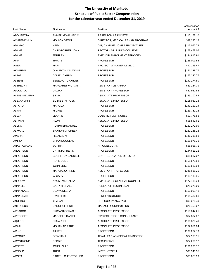| Last Name          | <b>First Name</b>        | Position                           | Compensation<br>Amount \$ |
|--------------------|--------------------------|------------------------------------|---------------------------|
| ABOUSETTA          | AHMED MOHAMED M          | <b>RESEARCH ASSOCIATE</b>          | \$115,163.10              |
| <b>ACHTEMICHUK</b> | <b>MONICA DAWN</b>       | DIRECTOR, MEDICAL REHAB PROGRAM    | \$92,295.18               |
| <b>ADAMKO</b>      | <b>HEIDI</b>             | DIR, CHANGE MGMT / PROJECT SERV    | \$115,067.74              |
| <b>ADAMS</b>       | <b>CHRISTOPHER JOHN</b>  | RECTOR - ST. PAUL'S COLLEGE        | \$163,473.06              |
| <b>ADAMS</b>       | <b>JEFFREY</b>           | <b>EXEC DIR ENROLMENT SERVICES</b> | \$134,812.91              |
| AFIFI              | <b>TRACIE</b>            | <b>PROFESSOR</b>                   | \$126,001.56              |
| <b>AGER</b>        | <b>MARK</b>              | PROJECT MANAGER LEVEL 2            | \$97,146.47               |
| <b>AKINREMI</b>    | OLALEKAN OLUWOLE         | <b>PROFESSOR</b>                   | \$151,338.77              |
| ALBAS              | DANIEL CYRUS             | <b>PROFESSOR</b>                   | \$165,232.77              |
| <b>ALBENSI</b>     | <b>BENEDICT CHARLES</b>  | <b>PROFESSOR</b>                   | \$142,174.80              |
| ALBRECHT           | <b>MARGARET VICTORIA</b> | ASSISTANT LIBRARIAN                | \$81,264.39               |
| <b>ALCOLADO</b>    | <b>GILLIAN</b>           | ASSISTANT PROFESSOR                | \$82,952.88               |
| ALESSI-SEVERINI    | <b>SILVIA</b>            | <b>ASSOCIATE PROFESSOR</b>         | \$129,102.52              |
| ALEXANDRIN         | <b>ELIZABETH ROSS</b>    | ASSOCIATE PROFESSOR                | \$115,930.28              |
| <b>ALFARO</b>      | <b>MAROLO</b>            | <b>PROFESSOR</b>                   | \$149,119.14              |
| <b>ALIANI</b>      | <b>MICHEL</b>            | <b>PROFESSOR</b>                   | \$123,752.23              |
| <b>ALLEN</b>       | <b>LEANNE</b>            | DIABETIC FOOT NURSE                | \$90,776.88               |
| <b>ALTMAN</b>      | <b>ALON</b>              | ASSOCIATE PROFESSOR                | \$95,542.61               |
| <b>ALUKO</b>       | ROTIMI EMMANUEL          | <b>PROFESSOR</b>                   | \$150,172.99              |
| ALWARD             | <b>SHARON MAUREEN</b>    | <b>PROFESSOR</b>                   | \$230,168.23              |
| AMARA              | <b>FRANCIS M</b>         | <b>PROFESSOR</b>                   | \$146,315.83              |
| <b>AMIRO</b>       | <b>BRIAN DOUGLAS</b>     | <b>PROFESSOR</b>                   | \$161,976.31              |
| ANASTASIADIS       | <b>SOPHIA</b>            | HR CONSULTANT                      | \$85,925.71               |
| ANDERSON           | CHRISTOPHER M.           | <b>PROFESSOR</b>                   | \$144,611.22              |
| ANDERSON           | <b>GEOFFREY DARRELL</b>  | CO-OP EDUCATION DIRECTOR           | \$81,887.07               |
| ANDERSON           | HOPE DELIGHT             | <b>PROFESSOR</b>                   | \$155,570.53              |
| ANDERSON           | <b>JOHN ERIC</b>         | <b>PROFESSOR</b>                   | \$119,520.94              |
| <b>ANDERSON</b>    | <b>MARCIA JO-ANNE</b>    | ASSISTANT PROFESSOR                | \$345,638.20              |
| ANDERSON           | W GARY                   | <b>PROFESSOR</b>                   | \$139,113.96              |
| ANDREW             | NAOMI MICHAELA           | AVP LEGAL & GENERAL COUNSEL        | \$177,438.34              |
| ANNABLE            | <b>GARY MICHAEL</b>      | RESEARCH TECHNICIAN                | \$78,275.09               |
| ANNAKKAGE          | UDAYA DEEPA              | <b>PROFESSOR</b>                   | \$160,003.41              |
| ANNANDALE          | DAVID ERIC               | SENIOR INSTRUCTOR                  | \$101,482.60              |
| ANOLING            | <b>JEYSAN</b>            | IT SECURITY ANALYST                | \$93,226.49               |
| <b>ANTROBUS</b>    | <b>CAROL CELESTE</b>     | MANAGER, COMPUTERS                 | \$76,453.07               |
| <b>APPADOO</b>     | SRIMANTOORAO S.          | ASSOCIATE PROFESSOR                | \$150,847.25              |
| <b>APROSOFF</b>    | <b>MARCELO DANIEL</b>    | <b>ITPC SOLUTIONS CONSULTANT</b>   | \$87,887.02               |
| <b>AQUINO</b>      | <b>EDUARDO</b>           | ASSOCIATE PROFESSOR                | \$131,876.49              |
| ARAJI              | <b>MOHAMAD TAREK</b>     | ASSOCIATE PROFESSOR                | \$102,851.04              |
| ARINO              | JULIEN                   | <b>PROFESSOR</b>                   | \$139,287.79              |
| ARMOUR             | GITANJALI                | TEAM LEAD ADVSING & TRANSITION     | \$77,983.15               |
| ARMSTRONG          | <b>DEBBIE</b>            | <b>TECHNICIAN</b>                  | \$77,286.17               |
| ARNETT             | <b>JOHN LOUIS</b>        | <b>PROFESSOR</b>                   | \$161,260.17              |
| ARNOLD             | <b>TRINA</b>             | <b>INSTRUCTOR II</b>               | \$98,346.35               |
| ARORA              | RAKESH CHRISTOPHER       | <b>PROFESSOR</b>                   | \$83,078.99               |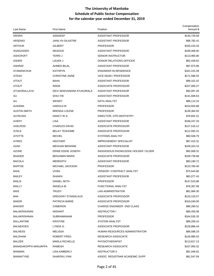| Last Name            | <b>First Name</b>         | Position                            | Compensation<br>Amount \$ |
|----------------------|---------------------------|-------------------------------------|---------------------------|
| ARORA                | SANDEEP                   | <b>ASSISTANT PROFESSOR</b>          | \$140,729.58              |
| <b>ARSENIO</b>       | <b>JANILYN SILASTRE</b>   | <b>ASSISTANT PROFESSOR</b>          | \$96,782.41               |
| <b>ARTHUR</b>        | <b>GILBERT</b>            | <b>PROFESSOR</b>                    | \$165,410.33              |
| <b>ASADZADEH</b>     | <b>MASOUD</b>             | <b>ASSISTANT PROFESSOR</b>          | \$109,468.00              |
| <b>ASHCROFT</b>      | <b>TERRIJ</b>             | <b>SENIOR INSTRUCTOR</b>            | \$113,965.80              |
| <b>ASHER</b>         | <b>LAURA J</b>            | DONOR RELATIONS OFFICER             | \$92,439.62               |
| <b>ASHRAF</b>        | <b>AHMED BILAL</b>        | ASSISTANT PROFESSOR                 | \$97,973.98               |
| <b>ATAMANCHUK</b>    | <b>KATHRYN</b>            | ENGINEER-IN-RESIDENCE               | \$161,241.09              |
| ATEAH                | <b>CHRISTINE ANNE</b>     | VICE DEAN / PROFESSOR               | \$171,586.53              |
| <b>ATOUT</b>         | <b>BAHA</b>               | <b>ASSISTANT PROFESSOR</b>          | \$99,101.42               |
| <b>ATOUT</b>         | <b>REEM</b>               | ASSOCIATE PROFESSOR                 | \$107,000.27              |
| ATUKORALLAYA         | DEVI SEWVANDINI ATUKORALA | <b>ASSISTANT PROFESSOR</b>          | \$92,097.28               |
| AU                   | SHIU-YIK                  | ASSISTANT PROFESSOR                 | \$141,608.63              |
| AU                   | <b>WENDY</b>              | DATA ANALYST                        | \$88,112.24               |
| <b>AUKEMA</b>        | <b>HAROLD M</b>           | <b>PROFESSOR</b>                    | \$154,603.88              |
| <b>AUSTIN-SMITH</b>  | <b>BRENDA LOUISE</b>      | <b>PROFESSOR</b>                    | \$138,364.93              |
| <b>AUYEUNG</b>       | NANCY W.S.                | DIRECTOR, CPD DENTISTRY             | \$78,691.51               |
| AVERY                | <b>LISA</b>               | <b>ASSISTANT PROFESSOR</b>          | \$189,247.33              |
| <b>AXELROD</b>       | <b>CHARLES DAVID</b>      | ASSOCIATE PROFESSOR                 | \$127,516.12              |
| AYELE                | <b>BELAY TESHOME</b>      | ASSOCIATE PROFESSOR                 | \$112,592.41              |
| <b>AYOTTE</b>        | <b>MICHEL</b>             | SYSTEMS ANALYST                     | \$80,508.79               |
| <b>AYRES</b>         | <b>HEATHER</b>            | <b>IMPROVEMENT SPECIALIST</b>       | \$87,415.31               |
| <b>AZAD</b>          | <b>MEGHAN BRIANNE</b>     | ASSISTANT PROFESSOR                 | \$109,323.10              |
| <b>AZURE</b>         | ERNIE EDDIE JOSEPH        | INDIGENOUS KNOWLEDGE HOLDER / ELDER | \$93,008.32               |
| <b>BAADER</b>        | <b>BENJAMIN MARIA</b>     | ASSOCIATE PROFESSOR                 | \$109,739.68              |
| <b>BACOLA</b>        | <b>MEREDITH</b>           | ASSISTANT PROFESSOR                 | \$83,190.72               |
| <b>BAFFOE</b>        | MICHAEL JACKSON           | <b>PROFESSOR</b>                    | \$123,760.40              |
| <b>BAHL</b>          | <b>VIVEK</b>              | VENDOR / CONTRACT ANALYST           | \$75,544.80               |
| <b>BAILEY</b>        | <b>SHAWN</b>              | <b>ASSISTANT PROFESSOR</b>          | \$82,077.43               |
| <b>BAILIS</b>        | DANIEL SETH               | <b>PROFESSOR</b>                    | \$147,523.88              |
| BAILLY               | ANGELA M.                 | FUNCTIONAL ANALYST                  | \$78,307.08               |
| <b>BAIS</b>          | TRUDY                     | LAN ADMINISTRATOR                   | \$81,994.30               |
| BAK                  | <b>GREGORY STANISLAUS</b> | ASSOCIATE PROFESSOR                 | \$120,120.57              |
| <b>BAKER</b>         | PATRICIA MARIE            | ASSOCIATE PROFESSOR                 | \$316,040.00              |
| <b>BAKKER</b>        | CAMERON                   | <b>CHARGE ENGINEER -2ND CLASS</b>   | \$96,280.51               |
| BALAKRISHNAN         | <b>NISHANT</b>            | <b>INSTRUCTOR I</b>                 | \$80,450.08               |
| <b>BALAKRISHNAN</b>  | <b>SUBRAMANIAM</b>        | <b>PROFESSOR</b>                    | \$164,535.33              |
| <b>BALLANTINE</b>    | <b>KRISTINE</b>           | SYSTEM ANALYST                      | \$86,209.10               |
| <b>BALNEAVES</b>     | LYNDA G.                  | ASSOCIATE PROFESSOR                 | \$128,886.44              |
| <b>BALNESS</b>       | MELISSA                   | HUMAN RESOURCES ADMINISTRATOR       | \$86,588.19               |
| <b>BALSHAW</b>       | ROBERT FRED               | RESEARCH ASSOCIATE                  | \$126,985.53              |
| <b>BALZER</b>        | <b>MARLA RICHELLE</b>     | PHYSIOTHERAPIST                     | \$113,817.13              |
| BANADAKOPPA MANJAPPA | RAMESH                    | RESEARCH ASSOCIATE                  | \$107,950.32              |
| <b>BANMAN</b>        | LISA KIMBERLY             | <b>INSTRUCTOR II</b>                | \$91,046.91               |
| <b>BANNATYNE</b>     | <b>SHARON LYNN</b>        | ASSOC. REGISTRAR ACADEMIC SUPP      | \$81,547.59               |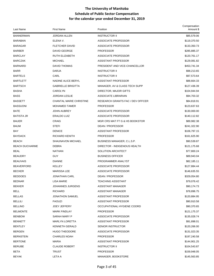| Last Name             | <b>First Name</b>              | Position                         | Compensation<br>Amount \$ |
|-----------------------|--------------------------------|----------------------------------|---------------------------|
| <b>BANNERMAN</b>      | <b>JORDAN ALLEN</b>            | <b>INSTRUCTOR II</b>             | \$85,579.06               |
| <b>BARABAN</b>        | ELENA V.                       | ASSOCIATE PROFESSOR              | \$119,370.50              |
| <b>BARAGAR</b>        | <b>FLETCHER DAVID</b>          | ASSOCIATE PROFESSOR              | \$133,350.73              |
| <b>BARBER</b>         | <b>DAVID GEORGE</b>            | <b>PROFESSOR</b>                 | \$285,885.37              |
| <b>BARCLAY</b>        | RUTH ELIZABETH                 | ASSOCIATE PROFESSOR              | \$120,761.17              |
| <b>BARCZAK</b>        | <b>MICHAEL</b>                 | ASSISTANT PROFESSOR              | \$129,081.82              |
| <b>BARNARD</b>        | <b>DAVID THOMAS</b>            | PRESIDENT AND VICE-CHANCELLOR    | \$453,741.34              |
| <b>BARR</b>           | <b>DARJA</b>                   | <b>INSTRUCTOR II</b>             | \$98,213.65               |
| <b>BARTELS</b>        | CARL                           | <b>INSTRUCTOR II</b>             | \$97,573.64               |
| <b>BARTLETT</b>       | <b>NADINE ALICE BERYL</b>      | ASSISTANT PROFESSOR              | \$88,664.33               |
| <b>BARTSCH</b>        | <b>GABRIELLE BRIGITTA</b>      | MANAGER, AV & CLASS TECH SUPP    | \$127,436.39              |
| <b>BASHA</b>          | CAROLYN                        | DIRECTOR, MAJOR GIFTS            | \$104,944.94              |
| <b>BASS</b>           | <b>JORDAN LESLIE</b>           | ASSOCIATE LIBRARIAN              | \$94,703.32               |
| <b>BASSETT</b>        | <b>CHANTAL MARIE CHRISTINE</b> | RESEARCH GRANTS FAC / DEV OFFCER | \$84,818.91               |
| <b>BASSUONI</b>       | <b>MOHAMED TAMER</b>           | <b>PROFESSOR</b>                 | \$123,637.63              |
| BATE                  | <b>JOHN AUBREY</b>             | <b>ASSOCIATE PROFESSOR</b>       | \$130,000.00              |
| <b>BATISTA JR</b>     | ERALDO LUIZ                    | ASSOCIATE PROFESSOR              | \$140,112.82              |
| <b>BAUER</b>          | <b>CRAIG</b>                   | MGR CRS MAT FT G & HS BOOKSTOR   | \$89,982.38               |
| <b>BAUM</b>           | <b>STEFI</b>                   | DEAN / PROFESSOR                 | \$241,322.90              |
| BAY                   | <b>DENICE</b>                  | ASSISTANT PROFESSOR              | \$106,797.15              |
| <b>BAYDACK</b>        | <b>RICHARD KENITH</b>          | <b>PROFESSOR</b>                 | \$161,625.90              |
| <b>BEACH</b>          | SHAUNAVON MICHAEL              | BUSINESS MANAGER, C.L.S.P.       | \$90,539.87               |
| <b>BEACH DUCHARME</b> | DEBRA                          | DIRECTOR - INDIGENOUS HEALTH     | \$121,175.68              |
| <b>BEAL</b>           | <b>NATHAN</b>                  | <b>SOLUTION ARCHITECT</b>        | \$77,800.24               |
| <b>BEAUDRY</b>        | <b>GUY</b>                     | <b>BUSINESS OFFICER</b>          | \$89,943.04               |
| <b>BEAUVAIS</b>       | <b>DIANNE</b>                  | PROGRAMMER ANALYST               | \$82,185.11               |
| <b>BEAVERFORD</b>     | <b>KELLEY</b>                  | ASSOCIATE PROFESSOR              | \$127,884.44              |
| <b>BECKER</b>         | <b>MARISSA LEE</b>             | ASSOCIATE PROFESSOR              | \$146,635.55              |
| <b>BEDDOES</b>        | <b>JONATHAN CARL</b>           | DEAN / PROFESSOR                 | \$329,054.80              |
| <b>BEDNAR</b>         | <b>LISA MARIE</b>              | TEACHING ASSISTANT               | \$79,076.42               |
| <b>BEKKER</b>         | JOHANNES JURGENS               | <b>ASSISTANT MANAGER</b>         | \$90,174.73               |
| <b>BELL</b>           | <b>RICHARD</b>                 | <b>ASSISTANT MANAGER</b>         | \$78,896.75               |
| <b>BELLAS</b>         | <b>JONATHON SAMUEL</b>         | ASSISTANT PROFESSOR              | \$120,884.95              |
| <b>BELLILI</b>        | FAOUZI                         | ASSISTANT PROFESSOR              | \$90,910.58               |
| <b>BELLINO</b>        | <b>JOEY JEFFERY</b>            | OCCUPATIONAL HYGIENE COORD       | \$90,370.65               |
| <b>BELMONTE</b>       | <b>MARK FINDLAY</b>            | <b>PROFESSOR</b>                 | \$121,175.37              |
| <b>BENBOW</b>         | SARAH MARY P                   | <b>ASSOCIATE PROFESSOR</b>       | \$135,028.74              |
| <b>BENNETT</b>        | <b>MARLYN LORETTA</b>          | <b>ASSISTANT PROFESSOR</b>       | \$91,898.01               |
| <b>BENTLEY</b>        | <b>KENNETH GERALD</b>          | <b>SENIOR INSTRUCTOR</b>         | \$120,266.00              |
| <b>BERGEN</b>         | <b>HUGO THEODORE</b>           | ASSOCIATE PROFESSOR              | \$131,023.35              |
| <b>BERNSTEIN</b>      | <b>CHARLES NOAH</b>            | <b>PROFESSOR</b>                 | \$197,240.58              |
| <b>BERTONE</b>        | <b>MARIA</b>                   | ASSISTANT PROFESSOR              | \$144,901.25              |
| <b>BERUBE</b>         | <b>CLAUDE ROBERT</b>           | <b>INSTRUCTOR II</b>             | \$104,543.87              |
| BETA                  | TRUST                          | <b>PROFESSOR</b>                 | \$159,948.05              |
| <b>BEYAK</b>          | <b>LETA A</b>                  | MANAGER, BOOKSTORE               | \$145,563.85              |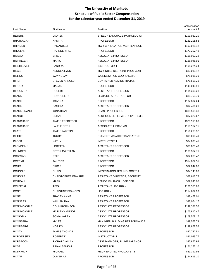| Last Name           | <b>First Name</b>         | Position                       | Compensation<br>Amount \$ |
|---------------------|---------------------------|--------------------------------|---------------------------|
| <b>BEYERS</b>       | LAUREN                    | SPEECH LANGUAGE PATHOLOGIST    | \$103,930.20              |
| <b>BHATNAGAR</b>    | <b>NAMITA</b>             | <b>PROFESSOR</b>               | \$161,205.53              |
| <b>BHINDER</b>      | RAMANDEEP                 | MGR, APPLICATION MAINTENANCE   | \$102,925.12              |
| <b>BHULLAR</b>      | RAJINDER PAL              | <b>PROFESSOR</b>               | \$172,257.48              |
| <b>BIBEAU</b>       | ERIC <sub>L</sub>         | ASSOCIATE PROFESSOR            | \$118,052.22              |
| <b>BIERINGER</b>    | <b>MARIO</b>              | ASSOCIATE PROFESSOR            | \$128,045.91              |
| <b>BIESHEUVEL</b>   | <b>SANDRA</b>             | <b>INSTRUCTOR II</b>           | \$101,224.34              |
| <b>BILASH</b>       | ANDREA LYNN               | MGR INDIG, RES, & INT PROJ COM | \$82,010.12               |
| <b>BILLING</b>      | <b>WAYNE JAY</b>          | <b>WORKSTATION COORDINATOR</b> | \$75,911.39               |
| <b>BIRCH</b>        | <b>STEVEN ARNOLD</b>      | <b>CONTAINER ADMINISTRATOR</b> | \$76,508.21               |
| <b>BIROUK</b>       | <b>MADJID</b>             | <b>PROFESSOR</b>               | \$149,040.91              |
| <b>BISCONTRI</b>    | <b>ROBERT</b>             | <b>ASSISTANT PROFESSOR</b>     | \$134,300.28              |
| <b>BLACK</b>        | HONOURE R                 | LECTURER / INSTRUCTOR          | \$89,752.79               |
| <b>BLACK</b>        | <b>JOANNA</b>             | <b>PROFESSOR</b>               | \$137,804.24              |
| <b>BLACK</b>        | <b>PAMELA</b>             | <b>ASSISTANT PROFESSOR</b>     | \$92,481.20               |
| <b>BLACK-BRANCH</b> | <b>JONATHAN</b>           | DEAN / PROFESSOR               | \$318,505.38              |
| <b>BLAHUT</b>       | <b>BRIAN</b>              | ASST MGR, LIFE SAFETY SYSTEMS  | \$87,322.67               |
| <b>BLANCHARD</b>    | <b>JAMES FREDERICK</b>    | <b>PROFESSOR</b>               | \$379,915.60              |
| <b>BLANCHARD</b>    | LAURIE BETH               | ASSOCIATE LIBRARIAN            | \$110,967.15              |
| <b>BLATZ</b>        | <b>JAMES AYRTON</b>       | <b>PROFESSOR</b>               | \$151,239.52              |
| <b>BLIGHT</b>       | <b>TRUDY</b>              | PROJECT MANAGER BANNATYNE      | \$95,096.49               |
| <b>BLOCK</b>        | <b>KATHY</b>              | <b>INSTRUCTOR II</b>           | \$84,838.41               |
| <b>BLONDEAU</b>     | <b>LORETTA</b>            | <b>ASSISTANT PROFESSOR</b>     | \$80,820.43               |
| <b>BLUNDEN</b>      | PETER GWITHIAN            | <b>PROFESSOR</b>               | \$160,364.71              |
| <b>BOBIWASH</b>     | <b>KYLE</b>               | ASSISTANT PROFESSOR            | \$82,088.47               |
| <b>BOERMA</b>       | <b>JAN TIES</b>           | <b>PROFESSOR</b>               | \$314,077.51              |
| <b>BOHM</b>         | ERIC R                    | <b>PROFESSOR</b>               | \$82,047.06               |
| <b>BOHONIS</b>      | <b>CHRIS</b>              | INFORMATION TECHNOLOGIST 4     | \$94,143.03               |
| <b>BOHONIS</b>      | <b>CHRISTOPHER EDWARD</b> | ASSISTANT DIRECTOR, SECURITY   | \$87,618.73               |
| <b>BOITEAU</b>      | MARK                      | SENIOR FINANCIAL OFFICER       | \$89,943.05               |
| <b>BOLEFSKI</b>     | AFRA                      | ASSISTANT LIBRARIAN            | \$101,355.88              |
| <b>BONE</b>         | <b>CHRISTINE FRANCES</b>  | LIBRARIAN                      | \$114,687.93              |
| <b>BONE</b>         | <b>TRACEY ANNE</b>        | ASSISTANT PROFESSOR            | \$98,462.01               |
| <b>BONNESS</b>      | WILLIAM RAY               | ASSISTANT PROFESSOR            | \$97,064.17               |
| <b>BONNYCASTLE</b>  | <b>COLIN ROBINSON</b>     | ASSOCIATE PROFESSOR            | \$142,381.55              |
| <b>BONNYCASTLE</b>  | MARLENY MUNOZ             | ASSOCIATE PROFESSOR            | \$106,810.47              |
| <b>BOOKMAN</b>      | SONIA KAREN               | ASSOCIATE PROFESSOR            | \$109,508.17              |
| <b>BOONSTRA</b>     | <b>MYLES</b>              | MANAGER, BUILDING PERFORMANCE  | \$99,577.79               |
| <b>BOORBERG</b>     | <b>NORIKO</b>             | <b>ASSOCIATE PROFESSOR</b>     | \$149,862.52              |
| <b>BOOTH</b>        | <b>JAMES THOMAS</b>       | <b>PROFESSOR</b>               | \$82,782.51               |
| <b>BORGERSEN</b>    | ROBERT D                  | <b>INSTRUCTOR II</b>           | \$91,093.77               |
| <b>BORSBOOM</b>     | RICHARD ALLAN             | ASST MANAGER, PLUMBING SHOP    | \$87,852.92               |
| <b>BOSE</b>         | PINAKI SANKAR             | <b>PROFESSOR</b>               | \$161,252.10              |
| <b>BOSKWICK</b>     | <b>MICHAEL</b>            | MECH ENG TECHNOLOGIST 3        | \$81,397.95               |
| <b>BOTAR</b>        | OLIVER A I                | <b>PROFESSOR</b>               | \$144,616.10              |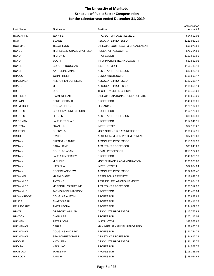| Last Name         | <b>First Name</b>           | Position                        | Compensation<br>Amount \$ |
|-------------------|-----------------------------|---------------------------------|---------------------------|
| <b>BOUCHARD</b>   | <b>JENNIFER</b>             | PROJECT MANAGER LEVEL 2         | \$94,692.08               |
| <b>BOW</b>        | S JANE                      | <b>ASSOCIATE PROFESSOR</b>      | \$121,980.29              |
| <b>BOWMAN</b>     | <b>TRACY LYNN</b>           | DIRECTOR, OUTREACH & ENGAGEMENT | \$91,075.88               |
| <b>BOYCE</b>      | MICHELLE MICHAEL MACFIELD   | <b>RESEARCH ASSOCIATE</b>       | \$76,324.83               |
| <b>BOYD</b>       | <b>MILTON S</b>             | <b>PROFESSOR</b>                | \$162,663.65              |
| <b>BOYD</b>       | <b>SCOTT</b>                | INFORMATION TECHNOLOGIST 4      | \$87,887.02               |
| <b>BOYER</b>      | <b>GORDON DOUGLAS</b>       | <b>INSTRUCTOR II</b>            | \$166,713.13              |
| <b>BOYER</b>      | KATHERINE ANNE              | ASSISTANT PROFESSOR             | \$80,820.43               |
| <b>BRAICO</b>     | <b>JOHN PHILLIP</b>         | <b>SENIOR INSTRUCTOR</b>        | \$105,692.47              |
| <b>BRASSINGA</b>  | ANN KAREN CORNELIA          | <b>ASSOCIATE PROFESSOR</b>      | \$120,238.47              |
| <b>BRAUN</b>      | MEL                         | ASSOCIATE PROFESSOR             | \$131,865.14              |
| <b>BRES</b>       | <b>ODD</b>                  | TECH. TRANSFER SPECIALIST       | \$109,468.63              |
| <b>BRESSER</b>    | <b>RYAN WILLIAM</b>         | DIRECTOR, NATIONAL RESEARCH CTR | \$145,563.90              |
| <b>BREWIN</b>     | <b>DEREK GERALD</b>         | <b>PROFESSOR</b>                | \$140,236.06              |
| <b>BREYFOGLE</b>  | <b>DONNA HELEN</b>          | LIBRARIAN                       | \$120,132.03              |
| <b>BRIDGES</b>    | <b>GREGORY ERNEST JOHN</b>  | <b>PROFESSOR</b>                | \$162,170.03              |
| <b>BRIDGES</b>    | <b>LEIGH K</b>              | <b>ASSISTANT PROFESSOR</b>      | \$88,880.53               |
| <b>BRIDGMAN</b>   | <b>LAURIE ST CLAIR</b>      | <b>PROFESSOR</b>                | \$157,341.11              |
| <b>BRISTOW</b>    | <b>FRANKLIN</b>             | <b>INSTRUCTOR I</b>             | \$82,109.22               |
| <b>BRITTON</b>    | <b>CHERYL A</b>             | MGR ACCTNG & DATA RECORDS       | \$131,252.96              |
| <b>BROOKS</b>     | <b>DAVID</b>                | ASST MGR, MINOR PROJ. & RENOV.  | \$87,020.63               |
| <b>BROWN</b>      | <b>BRENDA JOANNE</b>        | <b>ASSOCIATE PROFESSOR</b>      | \$115,969.98              |
| <b>BROWN</b>      | <b>CARA LIANE</b>           | ASSISTANT PROFESSOR             | \$93,643.20               |
| <b>BROWN</b>      | DOUGLAS ADAM                | <b>DEAN / PROFESSOR</b>         | \$218,972.23              |
| <b>BROWN</b>      | LAURA KIMBERLEY             | <b>PROFESSOR</b>                | \$140,820.18              |
| <b>BROWN</b>      | <b>MICHELE</b>              | MGR FINANCE & ADMINISTRATION    | \$100,928.66              |
| <b>BROWN</b>      | <b>NATASHA</b>              | <b>INSTRUCTOR II</b>            | \$82,664.24               |
| <b>BROWN</b>      | ROBERT ANDREW               | ASSOCIATE PROFESSOR             | \$162,861.47              |
| <b>BROWNELL</b>   | <b>MARNI DIANE</b>          | <b>RESEARCH ASSOCIATE</b>       | \$117,647.33              |
| <b>BROWNLEE</b>   | <b>ANTOINE</b>              | ASST DIR, RELATIONSHIP MGMT     | \$125,654.19              |
| <b>BROWNLEE</b>   | <b>MEREDITH CATHERINE</b>   | ASSISTANT PROFESSOR             | \$188,312.26              |
| <b>BROWNLIE</b>   | <b>JARVIS ROBIN JACKSON</b> | <b>PROFESSOR</b>                | \$140,450.04              |
| <b>BROWNRIDGE</b> | DOUGLAS AUSTIN              | <b>PROFESSOR</b>                | \$155,888.88              |
| <b>BRUCE</b>      | SHARON GAIL                 | <b>PROFESSOR</b>                | \$138,411.28              |
| BRULE-BABEL       | ANITA LEONA                 | <b>PROFESSOR</b>                | \$144,652.22              |
| <b>BRYAN</b>      | <b>GREGORY WILLIAM</b>      | ASSOCIATE PROFESSOR             | \$115,777.88              |
| <b>BRYDON</b>     | DIANA LEE                   | <b>PROFESSOR</b>                | \$200,116.08              |
| <b>BUCHAN</b>     | PETER JOHN                  | <b>INSTRUCTOR I</b>             | \$83,577.86               |
| BUCHANAN          | CARLA                       | MANAGER, FINANCIAL REPORTING    | \$128,650.33              |
| <b>BUCHANAN</b>   | DOUGLAS ANDREW              | <b>PROFESSOR</b>                | \$161,724.74              |
| <b>BUCHANAN</b>   | <b>SEAN CHRISTOPHER</b>     | ASSISTANT PROFESSOR             | \$124,617.39              |
| <b>BUDDLE</b>     | KATHLEEN                    | <b>ASSOCIATE PROFESSOR</b>      | \$121,136.76              |
| <b>BUDISA</b>     | <b>NEDILJKO</b>             | <b>PROFESSOR</b>                | \$144,553.75              |
| <b>BUGSLAG</b>    | JAMES F P                   | <b>PROFESSOR</b>                | \$106,325.02              |
| <b>BULLOCK</b>    | PAUL R                      | <b>PROFESSOR</b>                | \$148,054.62              |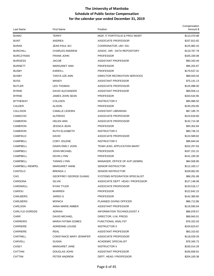| Last Name         | <b>First Name</b>              | Position                          | Compensation<br>Amount \$ |
|-------------------|--------------------------------|-----------------------------------|---------------------------|
| <b>BUNIO</b>      | <b>TERRY</b>                   | MGR, IT PORTFOLIO & PROJ MGMT     | \$113,470.98              |
| <b>BUNT</b>       | ANDREA                         | <b>ASSOCIATE PROFESSOR</b>        | \$107,913.92              |
| <b>BURAK</b>      | JEAN PAUL WJ                   | COORDINATOR, UM / SIU             | \$125,982.43              |
| <b>BURCHILL</b>   | <b>CHARLES ANDREW</b>          | ASSOC. DIR. DATA REPOSITORY       | \$119,767.78              |
| <b>BURCZYNSKI</b> | <b>FRANK JOHN</b>              | <b>PROFESSOR</b>                  | \$165,330.08              |
| <b>BURGESS</b>    | <b>JACOB</b>                   | ASSISTANT PROFESSOR               | \$90,343.49               |
| <b>BURNETT</b>    | <b>MARGARET ANN</b>            | <b>PROFESSOR</b>                  | \$95,202.87               |
| <b>BUSBY</b>      | <b>KAREN L</b>                 | <b>PROFESSOR</b>                  | \$179,537.31              |
| <b>BUSBY</b>      | TANYA LEE ANN                  | DIRECTOR RECREATION SERVICES      | \$89,943.04               |
| <b>BUSS</b>       | MANDY                          | ASSISTANT PROFESSOR               | \$75,141.13               |
| <b>BUTLER</b>     | <b>LEO THOMAS</b>              | <b>ASSOCIATE PROFESSOR</b>        | \$125,998.00              |
| <b>BYRNE</b>      | DAVID ALEXANDER                | ASSISTANT PROFESSOR               | \$89,928.14               |
| <b>BYRNE</b>      | JAMES JOHN SEAN                | <b>PROFESSOR</b>                  | \$163,534.95              |
| <b>BYTHEWAY</b>   | <b>COLLEEN</b>                 | <b>INSTRUCTOR II</b>              | \$95,986.50               |
| CALDER            | <b>ALISON</b>                  | <b>PROFESSOR</b>                  | \$130,203.85              |
| CALLISON          | <b>CAMILLE LENORA</b>          | ASSISTANT LIBRARIAN               | \$87,185.70               |
| CAMACHO           | <b>ALFREDO</b>                 | ASSOCIATE PROFESSOR               | \$124,818.60              |
| CAMERON           | <b>HELEN ANN</b>               | ASSOCIATE PROFESSOR               | \$132,714.38              |
| CAMERON           | <b>JESSICA JEAN</b>            | <b>PROFESSOR</b>                  | \$93,352.84               |
| CAMERON           | RUTH ELIZABETH                 | <b>INSTRUCTOR II</b>              | \$80,746.15               |
| <b>CAMFIELD</b>   | <b>DAVID</b>                   | <b>ASSOCIATE PROFESSOR</b>        | \$124,589.82              |
| <b>CAMPBELL</b>   | <b>CORY JOLENE</b>             | <b>INSTRUCTOR II</b>              | \$98,944.04               |
| <b>CAMPBELL</b>   | DAWN EMILY JOAN                | TEAM LEAD, APPLICATION MAINT      | \$102,257.63              |
| <b>CAMPBELL</b>   | <b>JOHN MICHAEL</b>            | <b>PROFESSOR</b>                  | \$167,151.31              |
| <b>CAMPBELL</b>   | <b>KEVIN LYNN</b>              | <b>PROFESSOR</b>                  | \$141,100.30              |
| <b>CAMPBELL</b>   | <b>TANNIS LYNN</b>             | MANAGER, OFFICE OF AVP (ADMIN)    | \$84,506.80               |
| CAMPBELL-REMPEL   | MARGARET ANNE                  | <b>SENIOR INSTRUCTOR</b>          | \$112,183.17              |
| CANTELO           | BRENDA J.                      | <b>SENIOR INSTRUCTOR</b>          | \$109,062.00              |
| CAO               | <b>GEOFFREY GEORGE GUANG</b>   | SYSTEMS INTEGRATION SPEICALIST    | \$86,291.89               |
| CARDONA           | <b>SILVIA</b>                  | ASSOCIATE DEPT. HEAD / PROFESSOR  | \$127,146.06              |
| CARDWELL          | RYAN TYLER                     | ASSOCIATE PROFESSOR               | \$120,516.17              |
| CARIOU            | <b>WARREN</b>                  | <b>PROFESSOR</b>                  | \$122,642.15              |
| CARLBERG          | JARED G                        | <b>PROFESSOR</b>                  | \$142,380.60              |
| CARLBERG          | <b>MONICA</b>                  | PLANNED GIVING OFFICER            | \$86,712.86               |
| CARLSON           | ANNA MARIE AMBER               | ASSISTANT PROFESSOR               | \$119,593.04              |
| CARLYLE-GORDGE    | <b>ADRIAN</b>                  | <b>INFORMATION TECHNOLOGIST 4</b> | \$86,978.57               |
| CARR              | DAVID MICHAEL                  | DIRECTOR, U.M. PRESS              | \$89,943.01               |
| CARREIRO          | <b>MARIA FATIMA GOMES</b>      | FUNCTIONAL ANALYST                | \$76,322.03               |
| <b>CARRIERE</b>   | ADRIENNE LOUISE                | <b>INSTRUCTOR II</b>              | \$104,623.67              |
| <b>CARRIERE</b>   | REAL                           | ASSISTANT PROFESSOR               | \$83,310.82               |
| <b>CARTMILL</b>   | <b>CONSTANCE MARY JENNIFER</b> | <b>ASSOCIATE PROFESSOR</b>        | \$118,029.29              |
| CARVELL           | <b>SUSAN</b>                   | ACADEMIC SPECIALIST               | \$78,345.72               |
| CASEY             | MARGARET JANE                  | <b>INSTRUCTOR II</b>              | \$105,014.29              |
| CATTANI           | DOUGLAS JOHN                   | ASSISTANT PROFESSOR               | \$105,658.91              |
| <b>CATTINI</b>    | PETER ANDREW                   | DEPT. HEAD / PROFESSOR            | \$204,100.38              |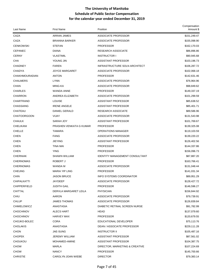| Last Name             | <b>First Name</b>       | Position                              | Compensation<br>Amount \$ |
|-----------------------|-------------------------|---------------------------------------|---------------------------|
| CAZA                  | <b>ARRAN JAMES</b>      | <b>ASSOCIATE PROFESSOR</b>            | \$151,249.47              |
| CAZA                  | <b>BRIANNA BARKER</b>   | ASSOCIATE PROFESSOR                   | \$155,098.90              |
| <b>CENKOWSKI</b>      | <b>STEFAN</b>           | <b>PROFESSOR</b>                      | \$162,170.03              |
| <b>CEPANEC</b>        | <b>DIANA</b>            | <b>RESEARCH ASSOCIATE</b>             | \$86,896.86               |
| <b>CERNY</b>          | <b>VLASTIMIL</b>        | <b>INSTRUCTOR I</b>                   | \$90,945.68               |
| <b>CHA</b>            | YOUNG JIN               | ASSISTANT PROFESSOR                   | \$103,196.73              |
| <b>CHADNEY</b>        | <b>FAREN</b>            | INFRASTRUCTURE SOLN ARCHITECT         | \$106,287.72              |
| <b>CHADYA</b>         | <b>JOYCE MARGARET</b>   | ASSOCIATE PROFESSOR                   | \$102,068.18              |
| <b>CHAKHMOURADIAN</b> | <b>ANTON</b>            | <b>PROFESSOR</b>                      | \$142,631.46              |
| <b>CHALMERS</b>       | <b>LYNN</b>             | ASSOCIATE PROFESSOR                   | \$76,964.96               |
| <b>CHAN</b>           | <b>MING-KA</b>          | ASSOCIATE PROFESSOR                   | \$98,849.62               |
| <b>CHARLES</b>        | <b>WANDA ANNE</b>       | <b>PROFESSOR</b>                      | \$149,337.19              |
| <b>CHARRON</b>        | ANDREA ELIZABETH        | ASSOCIATE PROFESSOR                   | \$101,299.59              |
| CHARTRAND             | <b>LOUISE</b>           | ASSISTANT PROFESSOR                   | \$85,638.52               |
| <b>CHASSAING</b>      | <b>IRENE ANGELE</b>     | <b>ASSISTANT PROFESSOR</b>            | \$85,401.71               |
| CHATEAU               | DANIEL GERALD           | RESEARCH ASSOCIATE                    | \$89,586.96               |
| <b>CHATOORGOON</b>    | VIJAY                   | ASSOCIATE PROFESSOR                   | \$131,543.98              |
| <b>CHAULK</b>         | SARAH JOY               | ASSISTANT PROFESSOR                   | \$101,769.67              |
| <b>CHELIKANI</b>      | PRASHEN VENKATA G KUMAR | <b>PROFESSOR</b>                      | \$139,325.08              |
| <b>CHELLE</b>         | <b>TAMARA</b>           | <b>OPERATIONS MANAGER</b>             | \$119,103.59              |
| <b>CHEN</b>           | <b>FANG</b>             | <b>ASSOCIATE PROFESSOR</b>            | \$139,220.22              |
| <b>CHEN</b>           | <b>JIEYING</b>          | ASSISTANT PROFESSOR                   | \$126,402.56              |
| <b>CHEN</b>           | TINA MAI                | <b>PROFESSOR</b>                      | \$144,337.86              |
| <b>CHEN</b>           | <b>YING</b>             | <b>PROFESSOR</b>                      | \$156,096.73              |
| <b>CHERNIAK</b>       | <b>SHAWN WILLIAM</b>    | <b>IDENTITY MANAGEMENT CONSULTANT</b> | \$87,887.20               |
| <b>CHERNOMAS</b>      | <b>ROBERT J</b>         | <b>PROFESSOR</b>                      | \$163,766.41              |
| <b>CHERNOMAS</b>      | WANDA M                 | <b>ASSOCIATE PROFESSOR</b>            | \$131,048.44              |
| <b>CHEUNG</b>         | <b>MARIA YIP LING</b>   | <b>PROFESSOR</b>                      | \$141,031.34              |
| <b>CHIN</b>           | <b>JASON BRUCE</b>      | <b>INFO SYSTEMS COORDINATOR</b>       | \$89,951.29               |
| CHIPALKATTI           | <b>JAYDEEP</b>          | ASSOCIATE PROFESSOR                   | \$128,427.72              |
| <b>CHIPPERFIELD</b>   | <b>JUDITH GAIL</b>      | <b>PROFESSOR</b>                      | \$146,596.27              |
| <b>CHITTAL</b>        | DERVLA MARGARET LEILA   | <b>PHYSICIAN</b>                      | \$156,844.92              |
| CHIU                  | AARON                   | ASSOCIATE PROFESSOR                   | \$79,739.91               |
| <b>CHLUP</b>          | <b>JAMES THOMAS</b>     | ASSOCIATE PROFESSOR                   | \$126,839.84              |
| <b>CHMIELOWICZ</b>    | ANASTASIA               | DIABETIC RETINAL SCREEN NURSE         | \$91,782.99               |
| <b>CHOCHINOV</b>      | ALECS HART              | HEAD                                  | \$137,079.60              |
| <b>CHOCHINOV</b>      | <b>HARVEY MAX</b>       | <b>PROFESSOR</b>                      | \$120,679.55              |
| CHOJKO-BOLEC          | <b>CORA</b>             | EDUCATIONAL DEVELOPER                 | \$75,113.76               |
| <b>CHOLAKIS</b>       | ANASTASIA               | DEAN / ASSOCIATE PROFESSOR            | \$229,111.28              |
| <b>CHON</b>           | JAE-SUNG                | <b>INSTRUCTOR II</b>                  | \$105,487.16              |
| <b>CHOPEK</b>         | <b>JEREMY WILLIAM</b>   | ASSISTANT PROFESSOR                   | \$87,561.02               |
| <b>CHOUKOU</b>        | MOHAMED-AMINE           | ASSISTANT PROFESSOR                   | \$104,387.75              |
| <b>CHOW</b>           | MARLA                   | DIRECTOR, MARKETING & CREATIVE        | \$107,224.69              |
| <b>CHOW</b>           | <b>NANCY</b>            | <b>PROFESSOR</b>                      | \$145,700.66              |
| <b>CHRISTIE</b>       | CAROLYN JOAN WIEBE      | <b>DIRECTOR</b>                       | \$79,383.14               |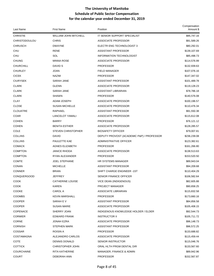| Last Name            | <b>First Name</b>            | Position                                  | Compensation<br>Amount \$ |
|----------------------|------------------------------|-------------------------------------------|---------------------------|
| <b>CHRISTIE</b>      | <b>WILLIAM JOHN MITCHELL</b> | IT SENIOR SUPPORT SPECIALIST              | \$95,747.16               |
| <b>CHRISTODOULOU</b> | <b>CHRIS</b>                 | ASSOCIATE PROFESSOR                       | \$91,589.26               |
| <b>CHRUSCH</b>       | <b>DWAYNE</b>                | ELECTR ENG TECHNOLOGIST 3                 | \$80,292.01               |
| <b>CHU</b>           | <b>RENE</b>                  | ASSISTANT PROFESSOR                       | \$139,107.69              |
| <b>CHU</b>           | SOL                          | <b>INFORMATION TECHNOLOGIST</b>           | \$85,498.73               |
| <b>CHUNG</b>         | <b>MINNA ROSE</b>            | ASSOCIATE PROFESSOR                       | \$114,576.99              |
| <b>CHURCHILL</b>     | DAVID <sub>S</sub>           | <b>PROFESSOR</b>                          | \$132,939.63              |
| <b>CHURLEY</b>       | <b>JOAN</b>                  | <b>FIELD MANAGER</b>                      | \$107,076.16              |
| <b>CICEK</b>         | <b>NAZIM</b>                 | <b>PROFESSOR</b>                          | \$147,347.02              |
| <b>CIURYSEK</b>      | SARAH JANE                   | ASSISTANT PROFESSOR                       | \$101,489.78              |
| <b>CLARK</b>         | <b>GLENN</b>                 | ASSOCIATE PROFESSOR                       | \$119,128.23              |
| <b>CLARK</b>         | SARAH JANE                   | <b>ASSISTANT LIBRARIAN</b>                | \$78,786.18               |
| <b>CLARK</b>         | <b>SHAWN</b>                 | <b>PROFESSOR</b>                          | \$140,576.08              |
| <b>CLAY</b>          | <b>ADAM JOSEPH</b>           | <b>ASSOCIATE PROFESSOR</b>                | \$100,196.57              |
| <b>CLOSE</b>         | <b>SUSAN MICHELLE</b>        | ASSOCIATE PROFESSOR                       | \$110,476.34              |
| <b>CLOUATRE</b>      | RAPHAEL                      | ASSISTANT PROFESSOR                       | \$91,550.38               |
| COAR                 | LANCELOT YAMALI              | ASSOCIATE PROFESSOR                       | \$115,612.08              |
| <b>COHEN</b>         | <b>BARRY</b>                 | <b>PROFESSOR</b>                          | \$76,121.12               |
| <b>COHEN</b>         | <b>BENITA ESTHER</b>         | ASSOCIATE PROFESSOR                       | \$128,285.57              |
| COLE                 | <b>STEVEN CHRISTOPHER</b>    | <b>BIOSAFETY OFFICER</b>                  | \$79,007.81               |
| <b>COLLINS</b>       | <b>DAVID</b>                 | DEPUTY PROVOST (ACADEMIC P&P) / PROFESSOR | \$236,239.08              |
| <b>COLLINS</b>       | PAULETTE KAE                 | <b>ADMINISTRATIVE OFFICER</b>             | \$123,382.61              |
| <b>COMACK</b>        | <b>AGNES ELIZABETH</b>       | <b>PROFESSOR</b>                          | \$161,266.80              |
| <b>COMPTON</b>       | <b>JANICE RHODA</b>          | ASSOCIATE PROFESSOR                       | \$138,513.63              |
| <b>COMPTON</b>       | RYAN ALEXANDER               | <b>PROFESSOR</b>                          | \$153,520.50              |
| <b>COMTE</b>         | <b>JOEL STEPHANE</b>         | HR SYSTEMS MANAGER                        | \$89,943.04               |
| CONAN                | <b>MICHELLE</b>              | ASSISTANT PROFESSOR                       | \$94,209.68               |
| <b>CONNER</b>        | <b>BRIAN</b>                 | SHIFT CHARGE ENGINEER -1ST                | \$110,404.29              |
| <b>CONQUERGOOD</b>   | <b>JEFFREY</b>               | <b>SENIOR FINANCE OFFICER</b>             | \$106,582.64              |
| COOK                 | CATHERINE LOUISE             | VICE DEAN (INDIGENOUS)                    | \$82,605.88               |
| COOK                 | KAREN                        | PROJECT MANAGER                           | \$90,658.25               |
| COOKE                | <b>CAROL A</b>               | ASSOCIATE LIBRARIAN                       | \$115,832.58              |
| <b>COOMBS</b>        | <b>KEVIN MARSHALL</b>        | <b>PROFESSOR</b>                          | \$173,660.16              |
| COOPER               | SARAH E V                    | ASSISTANT PROFESSOR                       | \$84,856.58               |
| COOPER               | <b>SUSAN MARIE</b>           | ASSOCIATE PROFESSOR                       | \$105,408.15              |
| <b>COPENACE</b>      | SHERRY JOAN                  | INDIGENOUS KNOWLEDGE HOLDER / ELDER       | \$92,544.73               |
| <b>CORMIER</b>       | EDWARD FRANK                 | <b>INSTRUCTOR II</b>                      | \$105,711.72              |
| <b>CORNE</b>         | JONAH EZRA                   | ASSOCIATE PROFESSOR                       | \$96,148.73               |
| <b>CORNISH</b>       | STEPHEN MARK                 | ASSISTANT PROFESSOR                       | \$96,572.25               |
| COSSAR               | <b>ROISIN A</b>              | <b>PROFESSOR</b>                          | \$133,688.82              |
| COSTAMAGNA           | ALEJANDRO CARLOS             | ASSOCIATE PROFESSOR                       | \$115,459.44              |
| COTE                 | DENNIS DONALD                | <b>SENIOR INSTRUCTOR</b>                  | \$115,046.76              |
| <b>COTTICK</b>       | <b>CHRISTOPHER JOHN</b>      | ORAL HLTH PRGM DENTAL DIR                 | \$133,567.60              |
| <b>COURCHAINE</b>    | RITA KATHERINE               | MANAGER, FINANCE & ADMIN                  | \$89,942.96               |
| <b>COURT</b>         | DEBORAH ANN                  | <b>PROFESSOR</b>                          | \$152,567.87              |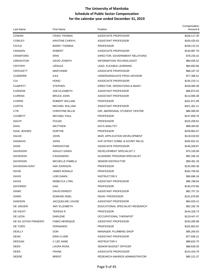| Last Name             | <b>First Name</b>        | Position                        | Compensation<br>Amount \$ |
|-----------------------|--------------------------|---------------------------------|---------------------------|
| COWAN                 | <b>CRAIG THOMAS</b>      | ASSOCIATE PROFESSOR             | \$100,117.30              |
| <b>COWLEY</b>         | <b>KRISTINE CHERYL</b>   | ASSISTANT PROFESSOR             | \$100,425.63              |
| COYLE                 | <b>BARRY THOMAS</b>      | <b>PROFESSOR</b>                | \$158,131.51              |
| <b>CRAIGEN</b>        | <b>ROBERT</b>            | ASSOCIATE PROFESSOR             | \$130,987.78              |
| <b>CRAWFORD</b>       | ERIN                     | DIRECTOR, GOVERNMENT RELATIONS  | \$78,155.42               |
| <b>CREIGHTON</b>      | DAVID JOSEPH             | <b>INFORMATION TECHNOLOGIST</b> | \$90,026.52               |
| <b>CRITOPH</b>        | <b>URSULE</b>            | LEAD, FLEXIBLE LEARNING         | \$84,692.86               |
| <b>CROCKETT</b>       | MARYANNE                 | ASSOCIATE PROFESSOR             | \$88,197.15               |
| <b>CUDMORE</b>        | <b>ILKA</b>              | UNDERGRADUATE PROG ADVISOR      | \$77,306.51               |
| <b>CUI</b>            | <b>HONG</b>              | ASSOCIATE PROFESSOR             | \$145,210.11              |
| <b>CUMPSTY</b>        | <b>STEPHEN</b>           | DIRECTOR, OPERATIONS & MAINT.   | \$158,080.38              |
| <b>CURNOW</b>         | <b>JOE ELIZABETH</b>     | ASSISTANT PROFESSOR             | \$86,874.55               |
| <b>CURRAN</b>         | <b>BRUCE JOHN</b>        | <b>ASSISTANT PROFESSOR</b>      | \$114,806.38              |
| <b>CURRIE</b>         | ROBERT WILLIAM           | <b>PROFESSOR</b>                | \$161,871.99              |
| <b>CURTIS</b>         | <b>MICHAEL WILLIAM</b>   | ASSISTANT PROFESSOR             | \$421,301.11              |
| <b>CYR</b>            | <b>CHRISTINE BILLIE</b>  | DIR, ABORIGINAL STUDENT CENTRE  | \$88,489.94               |
| <b>CZUBRYT</b>        | <b>MICHAEL PAUL</b>      | <b>PROFESSOR</b>                | \$147,609.76              |
| <b>DAAYF</b>          | <b>FOUAD</b>             | <b>PROFESSOR</b>                | \$153,208.81              |
| DAHL                  | <b>MATTHEW</b>           | DATA ANALYST                    | \$88,483.82               |
| DAHL-JENSEN           | <b>DORTHE</b>            | <b>PROFESSOR</b>                | \$239,863.47              |
| <b>DALKE</b>          | <b>JOHN</b>              | MGR, APPLICATION DEVELOPMENT    | \$119,018.83              |
| <b>DANAKAS</b>        | <b>JOHN</b>              | AVP (STRAT.COMM. & GOVMT RELS)  | \$165,651.01              |
| <b>DASS</b>           | <b>PARSHOTAM</b>         | ASSOCIATE PROFESSOR             | \$148,209.87              |
| <b>DAVIDSON</b>       | <b>ASHLEY DAWN</b>       | DEVELOPMENT SPECIALIST 2        | \$75,150.09               |
| <b>DAVIDSON</b>       | CASSANDRA                | ACADEMIC PROGRAM SPECIALIST     | \$82,346.16               |
| <b>DAVIDSON</b>       | MICHELLE PAMELA          | <b>SENIOR INSTRUCTOR</b>        | \$99,481.29               |
| DAVIDSON-HUNT         | <b>IAIN JOHNSON</b>      | <b>PROFESSOR</b>                | \$120,083.38              |
| <b>DAVIE</b>          | <b>JAMES RONALD</b>      | <b>PROFESSOR</b>                | \$164,756.56              |
| <b>DAVIS</b>          | <b>LORI DAWN</b>         | <b>INSTRUCTOR II</b>            | \$90,696.18               |
| <b>DAVIS</b>          | REBECCA LYNN             | ASSISTANT PROFESSOR             | \$96,798.64               |
| DAVOREN               | GAIL                     | <b>PROFESSOR</b>                | \$130,470.66              |
| DAWE                  | DAVID ERNEST             | ASSISTANT PROFESSOR             | \$82,757.10               |
| DAWE                  | <b>EDMUND NOEL</b>       | DEAN / PROFESSOR                | \$131,879.65              |
| <b>DAWSON</b>         | <b>JACQUELINE LOUISE</b> | ASSISTANT PROFESSOR             | \$84,025.41               |
| DE JAEGER             | AMY ELIZABETH            | EDUCATIONAL SPECIALIST-RESEARCH | \$92,182.78               |
| DE KIEVIT             | TERESA R                 | <b>PROFESSOR</b>                | \$144,328.73              |
| DE LEON               | DARLENE                  | OCCUPATIONAL THERAPIST          | \$119,447.47              |
| DE SA LEITAO PINHEIRO | <b>FABIO HENRIQUE</b>    | ASSISTANT PROFESSOR             | \$140,280.98              |
| DE TORO               | <b>FERNANDO</b>          | <b>PROFESSOR</b>                | \$162,662.62              |
| DEALLY                | <b>DON</b>               | MANAGER, PLUMBING SHOP          | \$95,200.63               |
| <b>DEAN</b>           | ERIN CLARE               | ASSISTANT PROFESSOR             | \$77,836.21               |
| <b>DEEGAN</b>         | C LEE ANNE               | <b>INSTRUCTOR II</b>            | \$88,625.75               |
| DEEN                  | LAURA ROSA               | SENIOR BUDGET OFFICER           | \$88,628.35               |
| DEER                  | <b>FRANK</b>             | ASSOCIATE PROFESSOR             | \$124,443.79              |
| DEERE                 | <b>BRENT</b>             | RESEARCH AWARDS ADMINISTRATOR   | \$80,121.37               |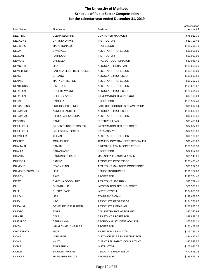| Last Name         | <b>First Name</b>            | Position                        | Compensation<br>Amount \$ |
|-------------------|------------------------------|---------------------------------|---------------------------|
| <b>DEERING</b>    | <b>GLENN EDWARD</b>          | <b>CONTAINER MANAGER</b>        | \$75,911.39               |
| <b>DEGAGNE</b>    | <b>CHRISTA DAWN</b>          | <b>INSTRUCTOR I</b>             | \$81,709.45               |
| <b>DEL BIGIO</b>  | <b>MARC RONALD</b>           | <b>PROFESSOR</b>                | \$421,301.11              |
| DELAY             | DAVID C.J.                   | ASSISTANT PROFESSOR             | \$96,961.59               |
| <b>DELIJANI</b>   | <b>FARHOUD</b>               | <b>INSTRUCTOR I</b>             | \$90,059.09               |
| <b>DEMARE</b>     | DANIELLA                     | PROJECT COORDINATOR             | \$80,046.41               |
| <b>DEMCZUK</b>    | <b>LISA</b>                  | <b>ASSOCIATE LIBRARIAN</b>      | \$112,050.20              |
| <b>DEMETRIOFF</b> | SABRINA LEIGH BELLHOUSE      | ASSISTANT PROFESSOR             | \$110,118.09              |
| <b>DENG</b>       | <b>CHUANG</b>                | ASSOCIATE PROFESSOR             | \$102,993.53              |
| <b>DENNIS</b>     | <b>MARY CATHERINE</b>        | ASSISTANT PROFESSOR             | \$91,297.20               |
| <b>DENTSORAS</b>  | <b>DIMITRIOS</b>             | ASSISTANT PROFESSOR             | \$103,625.82              |
| <b>DERKSEN</b>    | ROBERT WAYNE                 | ASSOCIATE PROFESSOR             | \$120,384.30              |
| <b>DERKSEN</b>    | SHELLEY ANNE                 | INFORMATION TECHNOLOGIST        | \$88,483.84               |
| <b>DESAI</b>      | RADHIKA                      | <b>PROFESSOR</b>                | \$159,582.40              |
| <b>DESJARDINS</b> | LUC JOSEPH DENIS             | FACILITIES COORD / SR CAMERA OP | \$91,012.34               |
| <b>DESMARAIS</b>  | ANNETTE AURELIE              | <b>ASSOCIATE PROFESSOR</b>      | \$136,690.93              |
| <b>DESMARAIS</b>  | DIEDRE ALEXANDRIA            | <b>ASSISTANT PROFESSOR</b>      | \$96,203.31               |
| <b>DESPINS</b>    | DANIEL                       | IT SERVER LEAD                  | \$95,465.64               |
| <b>DETILLIEUX</b> | <b>GILBERT ERNEST JOSEPH</b> | <b>INFORMATION TECHNOLOGIST</b> | \$87,887.00               |
| <b>DETILLIEUX</b> | <b>GILLES REAL JOSEPH</b>    | DATA ANALYST                    | \$82,569.03               |
| <b>DETWILER</b>   | <b>JILLIAN</b>               | ASSISTANT PROFESSOR             | \$96,186.82               |
| <b>DEXTER</b>     | <b>JODY ELAINE</b>           | TECHNOLOGY TRANSFER SPECIALIST  | \$96,468.28               |
| DHALIWAL          | RAMAN                        | DIRECTOR, ADMIN / OPERATIONS    | \$160,556.59              |
| <b>DHALLA</b>     | NARANJAN S                   | <b>PROFESSOR</b>                | \$82,054.80               |
| DHANJAL           | <b>HARMINDER KAUR</b>        | MANAGER, FINANCE & ADMIN        | \$89,943.06               |
| <b>DHINGRA</b>    | SANJIV                       | ASSOCIATE PROFESSOR             | \$103,405.46              |
| <b>DIAMOND</b>    | <b>STACY LYNN</b>            | ASSISTANT MANAGER, BOOKSTORE    | \$80,982.38               |
| DIAMOND-BURCHUK   | LISA                         | <b>SENIOR INSTRUCTOR</b>        | \$106,777.63              |
| <b>DIBROV</b>     | <b>PAVEL</b>                 | <b>PROFESSOR</b>                | \$146,764.40              |
| <b>DIETZ</b>      | <b>CYNTHIA GOODHART</b>      | ASSISTANT LIBRARIAN             | \$96,722.41               |
| DIK.              | GUENRIKH R.                  | <b>INFORMATION TECHNOLOGIST</b> | \$76,508.21               |
| <b>DIKA</b>       | CHERYL JANE                  | <b>INSTRUCTOR II</b>            | \$104,855.53              |
| <b>DILLON</b>     | LISA                         | <b>STAFF PHYSICIAN</b>          | \$148,678.57              |
| <b>DING</b>       | HAO                          | ASSOCIATE PROFESSOR             | \$124,751.97              |
| <b>DINGWALL</b>   | ORVIE IRENE ELIZABETH        | ASSOCIATE LIBRARIAN             | \$106,833.32              |
| <b>DINOTO</b>     | <b>JOHN</b>                  | ADMINISTRATIVE ASSISTANT        | \$82,320.93               |
| <b>DIRKSE</b>     | DALE                         | ASSISTANT PROFESSOR             | \$89,889.25               |
| <b>DIUBALDO</b>   | DEBRA LYNN                   | ABORIGINAL STUDENT ADVISOR      | \$76,551.21               |
| <b>DIXON</b>      | IAN MICHAEL CHARLES          | <b>PROFESSOR</b>                | \$161,408.07              |
| <b>DMITRENKO</b>  | <b>IGOR</b>                  | RESEARCH ASSOCIATE              | \$113,759.32              |
| <b>DOAN</b>       | LORI ANNE                    | DISTANCE ED SESS. INSTRUCTOR    | \$84,497.40               |
| <b>DOAN</b>       | NHAT                         | CLIENT REL. MGMT. CONSULTANT    | \$90,583.57               |
| <b>DOBIE</b>      | JOHN BRIAN                   | <b>INSTRUCTOR I</b>             | \$106,081.75              |
| <b>DOBLE</b>      | BRADLEY WAYNE                | ASSOCIATE PROFESSOR             | \$77,695.16               |
| <b>DOCKER</b>     | <b>MARGARET FELICE</b>       | <b>PROFESSOR</b>                | \$136,576.18              |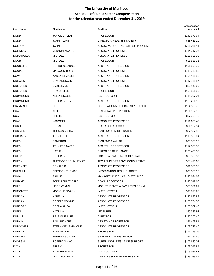| Last Name         | <b>First Name</b>       | Position                               | Compensation<br>Amount \$ |
|-------------------|-------------------------|----------------------------------------|---------------------------|
| <b>DODD</b>       | <b>JANICE GREEN</b>     | <b>PROFESSOR</b>                       | \$142,678.64              |
| <b>DODD</b>       | JOHN-ALLAN              | DIRECTOR, HEALTH & SAFETY              | \$85,461.10               |
| <b>DOERING</b>    | <b>JOHN C</b>           | ASSOC. V.P. (PARTNERSHIPS) / PROFESSOR | \$226,051.41              |
| <b>DOLINSKY</b>   | <b>VERNON WAYNE</b>     | ASSOCIATE PROFESSOR                    | \$114,217.96              |
| <b>DOMARATZKI</b> | <b>MICHAEL</b>          | ASSOCIATE PROFESSOR                    | \$135,606.98              |
| <b>DOOB</b>       | <b>MICHAEL</b>          | <b>PROFESSOR</b>                       | \$81,866.31               |
| <b>DOUCETTE</b>   | <b>CHRISTINE ANNE</b>   | ASSISTANT PROFESSOR                    | \$101,293.79              |
| <b>DOUPE</b>      | <b>MALCOLM BRAY</b>     | ASSOCIATE PROFESSOR                    | \$119,752.88              |
| <b>DOW</b>        | KAREN ELIZABETH         | ASSISTANT PROFESSOR                    | \$105,456.53              |
| <b>DREWES</b>     | DAVID DONALD            | ASSOCIATE PROFESSOR                    | \$117,156.87              |
| <b>DRIEDGER</b>   | <b>DIANE LYNN</b>       | ASSISTANT PROFESSOR                    | \$86,146.09               |
| <b>DRIEDGER</b>   | S. MICHELLE             | <b>PROFESSOR</b>                       | \$159,851.95              |
| <b>DRUMMOND</b>   | <b>KELLY NICOLE</b>     | <b>INSTRUCTOR II</b>                   | \$115,907.04              |
| <b>DRUMMOND</b>   | ROBERT JOHN             | ASSISTANT PROFESSOR                    | \$155,261.12              |
| <b>DRZYMALA</b>   | <b>PETER</b>            | OCCUPATIONAL THERAPIST / LEADER        | \$124,820.75              |
| <b>DUA</b>        | <b>ALOK</b>             | <b>SESSIONAL INSTRUCTOR</b>            | \$131,902.90              |
| <b>DUA</b>        | SNEHIL                  | <b>INSTRUCTOR I</b>                    | \$87,738.46               |
| <b>DUAN</b>       | <b>KANGMIN</b>          | ASSOCIATE PROFESSOR                    | \$111,650.48              |
| <b>DUBIK</b>      | <b>DONALD</b>           | <b>RESEARCH ASSOCIATE</b>              | \$81,152.54               |
| <b>DUBINSKI</b>   | <b>THOMAS MICHAEL</b>   | SYSTEMS ADMINISTRATOR                  | \$87,887.00               |
| <b>DUCHARME</b>   | <b>JENNIFER L</b>       | ASSISTANT PROFESSOR                    | \$119,593.04              |
| <b>DUECK</b>      | CAMERON                 | SYSTEMS ANALYST                        | \$90,533.93               |
| <b>DUECK</b>      | <b>JENNIFER MARIE</b>   | ASSISTANT PROFESSOR                    | \$117,339.50              |
| <b>DUECK</b>      | NATHAN                  | DIRECTOR OF FINANCE                    | \$136,435.35              |
| <b>DUECK</b>      | ROBERT J                | FINANCIAL SYSTEMS COORDINATOR          | \$88,320.57               |
| <b>DUECK</b>      | THEODORE JOHN HENRY     | TECH SUPPORT & SVC CONSULTANT          | \$78,426.66               |
| <b>DUERKSEN</b>   | DONALD R                | ASSOCIATE PROFESSOR                    | \$91,566.38               |
| <b>DUFAULT</b>    | <b>BRENDEN THOMAS</b>   | <b>INFORMATION TECHNOLOGIST</b>        | \$93,380.96               |
| <b>DUGAL</b>      | PAUL F                  | <b>MANAGER, PURCHASING SERVICES</b>    | \$143,694.62              |
| <b>DUHAMEL</b>    | <b>TODD ASHLEY DALE</b> | DEAN / PROFESSOR                       | \$148,017.66              |
| <b>DUKE</b>       | LINDSAY ANN             | MGR.STUDENTS & FACULTIES COMM          | \$80,561.99               |
| <b>DUMONTET</b>   | MONIQUE JO-ANN          | <b>INSTRUCTOR II</b>                   | \$95,873.98               |
| <b>DUNCAN</b>     | KAREN A                 | ASSOCIATE PROFESSOR                    | \$130,692.89              |
| <b>DUNCAN</b>     | ROBERT WAYNE            | ASSOCIATE PROFESSOR                    | \$105,784.58              |
| <b>DUNFORD</b>    | DRENA ALISA             | <b>INSTRUCTOR II</b>                   | \$105,082.43              |
| <b>DUNN</b>       | KATRINA                 | <b>LECTURER</b>                        | \$85,337.92               |
| <b>DUPUIS</b>     | REJEANNE LISE           | <b>DIRECTOR</b>                        | \$145,205.40              |
| <b>DURKIN</b>     | PAUL RICHARD            | ASSISTANT PROFESSOR                    | \$81,453.81               |
| <b>DUROCHER</b>   | STEPHANE JEAN-LOUIS     | ASSOCIATE PROFESSOR                    | \$109,727.40              |
| <b>DURRANT</b>    | JOAN ELAINE             | <b>PROFESSOR</b>                       | \$157,799.05              |
| <b>DURSTON</b>    | <b>JEFFREY SUTTER</b>   | SYSTEMS ADMINISTRATOR                  | \$87,292.46               |
| <b>DVORSKI</b>    | ROBERT VINKO            | SUPERVISOR, DESK SIDE SUPPORT          | \$102,635.02              |
| <b>DYCK</b>       | <b>BRUNO</b>            | <b>PROFESSOR</b>                       | \$169,047.84              |
| <b>DYCK</b>       | JONATHAN EARL           | <b>INSTRUCTOR II</b>                   | \$103,984.45              |
| <b>DYCK</b>       | LINDA AGANETHA          | DEAN / ASSOCIATE PROFESSOR             | \$229,033.44              |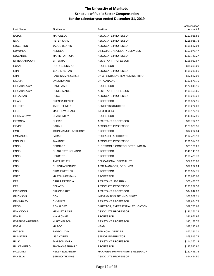| Last Name           | <b>First Name</b>      | Position                         | Compensation<br>Amount \$ |
|---------------------|------------------------|----------------------------------|---------------------------|
| EATON               | <b>MARCELLA</b>        | <b>ASSOCIATE PROFESSOR</b>       | \$117,935.55              |
| ECK                 | PETER KARL             | <b>ASSOCIATE PROFESSOR</b>       | \$118,985.76              |
| <b>EDGERTON</b>     | <b>JASON DENNIS</b>    | <b>ASSOCIATE PROFESSOR</b>       | \$105,537.04              |
| <b>EDMUNDS</b>      | ANDREA                 | DIRECTOR, ANCILLARY SERVICES     | \$153,078.47              |
| <b>EDWARDS</b>      | <b>MARIE PATRICIA</b>  | <b>ASSOCIATE PROFESSOR</b>       | \$133,743.27              |
| <b>EFTEKHARPOUR</b> | <b>EFTEKHAR</b>        | <b>ASSISTANT PROFESSOR</b>       | \$105,032.67              |
| EGAN                | <b>RORY BERNARD</b>    | <b>PROFESSOR</b>                 | \$81,309.00               |
| EHN                 | JENS KRISTIAN          | <b>ASSOCIATE PROFESSOR</b>       | \$105,210.56              |
| EHN                 | PAULINA MARGARET       | UNIX / LINUX SYSTEM ADMINISTRTOR | \$87,887.01               |
| <b>EKUMA</b>        | OKECHUKWU              | DATA ANALYST                     | \$102,578.75              |
| EL-GABALAWY         | <b>HANI SAAD</b>       | <b>PROFESSOR</b>                 | \$172,845.16              |
| EL-GABALAWY         | <b>RENEE MARIE</b>     | <b>ASSISTANT PROFESSOR</b>       | \$100,459.65              |
| <b>ELGAZZAR</b>     | REDA F                 | <b>ASSOCIATE PROFESSOR</b>       | \$139,232.21              |
| <b>ELIAS</b>        | <b>BRENDA DENISE</b>   | <b>PROFESSOR</b>                 | \$131,374.95              |
| <b>ELLIOTT</b>      | <b>JACQUELINE K</b>    | <b>SENIOR INSTRUCTOR</b>         | \$103,274.03              |
| ELLIS               | <b>MATTHEW CRAIG</b>   | <b>INFO TECH 4</b>               | \$139,172.10              |
| EL-SALAKAWY         | <b>EHAB FATHY</b>      | <b>PROFESSOR</b>                 | \$143,867.96              |
| <b>ELTONSY</b>      | <b>SHERIF</b>          | ASSISTANT PROFESSOR              | \$99,762.92               |
| <b>ELVINS</b>       | SARAH                  | ASSOCIATE PROFESSOR              | \$128,370.56              |
| <b>EMBIL</b>        | JOHN MANUEL ANTHONY    | <b>PROFESSOR</b>                 | \$92,284.84               |
| <b>EMMANUEL</b>     | <b>FARAN</b>           | RESEARCH ASSOCIATE               | \$102,479.13              |
| <b>ENGLISH</b>      | JAYANNE                | <b>ASSOCIATE PROFESSOR</b>       | \$131,514.18              |
| <b>ENNS</b>         | <b>BERNARD</b>         | ELECTRONIC CONTROLS TECHNICIAN   | \$75,176.26               |
| <b>ENNS</b>         | CHARLOTTE JOHANNA      | <b>PROFESSOR</b>                 | \$146,145.13              |
| <b>ENNS</b>         | <b>HERBERT L</b>       | <b>PROFESSOR</b>                 | \$160,423.78              |
| ENS                 | <b>ANITA HELEN</b>     | EDUCATIONAL SPECIALIST           | \$77,205.08               |
| ENS                 | <b>CHRISTIAN BRUCE</b> | ASST MANAGER, GROUNDS            | \$89,262.24               |
| ENS                 | <b>ERICH WERNER</b>    | <b>PROFESSOR</b>                 | \$160,364.71              |
| <b>ENTZ</b>         | <b>MARTIN HERMANN</b>  | <b>PROFESSOR</b>                 | \$163,035.02              |
| EPP                 | <b>CARLA PATRICIA</b>  | ASSISTANT LIBRARIAN              | \$76,428.77               |
| EPP                 | EDUARD                 | <b>ASSOCIATE PROFESSOR</b>       | \$130,287.53              |
| <b>ERICKSON</b>     | <b>BRUCE GARTH</b>     | <b>ASSISTANT PROFESSOR</b>       | \$94,842.20               |
| <b>ERICKSON</b>     | <b>DON</b>             | INFORMATION TECHNOLOGIST         | \$76,508.21               |
| ERKINBAEV           | <b>CHYNGYZ</b>         | ASSISTANT PROFESSOR              | \$82,664.73               |
| <b>EROS</b>         | RONALD W               | DIRECTOR, EXPERIENTIAL EDUCATION | \$82,755.68               |
| <b>ESKICIOGLU</b>   | MEHMET RASIT           | <b>ASSOCIATE PROFESSOR</b>       | \$131,361.24              |
| <b>ESKIN</b>        | N A MICHAEL            | <b>PROFESSOR</b>                 | \$81,971.95               |
| ESPERSEN-PETERS     | KURT NELSON            | <b>ASSISTANT PROFESSOR</b>       | \$90,157.76               |
| ESSIG               | MARCO                  | HEAD                             | \$82,245.62               |
| <b>EVASON</b>       | <b>TAMMY LYNN</b>      | <b>FINANCIAL OFFICER</b>         | \$77,361.31               |
| <b>FAINSTEIN</b>    | LISA KAREN             | SENIOR INSTRUCTOR                | \$79,516.72               |
| FALK                | <b>JAMISON MARK</b>    | <b>ASSISTANT PROFESSOR</b>       | \$114,360.19              |
| <b>FALKENBERG</b>   | <b>THOMAS GERHARD</b>  | <b>PROFESSOR</b>                 | \$142,540.80              |
| <b>FALLDING</b>     | <b>HELEN ELIZABETH</b> | MANAGER, HUMAN RIGHTS RESEARCH   | \$122,446.76              |
| <b>FANELLA</b>      | <b>SERGIO THOMAS</b>   | ASSOCIATE PROFESSOR              | \$94,444.50               |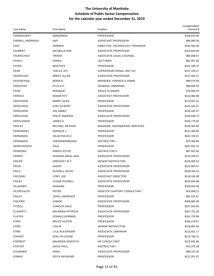| Last Name         | <b>First Name</b>       | Position                      | Compensation<br>Amount \$ |
|-------------------|-------------------------|-------------------------------|---------------------------|
| <b>FARENHORST</b> | ANNEMIEKE               | <b>PROFESSOR</b>              | \$159,623.60              |
| FARRELL-MORNEAU   | AMY                     | ASSISTANT PROFESSOR           | \$86,090.38               |
| <b>FAST</b>       | <b>DARREN</b>           | DIRECTOR, TECHNOLOGY TRANSFER | \$152,564.00              |
| <b>FAUBERT</b>    | MICHELLE RAE            | ASSOCIATE PROFESSOR           | \$120,644.99              |
| <b>FAURSCHOU</b>  | <b>TRISHA</b>           | ASSOCIATE LEGAL COUNSEL       | \$86,598.67               |
| <b>FAVELL</b>     | <b>KAREN</b>            | <b>LECTURER</b>               | \$81,957.85               |
| <b>FAYEK</b>      | <b>MOSTAFA</b>          | <b>PROFESSOR</b>              | \$151,346.37              |
| <b>FEAR</b>       | JOELLE JOY              | SUPERVISOR RENAL UNIT GH      | \$147,163.27              |
| <b>FEDIRCHUK</b>  | <b>BRENT ALLAN</b>      | ASSOCIATE PROFESSOR           | \$147,581.07              |
| <b>FEDORCHUK</b>  | <b>MONICA</b>           | MANAGER, FINANCE & ADMIN      | \$99,570.59               |
| <b>FEENSTRA</b>   | KYLE A.P.               | <b>GENERAL LIBRARIAN</b>      | \$80,683.93               |
| <b>FEHR</b>       | <b>MONIQUE</b>          | <b>SPACE PLANNER</b>          | \$76,080.25               |
| <b>FERENS</b>     | KENNETH F.              | ASSISTANT PROFESSOR           | \$110,984.96              |
| <b>FERGUSON</b>   | <b>BARRY GLEN</b>       | <b>PROFESSOR</b>              | \$173,647.61              |
| <b>FERGUSON</b>   | <b>EVELYN BURY</b>      | ASSOCIATE PROFESSOR           | \$101,442.47              |
| <b>FERGUSON</b>   | <b>IAN JAMES</b>        | <b>PROFESSOR</b>              | \$145,187.67              |
| <b>FERGUSON</b>   | PHILIP ANDREW           | <b>ASSOCIATE PROFESSOR</b>    | \$128,539.73              |
| <b>FERGUSSON</b>  | JAMES G                 | <b>PROFESSOR</b>              | \$154,770.62              |
| <b>FERLEY</b>     | <b>MICHAEL ARTHUR</b>   | MANAGER, ENGINEERING SERVICES | \$138,304.95              |
| <b>FERNANDEZ</b>  | <b>ENRIQUE J</b>        | <b>PROFESSOR</b>              | \$141,359.60              |
| FERNANDO          | DILANTHA W G            | <b>PROFESSOR</b>              | \$163,745.67              |
| <b>FERNANDO</b>   | VEERAHENNEDIGE          | <b>INSTRUCTOR I</b>           | \$76,300.80               |
| <b>FERNYHOUGH</b> | <b>PAUL</b>             | <b>PROFESSOR</b>              | \$167,052.15              |
| <b>FERREIRA</b>   | <b>KAREN JOYCE</b>      | <b>INSTRUCTOR II</b>          | \$97,922.82               |
| <b>FERRIS</b>     | SHAWNA MIKAL-ANN        | ASSOCIATE PROFESSOR           | \$110,328.07              |
| <b>FIDLER</b>     | <b>GREGORY W F</b>      | <b>SENIOR INSTRUCTOR</b>      | \$125,945.53              |
| <b>FIEGE</b>      | <b>JASON</b>            | ASSOCIATE PROFESSOR           | \$123,963.57              |
| <b>FIELD</b>      | RUSSELL DAVID           | ASSOCIATE PROFESSOR           | \$106,403.15              |
| <b>FIELDING</b>   | <b>CORY LEE</b>         | <b>ASSISTANT DIRECTOR</b>     | \$118,335.38              |
| <b>FIGLEY</b>     | CHASE RUSSELL           | ASSOCIATE PROFESSOR           | \$103,844.68              |
| FILIZADEH         | <b>SHAAHIN</b>          | <b>PROFESSOR</b>              | \$139,504.06              |
| <b>FILOPOULOS</b> | PETER                   | DESKTOP SUPPORT CONSULTANT    | \$76,508.21               |
| <b>FINLAY</b>     | <b>JOHN LAWRENCE</b>    | <b>PROFESSOR</b>              | \$81,531.67               |
| <b>FISCHER</b>    | GABOR                   | ASSOCIATE PROFESSOR           | \$456,882.95              |
| <b>FITZELL</b>    | <b>GORDON DALE</b>      | <b>PROFESSOR</b>              | \$137,543.85              |
| <b>FLAHERTY</b>   | <b>MAUREEN PATRICIA</b> | <b>ASSOCIATE PROFESSOR</b>    | \$107,751.28              |
| <b>FLATEN</b>     | DONALD NORMAN           | <b>PROFESSOR</b>              | \$161,729.06              |
| <b>FORD</b>       | <b>BRUCE AUSTIN</b>     | <b>PROFESSOR</b>              | \$160,279.87              |
| FORD              | LISA M                  | <b>SENIOR INSTRUCTOR</b>      | \$128,987.93              |
| <b>FORD</b>       | LYLE ALEXANDER          | ASSOCIATE LIBRARIAN           | \$113,921.17              |
| <b>FORGET</b>     | EVELYN LOUISE           | <b>PROFESSOR</b>              | \$172,790.21              |
| <b>FORREST</b>    | <b>MAUREEN DOROTHY</b>  | HR CONSULTANT                 | \$118,942.86              |
| <b>FOSTER</b>     | DAVID PAUL              | <b>INSTRUCTOR I</b>           | \$75,375.39               |
| <b>FOURNIER</b>   | ANNA                    | <b>ASSOCIATE PROFESSOR</b>    | \$99,137.00               |
| <b>FOWKE</b>      | <b>KEITH RAYMOND</b>    | <b>PROFESSOR</b>              | \$172,257.97              |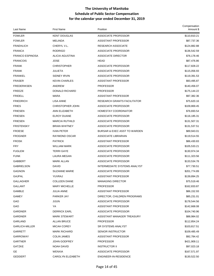| Last Name              | <b>First Name</b>       | Position                            | Compensation<br>Amount \$ |
|------------------------|-------------------------|-------------------------------------|---------------------------|
| <b>FOWLER</b>          | <b>KENT DOUGLAS</b>     | ASSOCIATE PROFESSOR                 | \$110,810.21              |
| <b>FOWLER</b>          | <b>MELINDA</b>          | <b>ASSISTANT PROFESSOR</b>          | \$87,737.36               |
| <b>FRAEHLICH</b>       | CHERYL V.L.             | RESEARCH ASSOCIATE                  | \$124,882.88              |
| <b>FRANCA</b>          | <b>RODRIGO</b>          | ASSOCIATE PROFESSOR                 | \$136,542.59              |
| <b>FRANCO ESPINOSA</b> | <b>ALICIA AGUSTINA</b>  | <b>ASSOCIATE DIRECTOR</b>           | \$76,178.46               |
| <b>FRANCOIS</b>        | <b>JOSE</b>             | <b>HEAD</b>                         | \$87,476.86               |
| <b>FRANK</b>           | <b>CHRISTOPHER</b>      | <b>ASSOCIATE PROFESSOR</b>          | \$117,828.22              |
| <b>FRANK</b>           | JULIETA                 | ASSOCIATE PROFESSOR                 | \$115,056.93              |
| <b>FRANKEL</b>         | <b>SIDNEY IRVIN</b>     | <b>ASSOCIATE PROFESSOR</b>          | \$119,391.53              |
| <b>FRASER</b>          | <b>KEVIN CHARLES</b>    | ASSISTANT PROFESSOR                 | \$93,495.87               |
| <b>FREDERIKSEN</b>     | ANDREW                  | <b>PROFESSOR</b>                    | \$140,456.07              |
| <b>FREEZE</b>          | <b>DONALD RICHARD</b>   | <b>PROFESSOR</b>                    | \$175,144.22              |
| <b>FRIDELL</b>         | MARA                    | <b>ASSISTANT PROFESSOR</b>          | \$97,382.36               |
| <b>FRIEDRICH</b>       | <b>LISA ANNE</b>        | RESEARCH GRANTS FACILITATOR         | \$75,620.16               |
| <b>FRIES</b>           | <b>CHRISTOPHER JOHN</b> | ASSOCIATE PROFESSOR                 | \$109,869.45              |
| <b>FRIESEN</b>         | ANN ELIZABETH           | <b>HOMESTAY COORDINATOR</b>         | \$76,693.54               |
| <b>FRIESEN</b>         | <b>ELROY DUANE</b>      | ASSOCIATE PROFESSOR                 | \$116,185.31              |
| <b>FRIESEN</b>         | <b>MARCIA RUTHILD</b>   | ASSOCIATE PROFESSOR                 | \$131,507.31              |
| <b>FRISTENSKY</b>      | <b>BRIAN WHITNEY</b>    | ASSOCIATE PROFESSOR                 | \$131,537.51              |
| <b>FROESE</b>          | <b>IVAN PETER</b>       | BURSAR & EXEC ASST TO WARDEN        | \$89,943.01               |
| <b>FROGNER</b>         | RAYMOND OSCAR           | <b>ASSOCIATE LIBRARIAN</b>          | \$119,514.55              |
| <b>FROSK</b>           | <b>PATRICK</b>          | <b>ASSISTANT PROFESSOR</b>          | \$86,430.83               |
| FRY                    | WILLIAM MARK            | ASSOCIATE PROFESSOR                 | \$105,533.21              |
| <b>FUGLEM</b>          | <b>TERRI GAYE</b>       | ASSOCIATE PROFESSOR                 | \$130,974.34              |
| <b>FUNK</b>            | LAURA MEGAN             | ASSOCIATE PROFESSOR                 | \$111,323.56              |
| <b>GABBERT</b>         | <b>MARK ALLAN</b>       | ASSOCIATE PROFESSOR                 | \$133,534.78              |
| <b>GABRIELSON</b>      | DAVID                   | <b>INTERMEDIATE SYSTEMS ANALYST</b> | \$77,730.51               |
| <b>GAGNON</b>          | <b>SUZANNE MARIE</b>    | ASSOCIATE PROFESSOR                 | \$201,774.89              |
| <b>GAJPAL</b>          | YUVRAJ                  | <b>ASSISTANT PROFESSOR</b>          | \$139,894.25              |
| <b>GALLAGHER</b>       | <b>COLLEEN DIANE</b>    | <b>MANAGING DIRECTOR</b>            | \$75,519.46               |
| GALLANT                | <b>MARY MICHELLE</b>    | <b>PROFESSOR</b>                    | \$162,833.87              |
| <b>GAMBLE</b>          | <b>JULIA ANNE</b>       | ASSISTANT PROFESSOR                 | \$86,152.93               |
| <b>GAMEY</b>           | PARKER JAY              | DIRECTOR, CHILDREN PROGRAMS         | \$85,231.01               |
| GAO                    | <b>JIJUN</b>            | ASSOCIATE PROFESSOR                 | \$178,544.56              |
| GAO                    | YA                      | ASSISTANT PROFESSOR                 | \$142,668.08              |
| <b>GARDNER</b>         | <b>DERRICK EARL</b>     | ASSOCIATE PROFESSOR                 | \$104,740.96              |
| <b>GARDNER</b>         | <b>MARK STEWART</b>     | ASSISTANT MANAGER TREASURY          | \$88,984.02               |
| <b>GARLAND</b>         | <b>ALLAN BRUCE</b>      | <b>PROFESSOR</b>                    | \$112,854.24              |
| <b>GARLICH-MILLER</b>  | MICAH COREY             | SR SYSTEMS ANALYST                  | \$103,817.51              |
| GARRETT                | <b>MARK RICHARD</b>     | <b>SENIOR INSTRUCTOR</b>            | \$109,485.49              |
| GARROWAY               | <b>COLIN JAMES</b>      | ASSISTANT PROFESSOR                 | \$92,784.42               |
| <b>GARTNER</b>         | <b>JOHN GODFREY</b>     | <b>PROFESSOR</b>                    | \$421,909.11              |
| <b>GATZKE</b>          | NOAH DAVID              | <b>INSTRUCTOR II</b>                | \$97,023.18               |
| GE                     | WENXIA                  | ASSOCIATE PROFESSOR                 | \$167,571.97              |
| <b>GEDDERT</b>         | CAROLYN ELIZABETH       | ENGINEER-IN-RESIDENCE               | \$130,522.50              |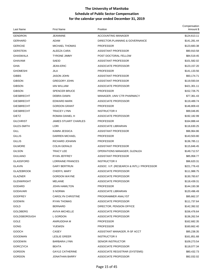| Last Name           | <b>First Name</b>           | Position                                  | Compensation<br>Amount \$ |
|---------------------|-----------------------------|-------------------------------------------|---------------------------|
| <b>GENDRON</b>      | <b>JEANNINE</b>             | <b>ACCOUNTING MANAGER</b>                 | \$124,613.11              |
| <b>GERHARD</b>      | ADAM                        | DIRECTOR, PLANNING & GOVERNANCE           | \$141,281.44              |
| <b>GERICKE</b>      | MICHAEL THOMAS              | <b>PROFESSOR</b>                          | \$123,683.38              |
| <b>GERSTEIN</b>     | ALEEZA CARA                 | ASSISTANT PROFESSOR                       | \$90,910.58               |
| <b>GHASWALA</b>     | <b>TYRONE JIMMY</b>         | POST DOCTORAL FELLOW                      | \$84,519.45               |
| <b>GHAVAMI</b>      | SAEID                       | ASSISTANT PROFESSOR                       | \$101,582.02              |
| <b>GHIA</b>         | JEAN-ERIC                   | ASSOCIATE PROFESSOR                       | \$123,157.20              |
| <b>GHOMESHI</b>     | JILA                        | <b>PROFESSOR</b>                          | \$141,133.56              |
| <b>GIBBS</b>        | <b>JASON JOHN</b>           | ASSISTANT PROFESSOR                       | \$93,174.71               |
| <b>GIBSON</b>       | <b>GREGORY JOHN</b>         | ASSISTANT PROFESSOR                       | \$119,593.04              |
| <b>GIBSON</b>       | IAN WILLIAM                 | ASSOCIATE PROFESSOR                       | \$421,301.11              |
| <b>GIBSON</b>       | <b>SPENCER BRUCE</b>        | <b>PROFESSOR</b>                          | \$152,726.75              |
| <b>GIESBRECHT</b>   | DEBRA DAWN                  | MANAGER, UNIV CTR PHARMACY                | \$77,361.43               |
| <b>GIESBRECHT</b>   | EDWARD MARK                 | ASSOCIATE PROFESSOR                       | \$119,489.74              |
| <b>GIESBRECHT</b>   | <b>GORDON GRANT</b>         | <b>PROFESSOR</b>                          | \$146,809.43              |
| <b>GIESBRECHT</b>   | <b>TRACEY LYNN</b>          | <b>INSTRUCTOR II</b>                      | \$99,046.85               |
| GIETZ               | ROMAN DANIEL H              | ASSOCIATE PROFESSOR                       | \$192,182.99              |
| <b>GILCHRIST</b>    | <b>JAMES STUART CHARLES</b> | <b>PROFESSOR</b>                          | \$164,888.44              |
| GILES-SMITH         | LORI                        | ASSOCIATE LIBRARIAN                       | \$116,630.25              |
| GILL                | <b>KAMNI JESSICA</b>        | ASSISTANT PROFESSOR                       | \$96,964.86               |
| <b>GILLIS</b>       | DARREN MICHAEL              | <b>PROFESSOR</b>                          | \$143,503.80              |
| <b>GILLIS</b>       | RICHARD JOHANN              | <b>PROFESSOR</b>                          | \$136,785.11              |
| <b>GILMORE</b>      | <b>COLIN GERALD</b>         | ASSISTANT PROFESSOR                       | \$115,846.45              |
| <b>GILSON</b>       | <b>TRACY LEE</b>            | OPERATIONS MANAGER, GLENLEA               | \$149,712.57              |
| <b>GIULIANO</b>     | RYAN JEFFREY                | ASSISTANT PROFESSOR                       | \$85,958.77               |
| <b>GLASSFORD</b>    | LORRAINE FRANCES            | <b>INSTRUCTOR II</b>                      | \$96,620.31               |
| <b>GLAVIN</b>       | <b>GARY BERTRUN</b>         | ASSOC. V.P. (RESEARCH & INTL) / PROFESSOR | \$221,776.43              |
| <b>GLAZEBROOK</b>   | <b>CHERYL MARY</b>          | ASSOCIATE PROFESSOR                       | \$111,988.75              |
| <b>GLAZNER</b>      | <b>GORDON WAYNE</b>         | ASSOCIATE PROFESSOR                       | \$130,783.67              |
| <b>GLENWRIGHT</b>   | MELANIE                     | <b>ASSOCIATE PROFESSOR</b>                | \$118,439.31              |
| GODARD              | <b>JOHN HAMILTON</b>        | <b>PROFESSOR</b>                          | \$144,193.38              |
| <b>GODAVARI</b>     | S NORMA                     | ASSOCIATE LIBRARIAN                       | \$120,496.49              |
| <b>GODFREY</b>      | <b>CAROLYN CHRISTINE</b>    | PROGRAMMER ANALYST                        | \$95,662.37               |
| <b>GODWIN</b>       | RYAN THOMAS                 | <b>ASSOCIATE PROFESSOR</b>                | \$111,737.64              |
| GOLD                | <b>BERNARD</b>              | DIRECTOR, PENSION OFFICE                  | \$142,392.02              |
| <b>GOLDBERG</b>     | <b>AVIVA MICHELLE</b>       | ASSOCIATE PROFESSOR                       | \$156,476.64              |
| <b>GOLDSBOROUGH</b> | L GORDON                    | ASSOCIATE PROFESSOR                       | \$136,262.54              |
| GOLE                | ANIRUDDHA M                 | <b>PROFESSOR</b>                          | \$162,682.35              |
| GONG                | YUEWEN                      | <b>PROFESSOR</b>                          | \$160,662.40              |
| GOOCH               | CASEY                       | ASSISTANT MANAGER, R-SF ACCT              | \$95,238.35               |
| <b>GOODMAN</b>      | <b>LESLIE GREER</b>         | <b>INSTRUCTOR II</b>                      | \$161,851.68              |
| <b>GOODWIN</b>      | BARBARA LYNN                | <b>SENIOR INSTRUCTOR</b>                  | \$109,273.54              |
| <b>GORCZYCA</b>     | BEATA                       | ASSOCIATE PROFESSOR                       | \$118,077.34              |
| <b>GORDON</b>       | <b>GAYLE CATHERINE</b>      | ASSOCIATE REGISTRAR (SYSTEMS)             | \$80,432.73               |
| <b>GORDON</b>       | JONATHAN BARRY              | <b>ASSOCIATE PROFESSOR</b>                | \$92,032.02               |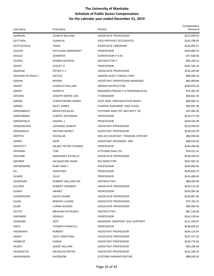| Last Name         | <b>First Name</b>        | Position                          | Compensation<br>Amount \$ |
|-------------------|--------------------------|-----------------------------------|---------------------------|
| <b>GORDON</b>     | <b>JOSEPH WILLIAM</b>    | <b>ASSOCIATE PROFESSOR</b>        | \$123,959.53              |
| <b>GOTTHEIL</b>   | <b>SUSAN M</b>           | VICE-PROVOST (STUDENTS)           | \$120,706.93              |
| <b>GOTTSCHALK</b> | <b>TANIA</b>             | <b>ASSOCIATE LIBRARIAN</b>        | \$125,003.21              |
| <b>GOUGH</b>      | KATHLEEN MARGARET        | <b>PROFESSOR</b>                  | \$159,884.25              |
| GOULD             | <b>JENNIFER</b>          | SUPERVISOR P.E.M.                 | \$77,536.56               |
| <b>GOZHO</b>      | <b>NHAMO GEORGE</b>      | <b>INSTRUCTOR II</b>              | \$94,160.14               |
| <b>GRAFF</b>      | <b>LESLEY A</b>          | <b>PROFESSOR</b>                  | \$191,333.19              |
| <b>GRAHAM</b>     | PETER CJ                 | <b>ASSOCIATE PROFESSOR</b>        | \$133,325.96              |
| GRAHAM-TETRAULT   | <b>NICOLE</b>            | SENIOR AUDIT CONSULTANT           | \$86,059.18               |
| <b>GRAHN</b>      | <b>MYRNA</b>             | ASSISTANT OPERATIONS MANAGER      | \$81,909.68               |
| <b>GRANT</b>      | <b>CHARLES WILLIAM</b>   | <b>SENIOR INSTRUCTOR</b>          | \$159,878.46              |
| <b>GRANT</b>      | <b>KAREN A</b>           | MANAGER, PROJECT & PROGRAM EVAL   | \$76,302.55               |
| <b>GRAVES</b>     | <b>JOSEPH DEREK LEE</b>  | <b>IT MANAGER</b>                 | \$93,602.33               |
| <b>GREEN</b>      | <b>CHRISTOPHER HENRY</b> | ASST MGR, PREVENTATIVE MAINT.     | \$89,585.21               |
| <b>GREEN</b>      | RILEY JAMES              | <b>CHARGE ENGINEER -2ND CLASS</b> | \$95,697.58               |
| <b>GREENBERG</b>  | <b>BRIAN DOUGLAS</b>     | SYSTEMS ANALYST-SECURITY OP       | \$75,583.26               |
| <b>GREENBERG</b>  | <b>CHERYL ROCKMAN</b>    | <b>PROFESSOR</b>                  | \$119,277.83              |
| <b>GREENFIELD</b> | <b>HASKEL J</b>          | <b>PROFESSOR</b>                  | \$159,445.68              |
| <b>GREENWOOD</b>  | <b>LEONARD JOSEPH</b>    | <b>ASSISTANT PROFESSOR</b>        | \$119,593.04              |
| <b>GREIDANUS</b>  | <b>NATHAN SIDNEY</b>     | ASSISTANT PROFESSOR               | \$138,244.36              |
| <b>GRIFFIN</b>    | <b>DOUGLAS</b>           | SEN ACCOUNTANT / FINANCE OFFICER  | \$88,093.60               |
| <b>GRINIC</b>     | <b>IGOR</b>              | <b>ASSISTANT ENGINEER -3RD</b>    | \$89,015.93               |
| <b>GROCOTT</b>    | HILARY PETER THOMAS      | <b>PROFESSOR</b>                  | \$146,456.46              |
| <b>GRONSKI</b>    | <b>TOM</b>               | SYSTEMS ANALYST                   | \$78,221.41               |
| <b>GROOME</b>     | <b>MARGARET ESTELLE</b>  | ASSOCIATE PROFESSOR               | \$130,256.92              |
| <b>GRUBER</b>     | <b>JACQUELINE ISAAN</b>  | <b>EDI DIRECTOR</b>               | \$107,593.16              |
| <b>GRYMONPRE</b>  | <b>RUBY EMILY</b>        | <b>PROFESSOR</b>                  | \$164,895.82              |
| GU                | <b>XIAOCHEN</b>          | <b>PROFESSOR</b>                  | \$159,833.70              |
| <b>GUARD</b>      | JULIE                    | <b>PROFESSOR</b>                  | \$143,469.65              |
| <b>GUDERIAN</b>   | ROBERT WILLIAM LEE       | <b>INSTRUCTOR I</b>               | \$80,450.08               |
| <b>GULDEN</b>     | ROBERT HERBERT           | <b>ASSOCIATE PROFESSOR</b>        | \$120,112.46              |
| <b>GUNAY</b>      | <b>HIKMET</b>            | <b>PROFESSOR</b>                  | \$120,304.39              |
| <b>GUNDERSON</b>  | DAVID SHANE              | <b>ASSOCIATE PROFESSOR</b>        | \$128,667.65              |
| <b>GUNN</b>       | <b>BRENDA LAURIE</b>     | <b>ASSOCIATE PROFESSOR</b>        | \$75,765.24               |
| GUSE              | LORNA WILEEN             | ASSOCIATE PROFESSOR               | \$90,000.00               |
| <b>GUYOT</b>      | <b>MEGHAN KATHLEEN</b>   | <b>INSTRUCTOR I</b>               | \$81,128.98               |
| <b>GWINNER</b>    | <b>GERALD</b>            | <b>PROFESSOR</b>                  | \$144,128.94              |
| HAAKSMA           | <b>JEFF</b>              | MANAGER, ENDPOINT SVC-SUPPORT     | \$111,046.97              |
| HACK              | <b>THOMAS FRANCIS L</b>  | <b>PROFESSOR</b>                  | \$148,836.62              |
| <b>HAGIWARA</b>   | ROBERT                   | ASSISTANT PROFESSOR               | \$109,120.04              |
| <b>HAIGH</b>      | JODY JONATHAN            | ASSOCIATE PROFESSOR               | \$107,237.25              |
| <b>HAIMEUR</b>    | ASMAA                    | ASSISTANT PROFESSOR               | \$126,776.04              |
| <b>HAJER</b>      | <b>JESSE WILLIAM</b>     | ASSISTANT PROFESSOR               | \$94,259.49               |
| <b>HAJIDIACOS</b> | NICHOLAS PETER           | ASSISTANT PROFESSOR               | \$121,180.03              |
| HAKIMZADEH        | <b>KHOSROW</b>           | SYSTEMS ADMINISTRATOR             | \$86,920.93               |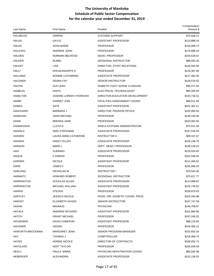| Last Name         | <b>First Name</b>             | Position                               | Compensation<br>Amount \$ |
|-------------------|-------------------------------|----------------------------------------|---------------------------|
| HALABUZA          | <b>DARRIN</b>                 | <b>SYSTEMS SUPPORT</b>                 | \$76,508.21               |
| <b>HALAS</b>      | GAYLE                         | <b>ASSISTANT PROFESSOR</b>             | \$113,888.29              |
| <b>HALAS</b>      | <b>JOAN MARIE</b>             | <b>PROFESSOR</b>                       | \$153,096.73              |
| <b>HALAYKO</b>    | ANDREW JOHN                   | <b>PROFESSOR</b>                       | \$175,888.19              |
| <b>HALDEN</b>     | <b>NORMAN MELROSE</b>         | DEAN / PROFESSOR                       | \$234,628.67              |
| <b>HALDER</b>     | <b>RUMEL</b>                  | SESSIONAL INSTRUCTOR                   | \$86,933.28               |
| <b>HALKET</b>     | <b>LISA</b>                   | DIRECTOR, STAFF RELATIONS              | \$145,563.99              |
| <b>HALLI</b>      | SHIVALINGAPPA S               | <b>PROFESSOR</b>                       | \$116,367.84              |
| <b>HALLMAN</b>    | <b>BONNIE CATHARINE</b>       | <b>ASSOCIATE PROFESSOR</b>             | \$127,403.35              |
| <b>HALONEN</b>    | <b>DEANA FAY</b>              | <b>SENIOR INSTRUCTOR</b>               | \$126,519.55              |
| <b>HALPIN</b>     | AVA LEAH                      | DIABETIC FOOT NURSE CLINICIAN          | \$90,371.94               |
| <b>HAMELIN</b>    | <b>DARYL</b>                  | ELECTRICAL TECHNOLOGIST                | \$89,263.59               |
| <b>HAMILTON</b>   | <b>JOANNE LOREEN THOROSKI</b> | DIRECTOR, EDUCATION DEVELOPMENT        | \$120,734.52              |
| HAMM              | <b>GARRET JOEL</b>            | <b>FACILITIES ASSESSMENT COORD</b>     | \$89,011.58               |
| HAMZA             | <b>SATE</b>                   | ASSISTANT PROFESSOR                    | \$421,301.11              |
| <b>HANCHARD</b>   | <b>BARBARA J</b>              | DIRECTOR, PENSION OFFICE               | \$102,000.55              |
| <b>HANESIAK</b>   | <b>JOHN MICHAEL</b>           | <b>PROFESSOR</b>                       | \$149,140.59              |
| <b>HANN</b>       | <b>BRENDA JANE</b>            | <b>PROFESSOR</b>                       | \$163,062.82              |
| <b>HANNESSON</b>  | LLOYD K                       | <b>WEB &amp; SYSTEMS ADMINISTRATOR</b> | \$75,911.39               |
| <b>HANNILA</b>    | <b>SARI STEPHANIE</b>         | <b>ASSOCIATE PROFESSOR</b>             | \$107,018.49              |
| <b>HANSEN</b>     | LAURA ANNE CATHERINE          | <b>INSTRUCTOR II</b>                   | \$89,167.67               |
| <b>HANSEN</b>     | <b>NANCY ELLEN</b>            | ASSOCIATE PROFESSOR                    | \$126,146.70              |
| <b>HANSON</b>     | <b>MARK L</b>                 | DEPT. HEAD / PROFESSOR                 | \$138,139.25              |
| HAO               | <b>XUEMIAO</b>                | ASSOCIATE PROFESSOR                    | \$133,024.45              |
| <b>HAQUE</b>      | C EMDAD                       | <b>PROFESSOR</b>                       | \$162,549.04              |
| <b>HARDER</b>     | <b>NICOLE</b>                 | <b>ASSISTANT PROFESSOR</b>             | \$111,494.62              |
| <b>HARE</b>       | <b>JAMESF</b>                 | <b>PROFESSOR</b>                       | \$155,958.29              |
| <b>HARLAND</b>    | NICHOLAS W                    | <b>INSTRUCTOR I</b>                    | \$75,543.30               |
| <b>HARMATZ</b>    | <b>HOWARD ROBERT</b>          | <b>SESSIONAL INSTRUCTOR</b>            | \$75,817.77               |
| <b>HARRINGTON</b> | DOUGLAS ALLEN                 | ASSOCIATE PROFESSOR                    | \$114,998.87              |
| <b>HARRINGTON</b> | MICHAEL WILLIAM               | ASSISTANT PROFESSOR                    | \$125,735.02              |
| <b>HARRIS</b>     | <b>STEVEN</b>                 | <b>PROFESSOR</b>                       | \$159,979.43              |
| HARTLEY           | <b>JESSICA NICOLE</b>         | PROG. DIR.-GENETIC COUNS. PROG         | \$102,494.98              |
| HARVEY            | ELIZABETH HUSSA               | <b>SENIOR INSTRUCTOR</b>               | \$107,747.59              |
| HASAN             | <b>MAHMUD</b>                 | <b>PHYSICIAN</b>                       | \$149,706.87              |
| <b>HATALA</b>     | ANDREW RICHARD                | ASSISTANT PROFESSOR                    | \$101,864.85              |
| <b>HATCH</b>      | <b>GRANT MICHAEL</b>          | <b>PROFESSOR</b>                       | \$197,246.25              |
| <b>HAUSEMAN</b>   | DAVID CAMERON                 | ASSISTANT PROFESSOR                    | \$86,125.84               |
| <b>HAUSNER</b>    | <b>GEORG</b>                  | <b>PROFESSOR</b>                       | \$144,485.12              |
| HAWORTH-BROCKMAN  | MARGARET JEAN                 | <b>SENIOR PROGRAM MANAGER</b>          | \$102,603.34              |
| HAY               | THOMAS J                      | <b>COMPTROLLER</b>                     | \$216,469.74              |
| HAYES             | <b>KERRIE NICOLE</b>          | DIRECTOR OF CONTRACTS                  | \$108,052.73              |
| <b>HAYGLASS</b>   | <b>KENT TAYLOR</b>            | <b>PROFESSOR</b>                       | \$165,045.59              |
| HEALY             | PAULA MARIE                   | PHYSICIAN REPATRIATION COORD           | \$85,592.98               |
| <b>HEBERGER</b>   | ALEXANDRA                     | ASSOCIATE PROFESSOR                    | \$132,138.53              |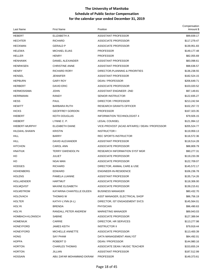| Last Name          | <b>First Name</b>         | Position                                       | Compensation<br>Amount \$ |
|--------------------|---------------------------|------------------------------------------------|---------------------------|
| <b>HEBERT</b>      | ELIZABETH A               | <b>ASSISTANT PROFESSOR</b>                     | \$99,839.17               |
| <b>HECHTER</b>     | <b>RICHARD</b>            | <b>ASSOCIATE PROFESSOR</b>                     | \$117,279.47              |
| <b>HECKMAN</b>     | <b>GERALD P</b>           | <b>ASSOCIATE PROFESSOR</b>                     | \$139,951.83              |
| <b>HELEWA</b>      | <b>MICHAEL ELIAS</b>      | <b>PROFESSOR</b>                               | \$149,177.48              |
| <b>HELLER</b>      | <b>HENRY</b>              | <b>PROFESSOR</b>                               | \$82,055.69               |
| <b>HENHAWK</b>     | DANIEL ALEXANDER          | <b>ASSISTANT PROFESSOR</b>                     | \$83,098.61               |
| <b>HENRIKSEN</b>   | <b>CHRISTINE ANNE</b>     | <b>ASSISTANT PROFESSOR</b>                     | \$98,636.57               |
| <b>HENRY</b>       | <b>RICHARD RORY</b>       | DIRECTOR, PLANNING & PRIORITIES                | \$136,238.55              |
| <b>HENSEL</b>      | <b>JENNIFER</b>           | <b>ASSISTANT PROFESSOR</b>                     | \$182,524.15              |
| <b>HEPBURN</b>     | <b>GARY ROY</b>           | DEAN / PROFESSOR                               | \$206,649.71              |
| <b>HERBERT</b>     | <b>DAVID ERIC</b>         | ASSOCIATE PROFESSOR                            | \$103,020.52              |
| <b>HERMOSISIMA</b> | <b>JOHN</b>               | <b>ASSISTANT ENGINEER -2ND</b>                 | \$97,149.81               |
| <b>HERRMANN</b>    | RANDY                     | <b>SENIOR INSTRUCTOR</b>                       | \$122,835.27              |
| <b>HESS</b>        | PAUL                      | DIRECTOR / PROFESSOR                           | \$213,242.94              |
| <b>HEWITT</b>      | <b>BARBARA RUTH</b>       | <b>RESEARCH GRANTS OFFICER</b>                 | \$102,257.72              |
| <b>HICKS</b>       | <b>GEOFFREY GORDON</b>    | <b>PROFESSOR</b>                               | \$167,323.35              |
| <b>HIEBERT</b>     | <b>KEITH DOUGLAS</b>      | <b>INFORMATION TECHNOLOGIST 4</b>              | \$79,926.15               |
| <b>HIEBERT</b>     | LYNNE C. P.               | <b>LEGAL COUNSEL</b>                           | \$121,994.12              |
| HIEBERT-MURPHY     | <b>ELIZABETH DIANE</b>    | VICE-PROVOST (ACAD AFFAIRS) / DEAN / PROFESSOR | \$205,524.77              |
| HILDAHL-SHAWN      | <b>KRISTIN</b>            | <b>INSTRUCTOR I</b>                            | \$119,959.13              |
| HILL               | <b>BARRY</b>              | <b>REC SPORTS INSTRUCTOR</b>                   | \$116,572.36              |
| <b>HILL</b>        | DAVID ALEXANDER           | <b>ASSISTANT PROFESSOR</b>                     | \$118,514.28              |
| <b>HITCHON</b>     | <b>CAROL ANN</b>          | ASSOCIATE PROFESSOR                            | \$88,809.79               |
| <b>HNATIUK</b>     | <b>TERRY GWENDOLYN</b>    | <b>RESEARCH INFORMATION SYST MGR</b>           | \$90,277.31               |
| HO                 | <b>JULIET</b>             | ASSOCIATE PROFESSOR                            | \$119,233.39              |
| HO                 | <b>NGAI MAN</b>           | ASSOCIATE PROFESSOR                            | \$122,709.07              |
| <b>HODGES</b>      | <b>RICHARD</b>            | DIRECTOR, ANIMAL CARE & USE                    | \$145,572.17              |
| <b>HOHENBERG</b>   | EDWARD                    | ENGINEER-IN-RESIDENCE                          | \$106,236.78              |
| <b>HOLENS</b>      | PAMELA LUANNE             | ASSISTANT PROFESSOR                            | \$135,714.26              |
| <b>HOLLAENDER</b>  | <b>HARTMUT</b>            | ASSOCIATE PROFESSOR                            | \$118,306.00              |
| <b>HOLMQVIST</b>   | MAXINE ELISABETH          | ASSOCIATE PROFESSOR                            | \$139,215.61              |
| <b>HOLMSTROM</b>   | KATARINA CHANTELLE EILEEN | <b>BUSINESS MANAGER</b>                        | \$80,432.70               |
| <b>HOLOVACH</b>    | <b>THOMAS W</b>           | ASST MANAGER, ELECTRICAL SHOP                  | \$86,756.19               |
| <b>HOLTER</b>      | KATHY-LYNN (K-L)          | DIRECTOR, IST ENGAGEMENT SVCS                  | \$145,564.01              |
| <b>HOLYK</b>       | <b>BRENDA</b>             | <b>PHYSICIAN</b>                               | \$96,490.63               |
| <b>HOLYK</b>       | RANDALL PETER ANDREW      | <b>MARKETING MANAGER</b>                       | \$89,943.03               |
| HOMBACH-KLONISCH   | <b>SABINE</b>             | <b>ASSOCIATE PROFESSOR</b>                     | \$127,389.94              |
| <b>HOMENIUK</b>    | CARRIE                    | DIRECTOR, HR SERVICES                          | \$113,277.98              |
| <b>HONEYFORD</b>   | <b>JAMES KEITH</b>        | <b>INSTRUCTOR II</b>                           | \$79,919.44               |
| <b>HONEYFORD</b>   | MICHELLE ANNETTE          | ASSOCIATE PROFESSOR                            | \$113,400.39              |
| <b>HONG</b>        | SAY PHAM                  | DATA MANAGEMENT ANALYST                        | \$84,492.01               |
| <b>HOPPA</b>       | ROBERT D                  | DEAN / PROFESSOR                               | \$144,980.16              |
| <b>HORTON</b>      | <b>CHARLES THOMAS</b>     | ASSOCIATE DEAN / MUSIC TEACHER                 | \$153,655.24              |
| <b>HORTON</b>      | JILLIAN                   | ASSISTANT PROFESSOR                            | \$187,512.99              |
| <b>HOSSAIN</b>     | ABU ZAFAR MOHAMMAD EKRAM  | <b>PROFESSOR</b>                               | \$149,373.61              |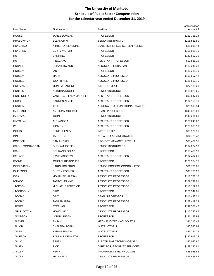| Last Name               | <b>First Name</b>             | Position                      | Compensation<br>Amount \$ |
|-------------------------|-------------------------------|-------------------------------|---------------------------|
| <b>HOUSE</b>            | <b>JAMES DUNCAN</b>           | <b>PROFESSOR</b>              | \$161,356.14              |
| <b>HRABOWYCH</b>        | <b>ELEANOR M</b>              | <b>SENIOR INSTRUCTOR</b>      | \$108,531.80              |
| <b>HRYCAIKO</b>         | KIMBERLY CLAUDINE             | DIABETIC RETINAL SCREEN NURSE | \$89,018.44               |
| <b>HRYSHKO</b>          | <b>LARRY VICTOR</b>           | <b>PROFESSOR</b>              | \$161,928.75              |
| HU                      | <b>CANMING</b>                | <b>PROFESSOR</b>              | \$142,557.36              |
| HU                      | <b>PINGZHAO</b>               | ASSISTANT PROFESSOR           | \$97,538.19               |
| <b>HUBNER</b>           | <b>BRIAN EDWARD</b>           | <b>ASSOCIATE LIBRARIAN</b>    | \$112,246.31              |
| <b>HUDSON</b>           | IAN                           | <b>PROFESSOR</b>              | \$130,288.70              |
| <b>HUDSON</b>           | <b>MARK</b>                   | <b>ASSOCIATE PROFESSOR</b>    | \$109,557.42              |
| <b>HUGHES</b>           | <b>JUDITH ANN</b>             | ASSOCIATE PROFESSOR           | \$125,602.75              |
| <b>HUISMAN</b>          | <b>MONICA PAULINE</b>         | <b>INSTRUCTOR II</b>          | \$77,188.20               |
| <b>HUNTER</b>           | <b>KRISTINA NICOLE</b>        | <b>SENIOR INSTRUCTOR</b>      | \$115,829.66              |
| <b>HUNZINGER</b>        | <b>VANESSA HILARY MARGRET</b> | ASSISTANT PROFESSOR           | \$92,647.99               |
| <b>HURD</b>             | <b>CARMEN ALYSE</b>           | ASSISTANT PROFESSOR           | \$102,158.71              |
| <b>HUSTON</b>           | JEFF                          | AURORA STUD FUNCTIONAL ANALYT | \$79,593.34               |
| <b>IACOPINO</b>         | <b>ANTHONY MICHAEL</b>        | DEAN / PROFESSOR              | \$343,325.03              |
| <b>IACOZZA</b>          | <b>JOHN</b>                   | <b>SENIOR INSTRUCTOR</b>      | \$140,284.63              |
| <b>ILNYCKYJ</b>         | ALEXANDRA                     | ASSISTANT PROFESSOR           | \$120,040.62              |
| ΙM                      | <b>JUNYON</b>                 | ASSISTANT PROFESSOR           | \$125,385.90              |
| <b>INGLIS</b>           | <b>DEREK HENRY</b>            | <b>INSTRUCTOR I</b>           | \$83,970.96               |
| <b>INNIS</b>            | <b>JAROD TYLER</b>            | NETWORK ADMINISTRATOR         | \$84,729.42               |
| <b>IONESCU</b>          | DAN ANDREI                    | PROJECT MANAGER, LEVEL 1      | \$88,469.55               |
| <b>IRAGHI MOGHADDAM</b> | <b>GHOLAMHOSSEIN</b>          | <b>SENIOR INSTRUCTOR</b>      | \$104,224.96              |
| <b>IRANI</b>            | POURANG POLAD                 | <b>PROFESSOR</b>              | \$168,469.90              |
| <b>IRELAND</b>          | DAVID ANDREW                  | <b>ASSISTANT PROFESSOR</b>    | \$104,434.21              |
| <b>IRVINE</b>           | <b>JOHN CHRISTOPHER</b>       | <b>PROFESSOR</b>              | \$178,374.75              |
| <b>ISFELD-KIELY</b>     | <b>HARPA KOLBRUN</b>          | SENIOR PROJECT COORDINATOR    | \$81,700.85               |
| <b>ISLEIFSON</b>        | <b>DUSTIN KONNER</b>          | ASSISTANT PROFESSOR           | \$98,765.96               |
| <b>ISSA</b>             | <b>MOHAMED HASSAN</b>         | ASSOCIATE PROFESSOR           | \$118,758.10              |
| <b>IVANCO</b>           | <b>TAMMY LEANNE</b>           | ASSOCIATE PROFESSOR           | \$129,797.91              |
| <b>JACKSON</b>          | <b>MICHAEL FREDERICK</b>      | ASSOCIATE PROFESSOR           | \$111,152.98              |
| <b>JACOBSOHN</b>        | ERIC                          | <b>PROFESSOR</b>              | \$176,349.01              |
| <b>JACOBY</b>           | GADY                          | DEAN / PROFESSOR              | \$311,497.21              |
| <b>JACOBY</b>           | TAMI AMANDA                   | ASSOCIATE PROFESSOR           | \$122,419.29              |
| <b>JAEGER</b>           | <b>STEPHAN</b>                | <b>PROFESSOR</b>              | \$142,501.47              |
| JAFARI JOZANI           | <b>MOHAMMAD</b>               | ASSOCIATE PROFESSOR           | \$117,787.65              |
| <b>JAKOBSON</b>         | LORNA SUSAN                   | <b>PROFESSOR</b>              | \$141,183.93              |
| JALAYERI                | EHSAN                         | MECH ENG TECHNOLOGIST 4       | \$91,316.48               |
| <b>JALLOH</b>           | <b>CHELSEA ROBIN</b>          | <b>INSTRUCTOR II</b>          | \$95,540.94               |
| JAMES                   | KARIN URSULA                  | <b>INSTRUCTOR II</b>          | \$83,294.24               |
| <b>JAMIESON</b>         | RANDALL KENNETH               | <b>PROFESSOR</b>              | \$127,913.22              |
| <b>JANJIC</b>           | <b>SINISA</b>                 | ELECTR ENG TECHNOLOGIST 3     | \$80,092.60               |
| <b>JANSEN</b>           | <b>RICK</b>                   | DIRECTOR, SECURITY SERVICES   | \$129,390.61              |
| JANZEN                  | <b>KEVIN</b>                  | INFORMATION TECHNOLOGIST      | \$88,965.52               |
| JANZEN                  | MELANIE D.                    | ASSOCIATE PROFESSOR           | \$96,868.46               |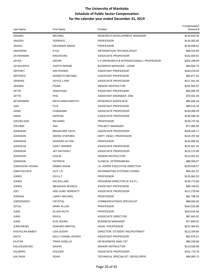| Last Name          | <b>First Name</b>          | Position                                    | Compensation<br>Amount \$ |
|--------------------|----------------------------|---------------------------------------------|---------------------------|
| JANZEN             | <b>MICHAEL</b>             | RESEARCH DEVELOPMENT MANAGER                | \$134,818.40              |
| JANZEN             | <b>TERENCE</b>             | <b>PROFESSOR</b>                            | \$144,003.45              |
| <b>JASSAL</b>      | DAVINDER SINGH             | <b>PROFESSOR</b>                            | \$136,838.62              |
| <b>JAWORSKI</b>    | KYLE                       | INFORMATION TECHNOLOGIST                    | \$89,524.80               |
| JAYARAMAN          | RAGHAVAN                   | ASSOCIATE PROFESSOR                         | \$132,820.91              |
| <b>JAYAS</b>       | <b>DIGVIR</b>              | V.P. (RESEARCH & INTERNATIONAL) / PROFESSOR | \$324,188.09              |
| <b>JAYASURIYA</b>  | <b>JUDITH NIKINIE</b>      | <b>BUSINESS MANAGER - UGME</b>              | \$84,828.75               |
| <b>JEFFREY</b>     | <b>IAN FRASER</b>          | ASSISTANT PROFESSOR                         | \$100,478.44              |
| <b>JEFFRIES</b>    | <b>KENNETH MICHAEL</b>     | ASSISTANT PROFESSOR                         | \$92,877.81               |
| <b>JENKINS</b>     | <b>JOYCE LYNN</b>          | ASSOCIATE PROFESSOR                         | \$117,441.45              |
| <b>JENSEN</b>      | <b>FIONA</b>               | <b>SENIOR INSTRUCTOR</b>                    | \$161,091.87              |
| <b>JETTE</b>       | <b>JONATHAN</b>            | ASSISTANT PROFESSOR                         | \$83,956.39               |
| <b>JETTE</b>       | PHIL                       | <b>ASSISTANT ENGINEER -2ND</b>              | \$78,551.06               |
| <b>JEYARAMAN</b>   | <b>MAYA MADHUMATHY</b>     | RESEARCH ASSOCIATE                          | \$85,692.29               |
| <b>JIAN</b>        | <b>FUJI</b>                | ASSISTANT PROFESSOR                         | \$90,510.18               |
| <b>JIANG</b>       | <b>CHANGMIN</b>            | <b>ASSOCIATE PROFESSOR</b>                  | \$130,068.29              |
| JIANG              | <b>DEPENG</b>              | ASSOCIATE PROFESSOR                         | \$135,568.28              |
| <b>JOCHELSON</b>   | <b>RICHARD</b>             | <b>PROFESSOR</b>                            | \$139,737.93              |
| <b>JOCHEM</b>      | JAN                        | PROJECT MANAGER                             | \$77,965.59               |
| <b>JOHNSON</b>     | <b>BRADFORD CECIL</b>      | ASSOCIATE PROFESSOR                         | \$109,440.17              |
| <b>JOHNSON</b>     | <b>DEREK STEPHEN</b>       | DEPT. HEAD / PROFESSOR                      | \$125,707.69              |
| <b>JOHNSON</b>     | <b>EDWARD ALTON</b>        | <b>PROFESSOR</b>                            | \$142,608.30              |
| <b>JOHNSON</b>     | <b>GARY VERNER</b>         | ASSOCIATE PROFESSOR                         | \$132,927.29              |
| <b>JOHNSON</b>     | <b>JAY ANTHONY</b>         | ASSOCIATE PROFESSOR                         | \$115,170.89              |
| <b>JOHNSON</b>     | <b>LESLIE</b>              | <b>SENIOR INSTRUCTOR</b>                    | \$114,931.62              |
| <b>JOHNSON</b>     | <b>PATRICIA</b>            | CLINICAL VETERINARIAN                       | \$88,583.67               |
| JONASSON-YOUNG     | <b>DEBRA SIGNE</b>         | I.H. ASPER EXECUTIVE DIRECTOR               | \$126,839.57              |
| <b>JONATSCHICK</b> | GUY J D                    | INFORMATION SYSTEMS COORD.                  | \$95,451.31               |
| <b>JONES</b>       | <b>ESYLLT</b>              | <b>PROFESSOR</b>                            | \$131,662.03              |
| <b>JONES</b>       | <b>JAN WILLIAM</b>         | PROGRAM DIRECTOR (P.A.E.P.)                 | \$136,773.06              |
| <b>JONES</b>       | <b>MEAGHAN JESSICA</b>     | ASSISTANT PROFESSOR                         | \$90,769.91               |
| <b>JOO</b>         | HEE-JUNG SERENITY          | ASSOCIATE PROFESSOR                         | \$111,278.99              |
| <b>JORDAN</b>      | <b>LARRY MICHAEL</b>       | <b>PROFESSOR</b>                            | \$81,798.54               |
| <b>JORGENSON</b>   | <b>CRYSTAL</b>             | COMMUNICATIONS SPECIALIST                   | \$89,943.03               |
| <b>JOYAL</b>       | <b>MARK ALLAN</b>          | <b>PROFESSOR</b>                            | \$162,520.80              |
| <b>JUDD</b>        | <b>ELLEN RUTH</b>          | <b>PROFESSOR</b>                            | \$163,615.64              |
| JUNG               | <b>ERICA</b>               | <b>ASSOCIATE DIRECTOR</b>                   | \$97,843.02               |
| JUNG               | EUN-JEONG                  | <b>BUSINESS MANAGER</b>                     | \$77,693.52               |
| <b>JURKOWSKI</b>   | EDWARD MARTIN              | <b>DEAN/PROFESSOR</b>                       | \$237,484.83              |
| KACHULAK-BABEY     | LISA SUSAN                 | DIRECTOR, STUDENT RECRUITMENT               | \$112,334.80              |
| KAITA              | <b>KELLY DANIEL ENJIRO</b> | ASSISTANT PROFESSOR                         | \$82,878.22               |
| KAJTAR             | <b>TRINA GISELLE</b>       | HR BUSINESS ANALYST                         | \$80,228.69               |
| KALAJDZIEVSKI      | SASHO                      | SENIOR INSTRUCTOR                           | \$113,559.58              |
| KALBERG            | <b>HOLGER</b>              | ASSOCIATE PROFESSOR                         | \$101,770.78              |
| <b>KALYNUK</b>     | <b>SEAN</b>                | TECHNICAL SPECIALIST / DEVELOPER            | \$90,950.73               |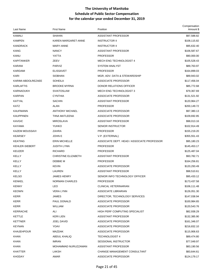| Last Name             | <b>First Name</b>          | Position                                   | Compensation<br>Amount \$ |
|-----------------------|----------------------------|--------------------------------------------|---------------------------|
| KAMALI                | <b>SHAHIN</b>              | <b>ASSISTANT PROFESSOR</b>                 | \$97,588.82               |
| <b>KAMPEN</b>         | KAREN MARGARET-ANNE        | <b>INSTRUCTOR II</b>                       | \$108,115.82              |
| <b>KANDRACK</b>       | MARY-ANNE                  | <b>INSTRUCTOR II</b>                       | \$95,632.40               |
| <b>KANG</b>           | <b>NANCY</b>               | ASSISTANT PROFESSOR                        | \$106,587.67              |
| KANU                  | YATTA                      | <b>PROFESSOR</b>                           | \$90,000.00               |
| <b>KAPITANKER</b>     | ZEEV                       | MECH ENG TECHNOLOGIST 4                    | \$105,528.43              |
| <b>KARANI</b>         | PARVIZ                     | <b>SYSTEM ANALYST</b>                      | \$89,763.97               |
| KARDAMI               | <b>ELISSAVET</b>           | <b>PROFESSOR</b>                           | \$164,899.03              |
| <b>KARI</b>           | <b>SIOBHAN</b>             | MGR, ADV. DATA & STEWARDSHIP               | \$89,943.02               |
| KARIMI-ABDOLREZAEE    | <b>SOHEILA</b>             | ASSOCIATE PROFESSOR                        | \$117,456.04              |
| <b>KARLAFTIS</b>      | <b>BROOKE MYRNA</b>        | <b>DONOR RELATIONS OFFICER</b>             | \$85,772.68               |
| <b>KARNAOUKH</b>      | <b>SVIATOSLAW</b>          | MECH ENG TECHNOLOGIST 3                    | \$79,367.69               |
| <b>KARPAN</b>         | <b>CYNTHIA</b>             | ASSOCIATE PROFESSOR                        | \$131,521.92              |
| <b>KATYAL</b>         | <b>SACHIN</b>              | ASSISTANT PROFESSOR                        | \$120,964.27              |
| KATZ                  | <b>ALAN</b>                | <b>PROFESSOR</b>                           | \$200,149.72              |
| <b>KAUFMANN</b>       | <b>ANTHONY MICHAEL</b>     | ASSOCIATE PROFESSOR                        | \$97,380.13               |
| <b>KAUPPINEN</b>      | TIINA MATLEENA             | ASSOCIATE PROFESSOR                        | \$109,692.85              |
| <b>KAVGIC</b>         | <b>MIROSLAVA</b>           | ASSISTANT PROFESSOR                        | \$98,013.16               |
| <b>KAYAMA</b>         | <b>YUHKO</b>               | <b>SENIOR INSTRUCTOR</b>                   | \$102,914.49              |
| <b>KAZEM MOUSSAVI</b> | ZAHRA                      | <b>PROFESSOR</b>                           | \$155,219.20              |
| <b>KEARSEY</b>        | <b>JOHN E</b>              | V.P. (EXTERNAL)                            | \$355,551.43              |
| <b>KEATING</b>        | <b>ERIN MICHELLE</b>       | ASSOCIATE DEPT. HEAD / ASSOCIATE PROFESSOR | \$95,180.23               |
| KEHLER-SIEBERT        | <b>JUDITH LYNN</b>         | <b>PROFESSOR</b>                           | \$145,453.17              |
| <b>KEIJZER</b>        | <b>RICHARD</b>             | <b>PROFESSOR</b>                           | \$125,487.04              |
| KELLY                 | <b>CHRISTINE ELIZABETH</b> | <b>ASSISTANT PROFESSOR</b>                 | \$93,782.71               |
| KELLY                 | <b>DEBBIE M</b>            | <b>PROFESSOR</b>                           | \$164,256.81              |
| KELLY                 | <b>KEVIN</b>               | <b>ASSOCIATE PROFESSOR</b>                 | \$120,293.49              |
| KELLY                 | LAUREN                     | ASSISTANT PROFESSOR                        | \$98,510.61               |
| <b>KELSO</b>          | <b>JAMES HENRY</b>         | SENIOR INFO TECHNOLOGY OFFICER             | \$95,433.12               |
| <b>KENKEL</b>         | NORMAN CHARLES             | <b>PROFESSOR</b>                           | \$173,437.58              |
| <b>KENNY</b>          | LEO                        | CLINICAL VETERINARIAN                      | \$106,111.48              |
| <b>KEOWN</b>          | <b>VERA LYNN</b>           | <b>ASSOCIATE LIBRARIAN</b>                 | \$126,051.30              |
| KERR                  | JAMES                      | DIRECTOR, TECHNOLOGY SERVICES              | \$147,038.94              |
| KERR                  | PAUL DONALD                | ASSOCIATE PROFESSOR                        | \$100,984.65              |
| KERR                  | WILLIAM                    | ASSOCIATE PROFESSOR                        | \$120,543.76              |
| <b>KERRACHE</b>       | ALI                        | HIGH PERF COMPUTING SPECIALIST             | \$82,938.29               |
| KETTLE                | <b>KERILIEN</b>            | ASSISTANT PROFESSOR                        | \$132,385.90              |
| <b>KETTNER</b>        | <b>JOEL DAVID</b>          | ASSOCIATE PROFESSOR                        | \$161,346.07              |
| <b>KEYNAN</b>         | YOAV                       | ASSOCIATE PROFESSOR                        | \$216,832.10              |
| <b>KHAJEHPOUR</b>     | MAZDAK                     | ASSOCIATE PROFESSOR                        | \$115,906.63              |
| <b>KHAN</b>           | ABDUL KHALIQ               | <b>TECHNOLOGIST 4</b>                      | \$89,474.80               |
| KHAN                  | <b>IMRAN</b>               | SESSIONAL INSTRUCTOR                       | \$77,049.97               |
| KHAN                  | MOHAMMAD NURUZZAMAN        | ASSISTANT PROFESSOR                        | \$83,190.56               |
| KHATTER               | LAKSH                      | CHANGE MANAGEMENT CONSULTANT               | \$83,644.61               |
| KHODAY                | AMAR                       | ASSOCIATE PROFESSOR                        | \$124,179.17              |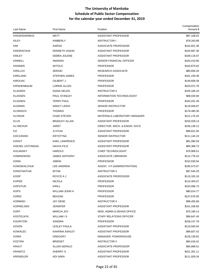| Last Name              | <b>First Name</b>    | Position                        | Compensation<br>Amount \$ |
|------------------------|----------------------|---------------------------------|---------------------------|
| KHOSHDARREGI           | <b>MATT</b>          | ASSISTANT PROFESSOR             | \$87,108.02               |
| KILEY                  | <b>KIMBERLY</b>      | <b>INSTRUCTOR I</b>             | \$78,343.88               |
| KIM                    | AARON                | ASSOCIATE PROFESSOR             | \$152,821.36              |
| <b>KINDRACHUK</b>      | <b>KENNETH JASON</b> | ASSISTANT PROFESSOR             | \$104,687.30              |
| <b>KINLEY</b>          | DEBRA JOLENE         | ASSISTANT PROFESSOR             | \$109,116.07              |
| <b>KINNELL</b>         | AMANDA               | SENIOR FINANCIAL OFFICER        | \$104,210.80              |
| <b>KINSNER</b>         | <b>WITOLD</b>        | <b>PROFESSOR</b>                | \$164,670.62              |
| <b>KIRILLOV</b>        | <b>SERGEI</b>        | RESEARCH ASSOCIATE              | \$80,656.28               |
| KIRKLAND               | <b>STEPHEN JAMES</b> | <b>PROFESSOR</b>                | \$161,159.38              |
| <b>KIROUAC</b>         | GILBERT J            | <b>PROFESSOR</b>                | \$149,608.38              |
| KIRSHENBAUM            | LORRIE ALLEN         | <b>PROFESSOR</b>                | \$220,972.78              |
| <b>KLASSEN</b>         | DIANA HELEN          | <b>INSTRUCTOR II</b>            | \$105,166.18              |
| <b>KLASSEN</b>         | PAUL STANLEY         | <b>INFORMATION TECHNOLOGIST</b> | \$88,026.69               |
| <b>KLASSEN</b>         | <b>TERRY PAUL</b>    | <b>PROFESSOR</b>                | \$163,431.49              |
| <b>KLEIMAN</b>         | <b>NANCY LEIGH</b>   | <b>SENIOR INSTRUCTOR</b>        | \$119,046.87              |
| <b>KLONISCH</b>        | <b>THOMAS</b>        | <b>PROFESSOR</b>                | \$178,485.30              |
| <b>KLOWAK</b>          | <b>CHAD STEVEN</b>   | MATERIALS LABORATORY MANAGER    | \$121,175.44              |
| <b>KLUS</b>            | <b>BRADLEY ALLAN</b> | ASSISTANT PROFESSOR             | \$155,929.14              |
| <b>KLYMCHUK</b>        | <b>JARET</b>         | DIRECTOR, ARCH. & ENGIN. SVCS.  | \$156,136.12              |
| KO                     | JI HYUN              | ASSISTANT PROFESSOR             | \$98,821.05               |
| <b>KOCZANSKI</b>       | <b>KRYSTYNA</b>      | <b>SENIOR INSTRUCTOR</b>        | \$111,144.19              |
| <b>KOHUT</b>           | <b>KARL LAWRENCE</b> | ASSISTANT PROFESSOR             | \$81,080.59               |
| <b>KOKSEL USTUNDAG</b> | <b>HAVVA FILIZ</b>   | <b>ASSISTANT PROFESSOR</b>      | \$85,389.73               |
| <b>KOLANSKY</b>        | <b>HAROLD</b>        | <b>CHIEF TECHNOLOGIST</b>       | \$79,908.51               |
| <b>KOMINOWSKI</b>      | <b>JAMES ANTHONY</b> | ASSOCIATE LIBRARIAN             | \$112,778.24              |
| <b>KONG</b>            | <b>JIMING</b>        | PROFESSOR                       | \$152,630.94              |
| <b>KONOWALCHUK</b>     | <b>LEE ANDREW</b>    | ASSOC. V.P. (ADMINISTRATION)    | \$195,573.07              |
| <b>KONSTANTIUK</b>     | <b>IRYNA</b>         | <b>INSTRUCTOR II</b>            | \$97,540.29               |
| <b>KOOP</b>            | ROYCE A J            | <b>ASSOCIATE PROFESSOR</b>      | \$115,320.19              |
| <b>KOPER</b>           | <b>NICOLA</b>        | <b>PROFESSOR</b>                | \$115,403.07              |
| <b>KOPOTUN</b>         | KIRILL               | PROFESSOR                       | \$153,096.73              |
| <b>KOPS</b>            | WILLIAM JOHN H       | <b>PROFESSOR</b>                | \$80,014.77               |
| <b>KORDI</b>           | <b>BEHZAD</b>        | <b>PROFESSOR</b>                | \$137,676.05              |
| <b>KORMISH</b>         | JAY DENE             | INSTRUCTOR II                   | \$98,455.66               |
| <b>KORNELSEN</b>       | <b>JENNIFER</b>      | ASSISTANT PROFESSOR             | \$101,108.83              |
| KORT                   | MARCIA JOY           | MGR, ADMIN & DEANS OFFICE       | \$75,180.14               |
| <b>KOSTELNYK</b>       | WILLIAM I S          | STAFF RELATIONS OFFICER         | \$96,647.40               |
| <b>KOURITZIN</b>       | SANDRA               | <b>PROFESSOR</b>                | \$158,147.78              |
| <b>KOVEN</b>           | LESLEY PAULA         | ASSISTANT PROFESSOR             | \$119,593.04              |
| <b>KOWALEC</b>         | KAARINA ASHLEY       | ASSISTANT PROFESSOR             | \$99,837.42               |
| <b>KOWK</b>            | GREGORY              | MANAGER, POWERHOUSE             | \$126,130.62              |
| <b>KOZYRA</b>          | <b>BRIDGET</b>       | <b>INSTRUCTOR II</b>            | \$84,018.42               |
| KRAUT                  | ALLEN GERALD         | ASSOCIATE PROFESSOR             | \$95,689.51               |
| KRAWITZ                | SHERRY A.            | ASSISTANT PROFESSOR             | \$421,301.11              |
| <b>KREINDLER</b>       | <b>ADI SARA</b>      | ASSISTANT PROFESSOR             | \$111,929.34              |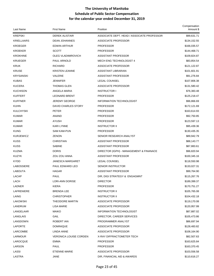| Last Name         | <b>First Name</b>             | Position                                   | Compensation<br>Amount \$ |
|-------------------|-------------------------------|--------------------------------------------|---------------------------|
| <b>KREPSKI</b>    | <b>DEREK ALISTAIR</b>         | ASSOCIATE DEPT. HEAD / ASSOCIATE PROFESSOR | \$99,631.71               |
| KRIELLAARS        | <b>DEAN JOHANNES</b>          | ASSOCIATE PROFESSOR                        | \$134,152.55              |
| <b>KROEGER</b>    | <b>EDWIN ARTHUR</b>           | <b>PROFESSOR</b>                           | \$166,035.57              |
| <b>KROEKER</b>    | <b>SCOTT</b>                  | <b>PROFESSOR</b>                           | \$144,468.71              |
| <b>KROKHINE</b>   | <b>OLEG VLADIMIROVICH</b>     | ASSISTANT PROFESSOR                        | \$109,824.87              |
| <b>KRUEGER</b>    | PAUL ARNOLD                   | MECH ENG TECHNOLOGIST 4                    | \$83,854.54               |
| <b>KRUK</b>       | <b>RICHARD</b>                | <b>ASSOCIATE PROFESSOR</b>                 | \$121,122.87              |
| <b>KRUSE</b>      | <b>KRISTEN LEANNE</b>         | ASSISTANT LIBRARIAN                        | \$101,601.91              |
| <b>KRYSANSKI</b>  | VALERIE                       | ASSISTANT PROFESSOR                        | \$91,276.84               |
| <b>KUBAS</b>      | <b>JENNIFER</b>               | <b>LEGAL COUNSEL</b>                       | \$107,806.38              |
| <b>KUCERA</b>     | <b>THOMAS GLEN</b>            | ASSOCIATE PROFESSOR                        | \$131,580.42              |
| <b>KUCHISON</b>   | ANGELA MARIA                  | <b>INSTRUCTOR I</b>                        | \$76,383.48               |
| <b>KUFFERT</b>    | <b>LEONARD BRENT</b>          | <b>PROFESSOR</b>                           | \$125,218.47              |
| <b>KUFFNER</b>    | <b>JEREMY GEORGE</b>          | INFORMATION TECHNOLOGIST                   | \$96,866.69               |
| <b>KUHN</b>       | DAVID CHARLES STORY           | <b>PROFESSOR</b>                           | \$172,121.69              |
| <b>KULCHYSKI</b>  | <b>PETER</b>                  | <b>PROFESSOR</b>                           | \$163,614.93              |
| <b>KUMAR</b>      | <b>ANAND</b>                  | <b>PROFESSOR</b>                           | \$92,750.85               |
| <b>KUMAR</b>      | AYUSH                         | <b>PROFESSOR</b>                           | \$123,597.13              |
| <b>KUMAR</b>      | <b>KARI LYNNE</b>             | <b>INSTRUCTOR II</b>                       | \$95,439.36               |
| <b>KUNG</b>       | <b>SAM KAM-PUN</b>            | <b>PROFESSOR</b>                           | \$130,435.35              |
| <b>KURJEWICZ</b>  | <b>ZENON</b>                  | SENIOR RESEARCH ANALYST                    | \$89,942.79               |
| <b>KUSS</b>       | <b>CHRISTIAN</b>              | <b>ASSISTANT PROFESSOR</b>                 | \$88,143.77               |
| <b>KUSS</b>       | <b>SABINE</b>                 | ASSISTANT PROFESSOR                        | \$87,883.61               |
| <b>KUZMA</b>      | <b>DORIS</b>                  | DIRECTOR (IGPH) - MANAGEMENT & FINANACE    | \$96,820.94               |
| <b>KUZYK</b>      | ZOU ZOU ANNA                  | <b>ASSISTANT PROFESSOR</b>                 | \$100,345.16              |
| <b>KYDD</b>       | JANESCA MARGARET              | <b>LEGAL COUNSEL</b>                       | \$118,550.98              |
| <b>LABOSSIERE</b> | PAUL EDWARD LEO               | <b>SENIOR INSTRUCTOR</b>                   | \$133,027.31              |
| LABOUTA           | <b>HAGAR</b>                  | ASSISTANT PROFESSOR                        | \$99,764.90               |
| LACAP             | PAUL                          | DIR, DIGI STRATEGY & ENGAGMNT              | \$115,267.76              |
| LACH              | <b>LORI-ANN DORISE</b>        | <b>DIRECTOR</b>                            | \$189,399.37              |
| LADNER            | KIERA                         | <b>PROFESSOR</b>                           | \$170,751.27              |
| LAFRENIERE        | <b>BRENDA LEE</b>             | <b>INSTRUCTOR II</b>                       | \$105,765.08              |
| LAING             | <b>CHRISTOPHER</b>            | <b>INSTRUCTOR II</b>                       | \$104,432.18              |
| <b>LAKOWSKI</b>   | THEODORE MARTIN               | <b>ASSOCIATE PROFESSOR</b>                 | \$119,170.08              |
| LANDRUM           | <b>LISA MARIE</b>             | ASSOCIATE PROFESSOR                        | \$120,957.99              |
| LANGELAAR         | <b>MAIKO</b>                  | <b>INFORMATION TECHNOLOGIST</b>            | \$87,887.02               |
| LANGLAIS          | GAIL                          | DIRECTOR, CAREER SERVICES                  | \$105,473.86              |
| LANSDOWN          | ROBERT IAN                    | PROGRAMMER ANALYST                         | \$86,697.94               |
| LAPORTE           | <b>DOMINIQUE</b>              | <b>ASSOCIATE PROFESSOR</b>                 | \$128,483.82              |
| LARCOMBE          | LINDA ANNE                    | ASSOCIATE PROFESSOR                        | \$108,164.90              |
| LARMOUR           | <b>VERONICA LOUISE CORDEN</b> | X-RAY DIFFRACTOMETER TECH                  | \$82,507.63               |
| LAROCQUE          | EMMA                          | <b>PROFESSOR</b>                           | \$163,625.84              |
| LARSON            | PAUL                          | <b>PROFESSOR</b>                           | \$163,370.45              |
| LASSI             | ETIENNE-MARIE                 | <b>ASSOCIATE PROFESSOR</b>                 | \$103,556.58              |
| LASTRA            | JANE                          | DIR, FINANCIAL AID & AWARDS                | \$110,616.27              |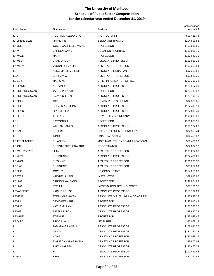| Last Name      | <b>First Name</b>            | Position                             | Compensation<br>Amount \$ |
|----------------|------------------------------|--------------------------------------|---------------------------|
| LASTRA         | RODRIGO ALEJANDRO            | <b>INSTRUCTOR II</b>                 | \$97,436.74               |
| LAURENCELLE    | <b>FRANCINE</b>              | <b>SENIOR INSTRUCTOR</b>             | \$104,891.88              |
| LAVOIE         | <b>JOSEE GABRIELLE MARIE</b> | <b>PROFESSOR</b>                     | \$163,031.56              |
| LAW            | DARREN DAVID                 | <b>SOLUTION ARCHITECT</b>            | \$112,026.76              |
| LAWALL         | <b>MARK</b>                  | <b>PROFESSOR</b>                     | \$137,648.10              |
| LAWLEY         | <b>CHAD DAMON</b>            | ASSOCIATE PROFESSOR                  | \$111,662.18              |
| LAWLEY         | YVONNE ELIZABETH             | ASSISTANT PROFESSOR                  | \$100,369.54              |
| LE.            | ANNA MARIE ME-LINH           | <b>ASSOCIATE LIBRARIAN</b>           | \$97,260.81               |
| LEA            | <b>GRAHAM W</b>              | ASSISTANT PROFESSOR                  | \$90,881.35               |
| LEBAR          | MARIO M.                     | CHIEF INFORMATION OFFICER            | \$203,396.38              |
| <b>LEBLANC</b> | ALEXANDRE                    | ASSOCIATE PROFESSOR                  | \$128,967.30              |
| LEBOE-MCGOWAN  | <b>JASON PHOENIX</b>         | <b>PROFESSOR</b>                     | \$222,410.37              |
| LEBOE-MCGOWAN  | <b>LAUNA CHERYL</b>          | ASSOCIATE PROFESSOR                  | \$129,191.46              |
| <b>LEBOIS</b>  | <b>JOEL</b>                  | HUMAN RIGHTS COUNSEL                 | \$94,326.85               |
| <b>LECCE</b>   | <b>STEVEN ANTHONY</b>        | ASSOCIATE PROFESSOR                  | \$127,413.19              |
| <b>LECLAIR</b> | <b>LEANNE LISA</b>           | ASSOCIATE PROFESSOR                  | \$127,819.49              |
| <b>LECLERC</b> | <b>JEFFREY</b>               | UNIVERSITY SECRETARY                 | \$190,003.98              |
| LEE            | <b>RAYMOND T</b>             | <b>PROFESSOR</b>                     | \$161,600.91              |
| LEE            | <b>WILLIAM JAMES</b>         | ASSOCIATE PROFESSOR                  | \$136,974.28              |
| LEGAL          | <b>ROBERT</b>                | CLIENT REL. MGMT. CONSULTANT         | \$77,359.44               |
| LEI            | <b>JUNMEI</b>                | <b>FINANCIAL ANALYST</b>             | \$84,469.87               |
| LEIER BLACHER  | <b>RHIANNON</b>              | MGR, MARKETING / COMMUNICATIONS      | \$76,466.36               |
| <b>LEIGH</b>   | <b>CHRISTOPHER EDWARD</b>    | <b>COORDINATOR</b>                   | \$87,887.12               |
| LEIVAS POZZER  | LILIAN                       | ASSISTANT PROFESSOR                  | \$103,274.88              |
| LENGYEL        | <b>CHRISTINA O</b>           | ASSOCIATE PROFESSOR                  | \$124,421.61              |
| <b>LENNON</b>  | <b>SUZANNE</b>               | ASSISTANT PROFESSOR                  | \$101,900.56              |
| <b>LEONG</b>   | <b>CHRISTINE</b>             | ASSISTANT PROFESSOR                  | \$88,859.09               |
| <b>LESLIE</b>  | <b>JOCELYN</b>               | HR CONSULTANT                        | \$114,250.06              |
| <b>LESTER</b>  | <b>KRISTIE LAUREL</b>        | <b>INSTRUCTOR I</b>                  | \$89,613.00               |
| <b>LEUNG</b>   | CARSON KAI-SANG              | PROFESSOR                            | \$147,804.83              |
| <b>LEUNG</b>   | <b>STELLA</b>                | <b>INFORMATION TECHNOLOGIST</b>      | \$88,186.55               |
| LEVASSEUR      | KARINE LOUISE                | ASSOCIATE PROFESSOR                  | \$113,167.09              |
| LEVENE         | STEPHANIE GWEN               | ASSOCIATE V.P. (ALUMNI & DONOR REL.) | \$180,847.25              |
| <b>LEVIN</b>   | DAVID BERNARD                | <b>PROFESSOR</b>                     | \$148,016.49              |
| LEVINE         | KATHRYN ANN                  | ASSOCIATE PROFESSOR                  | \$121,568.37              |
| LEWIS          | <b>JUSTIN JARON</b>          | ASSOCIATE PROFESSOR                  | \$98,840.74               |
| <b>LEYGUE</b>  | <b>ETIENNE</b>               | <b>PROFESSOR</b>                     | \$143,038.45              |
| LEZARD         | <b>PRISCILLA</b>             | <b>LECTURER</b>                      | \$80,078.14               |
| П              | <b>FABIANA GRACIELA</b>      | ASSOCIATE PROFESSOR                  | \$108,081.76              |
| Ц              | GENYI                        | ASSOCIATE PROFESSOR                  | \$130,181.13              |
| Ц              | <b>HONG</b>                  | ASSISTANT PROFESSOR                  | \$130,088.16              |
| Ц              | JOHNSON CHING HONG           | ASSISTANT PROFESSOR                  | \$93,806.08               |
| Ц              | PAKCHING BEN                 | ASSOCIATE PROFESSOR                  | \$126,650.28              |
| Ц              | YI                           | ASSOCIATE PROFESSOR                  | \$111,471.45              |
| LIANG          | XIHUI                        | ASSISTANT PROFESSOR                  | \$87,770.45               |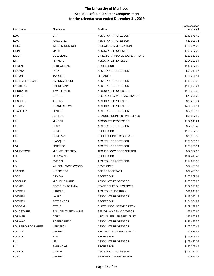| Last Name          | <b>First Name</b>           | Position                       | Compensation<br>Amount \$ |
|--------------------|-----------------------------|--------------------------------|---------------------------|
| LIAO               | CHI                         | <b>ASSISTANT PROFESSOR</b>     | \$142,871.42              |
| <b>LIAO</b>        | <b>KANG-LING</b>            | <b>ASSISTANT PROFESSOR</b>     | \$89,901.75               |
| LIBICH             | <b>WILLIAM GORDON</b>       | DIRECTOR, IMMUNIZATION         | \$182,274.08              |
| LIBIN              | MARK                        | <b>ASSOCIATE PROFESSOR</b>     | \$109,637.02              |
| <b>LIMON</b>       | COLLEEN L.                  | DIRECTOR, FINANCE & OPERATIONS | \$118,517.55              |
| LIN                | <b>FRANCIS</b>              | <b>ASSOCIATE PROFESSOR</b>     | \$104,230.84              |
| LINDEN             | <b>ERIC WILLIAM</b>         | <b>PROFESSOR</b>               | \$146,637.85              |
| <b>LINOVSKI</b>    | ORLY                        | ASSISTANT PROFESSOR            | \$93,910.57               |
| <b>LINTON</b>      | <b>JANICE S</b>             | LIBRARIAN                      | \$126,621.41              |
| LINTS-MARTINDALE   | AMANDA CLAIRE               | ASSISTANT PROFESSOR            | \$115,198.98              |
| <b>LIONBERG</b>    | <b>CARRIE ANN</b>           | ASSISTANT PROFESSOR            | \$119,593.04              |
| <b>LIPNOWSKI</b>   | <b>IRWIN FRANK</b>          | <b>ASSOCIATE PROFESSOR</b>     | \$120,336.28              |
| LIPPERT            | <b>DUSTIN</b>               | RESEARCH GRANT FACILITATOR     | \$79,691.62               |
| <b>LIPSCHITZ</b>   | JEREMY                      | <b>ASSOCIATE PROFESSOR</b>     | \$79,265.74               |
| <b>LITTMAN</b>     | <b>CHARLES DAVID</b>        | <b>ASSOCIATE PROFESSOR</b>     | \$421,301.11              |
| LITWILLER          | <b>FENTON</b>               | <b>ASSISTANT PROFESSOR</b>     | \$92,158.17               |
| LIU                | <b>GEORGE</b>               | CHARGE ENGINEER - 2ND CLASS    | \$90,827.59               |
| LIU                | <b>MINGZHI</b>              | ASSOCIATE PROFESSOR            | \$177,649.24              |
| LIU                | <b>PENG</b>                 | ASSISTANT PROFESSOR            | \$87,770.45               |
| LIU                | <b>SONG</b>                 | <b>PROFESSOR</b>               | \$123,757.30              |
| LIU                | SONGYAN                     | PROFESSIONAL ASSOCIATE         | \$75,126.50               |
| LIU                | <b>XIAOQING</b>             | <b>ASSISTANT PROFESSOR</b>     | \$103,366.93              |
| LIVI               | <b>LORENZO</b>              | ASSISTANT PROFESSOR            | \$108,726.94              |
| LIVINGSTONE        | MICHAEL JEFFREY             | <b>TECHNOLOGY COORDINATOR</b>  | \$87,887.09               |
| LIX                | <b>LISA MARIE</b>           | <b>PROFESSOR</b>               | \$214,410.47              |
| LO                 | <b>EVELYN</b>               | <b>ASSISTANT PROFESSOR</b>     | \$114,973.35              |
| LO                 | <b>WILSON KWOK KWONG</b>    | <b>DEVELOPER</b>               | \$89,468.57               |
| LOADER             | L. REBECCA                  | OFFICE ASSISTANT               | \$92,483.32               |
| <b>LOBB</b>        | DAVID A                     | <b>PROFESSOR</b>               | \$155,202.61              |
| <b>LOBCHUK</b>     | MICHELLE MARIE              | ASSOCIATE PROFESSOR            | \$130,730.23              |
| <b>LOCKIE</b>      | BEVERLEY DEANNA             | STAFF RELATIONS OFFICER        | \$122,325.93              |
| LOEWEN             | HAROLD J                    | <b>ASSISTANT LIBRARIAN</b>     | \$91,948.90               |
| LOEWEN             | LAURA                       | <b>ASSOCIATE PROFESSOR</b>     | \$119,076.18              |
| <b>LOEWEN</b>      | PETER CECIL                 | <b>PROFESSOR</b>               | \$174,054.99              |
| LOGOZAR            | <b>STEVE</b>                | SUPERVISOR, SERVICE DESK       | \$102,197.96              |
| LONGSTAFFE         | <b>SALLY ELIZABETH ANNE</b> | SENIOR ACADEMIC ADVISOR        | \$77,606.65               |
| LORIMER            | DARYL                       | VIRTUAL SERVER SPECIALIST      | \$87,656.87               |
| LORWAY             | ROBERT READ                 | ASSOCIATE PROFESSOR            | \$131,477.56              |
| LOUREIRO-RODRIGUEZ | VERONICA                    | ASSOCIATE PROFESSOR            | \$102,355.44              |
| LOVATT             | ANDREW                      | <b>PROJECT MANAGER LEVEL 1</b> | \$76,828.61               |
| LOVETRI            | JOE                         | <b>PROFESSOR</b>               | \$161,903.54              |
| LU                 | LEI                         | <b>ASSOCIATE PROFESSOR</b>     | \$168,436.08              |
| LUI                | <b>SHIU HONG</b>            | <b>PROFESSOR</b>               | \$146,209.44              |
| LUKACS             | GABOR                       | ASSISTANT PROFESSOR            | \$103,730.00              |
| LUND               | ANDREW                      | SYSTEMS ADMINISTRATOR          | \$75,911.39               |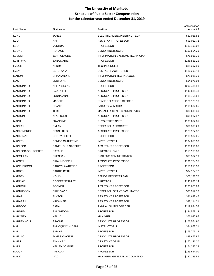| Last Name          | <b>First Name</b>       | Position                              | Compensation<br>Amount \$ |
|--------------------|-------------------------|---------------------------------------|---------------------------|
| LUND               | <b>JAMES</b>            | ELECTRICAL ENGINEERING TECH           | \$80,038.83               |
| LUO                | HAI                     | <b>ASSISTANT PROFESSOR</b>            | \$91,012.72               |
| LUO                | YUNHUA                  | <b>PROFESSOR</b>                      | \$132,199.02              |
| <b>LUONG</b>       | <b>HORACE</b>           | <b>SENIOR INSTRUCTOR</b>              | \$100,554.29              |
| <b>LUSSIER</b>     | JEAN-CLAUDE             | <b>INFORMATION SYSTEMS TECHNICIAN</b> | \$75,911.39               |
| LUTFIYYA           | <b>ZANA MARIE</b>       | <b>PROFESSOR</b>                      | \$145,531.25              |
| <b>LYNCH</b>       | <b>KERRY</b>            | <b>TECHNOLOGIST 3</b>                 | \$81,397.99               |
| LYSY               | <b>ESTEFANIA</b>        | DENTAL PRACTITIONER                   | \$116,293.48              |
| <b>MABON</b>       | <b>BRIAN ANDRE</b>      | <b>INFORMATION TECHNOLOGIST</b>       | \$75,911.39               |
| <b>MAC</b>         | <b>LORI LYNN</b>        | <b>SENIOR INSTRUCTOR</b>              | \$94,976.04               |
| MACDONALD          | <b>KELLY SIGRID</b>     | <b>PROFESSOR</b>                      | \$292,481.93              |
| MACDONALD          | <b>LAURA LEE</b>        | ASSOCIATE PROFESSOR                   | \$140,831.48              |
| MACDONALD          | <b>LORNA ANNE</b>       | ASSOCIATE PROFESSOR                   | \$135,751.81              |
| MACDONALD          | <b>MARCIE</b>           | STAFF RELATIONS OFFICER               | \$121,173.18              |
| <b>MACDONALD</b>   | <b>SEAN R</b>           | <b>FACULTY ADVISOR</b>                | \$105,682.65              |
| MACDONALD          | TERI                    | MANAGER, STAFF & ADMIN SVCS           | \$80,618.30               |
| <b>MACDONELL</b>   | <b>ALAN SCOTT</b>       | ASSOCIATE PROFESSOR                   | \$95,937.97               |
| <b>MACH</b>        | <b>FRANCINE</b>         | <b>PHYSIOTHERAPIST</b>                | \$138,667.81              |
| <b>MACKAY</b>      | <b>DYLAN</b>            | <b>RESEARCH ASSOCIATE</b>             | \$86,300.29               |
| <b>MACKENDRICK</b> | KENNETH G.              | ASSOCIATE PROFESSOR                   | \$123,927.52              |
| <b>MACKENZIE</b>   | <b>COREY SCOTT</b>      | <b>PROFESSOR</b>                      | \$133,582.05              |
| <b>MACKEY</b>      | <b>DENISE CATHERINE</b> | <b>INSTRUCTOR II</b>                  | \$104,655.36              |
| <b>MACLEOD</b>     | DANIEL CHRISTOPHER      | ASSISTANT PROFESSOR                   | \$100,216.86              |
| MACLEOD-SCHROEDER  | <b>NATALIE</b>          | DIRECTOR, C.A.P.                      | \$115,963.33              |
| <b>MACMILLAN</b>   | <b>BRENDAN</b>          | SYSTEMS ADMINISTRATOR                 | \$85,584.19               |
| <b>MACNEIL</b>     | <b>BRIAN JOSEPH</b>     | ASSOCIATE PROFESSOR                   | \$131,774.35              |
| <b>MACPHERSON</b>  | DARCY LAWRENCE          | <b>PROFESSOR</b>                      | \$150,213.38              |
| <b>MADDEN</b>      | <b>CARRIE BETH</b>      | <b>INSTRUCTOR II</b>                  | \$84,174.77               |
| <b>MADDEN</b>      | <b>HOLLY</b>            | <b>SENIOR PROJECT LEAD</b>            | \$76,128.70               |
| MADZIAK            | ROBERT STANLEY          | <b>DIRECTOR</b>                       | \$145,836.14              |
| <b>MAGHOUL</b>     | <b>POONEH</b>           | ASSISTANT PROFESSOR                   | \$103,673.89              |
| <b>MAGNUSSON</b>   | <b>ERIK DAVID</b>       | RESEARCH GRANT FACILITATOR            | \$83,917.16               |
| MAHAR              | <b>ALYSON</b>           | ASSISTANT PROFESSOR                   | \$81,698.46               |
| MAHARAJ            | <b>KRISHNEEL</b>        | ASSISTANT PROFESSOR                   | \$97,114.31               |
| <b>MAHBOOB</b>     | SANA                    | ANNUAL GIVING OFFICER                 | \$112,894.53              |
| <b>MAHMUD</b>      | SALAHEDDIN              | <b>PROFESSOR</b>                      | \$184,569.13              |
| <b>MAHONEY</b>     | KELLY                   | MANAGER                               | \$76,085.95               |
| MAHRENHOLZ         | <b>SIMONE</b>           | ASSOCIATE PROFESSOR                   | \$106,574.90              |
| MAI                | PHUCQUOC HUYNH          | <b>INSTRUCTOR II</b>                  | \$84,953.31               |
| MAI                | <b>SABINE</b>           | <b>PROFESSOR</b>                      | \$179,706.14              |
| <b>MAIELLO</b>     | <b>JAMES VINCENT</b>    | ASSOCIATE PROFESSOR                   | \$99,665.87               |
| <b>MAIER</b>       | JOANNE C.               | <b>ASSISTANT DEAN</b>                 | \$160,131.20              |
| MAIN               | <b>KELLEY JOANNE</b>    | <b>PROFESSOR</b>                      | \$164,386.24              |
| <b>MAJOR</b>       | ARKADIJ                 | <b>PROFESSOR</b>                      | \$143,644.00              |
| <b>MALIK</b>       | <b>IJAZ</b>             | MANAGER, GENERAL ACCOUNTING           | \$127,226.59              |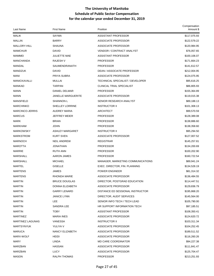| Last Name               | <b>First Name</b>         | Position                          | Compensation<br>Amount \$ |
|-------------------------|---------------------------|-----------------------------------|---------------------------|
| <b>MALIK</b>            | <b>SAYMA</b>              | <b>ASSISTANT PROFESSOR</b>        | \$117,075.93              |
| <b>MALLIN</b>           | <b>BARRY</b>              | <b>ASSOCIATE PROFESSOR</b>        | \$122,579.22              |
| MALLORY-HILL            | <b>SHAUNA</b>             | ASSOCIATE PROFESSOR               | \$120,984.95              |
| <b>MAMCHUR</b>          | <b>DAVID</b>              | <b>VENDOR / CONTRACT ANALYST</b>  | \$76,057.65               |
| <b>MAMMEI</b>           | JULIETTE MAE              | <b>ASSISTANT PROFESSOR</b>        | \$100,106.07              |
| MANCHANDA               | <b>RAJESH V</b>           | <b>PROFESSOR</b>                  | \$171,664.23              |
| MANDAL                  | SAUMENDRANATH             | <b>PROFESSOR</b>                  | \$141,612.57              |
| <b>MANDZUK</b>          | <b>DAVID</b>              | DEAN / ASSOCIATE PROFESSOR        | \$212,004.95              |
| <b>MANI</b>             | PRIYA SUBRA               | ASSOCIATE PROFESSOR               | \$124,075.95              |
| MANICKAVALLI            | MULLAI                    | TECHNICAL SPECIALIST / DEVELOPER  | \$95,616.25               |
| <b>MANKAD</b>           | <b>TARPAN</b>             | CLINICAL TRIAL SPECIALIST         | \$86,805.93               |
| <b>MANN</b>             | DANIEL DELMAR             | <b>PROFESSOR</b>                  | \$155,364.89              |
| MANN                    | <b>JANELLE MARGUERITE</b> | ASSOCIATE PROFESSOR               | \$119,015.38              |
| <b>MANSFIELD</b>        | <b>SHANNON L</b>          | SENIOR RESEARCH ANALYST           | \$89,188.13               |
| <b>MARCHINKO</b>        | SHELLEY LORRINE           | <b>INSTRUCTOR II</b>              | \$101,308.13              |
| MARCINCO-JERRIS         | <b>AUDREY MARIA</b>       | <b>ARCHITECT</b>                  | \$99,570.59               |
| <b>MARCUS</b>           | <b>JEFFREY MEIER</b>      | <b>PROFESSOR</b>                  | \$128,389.08              |
| MARK                    | <b>BRIAN</b>              | <b>PROFESSOR</b>                  | \$138,886.60              |
| <b>MARKHAM</b>          | <b>JOHN</b>               | <b>PROFESSOR</b>                  | \$138,358.60              |
| <b>MARKOWSKY</b>        | <b>ASHLEY MARGARET</b>    | <b>INSTRUCTOR II</b>              | \$95,294.50               |
| <b>MARKSTROM</b>        | <b>KURT SVEN</b>          | <b>ASSOCIATE PROFESSOR</b>        | \$127,007.52              |
| <b>MARNOCH</b>          | <b>NEIL ANDREW</b>        | <b>REGISTRAR</b>                  | \$145,257.81              |
| <b>MAROTTA</b>          | <b>JONATHAN</b>           | <b>PROFESSOR</b>                  | \$134,200.69              |
| <b>MARRIE</b>           | RUTH ANN                  | <b>PROFESSOR</b>                  | \$100,202.90              |
| <b>MARSHALL</b>         | <b>AARON JAMES</b>        | <b>PROFESSOR</b>                  | \$160,722.54              |
| <b>MARSHALL</b>         | <b>MICHAEL</b>            | MANAGER, MARKETING COMMUNICATIONS | \$89,941.24               |
| <b>MARTEL</b>           | <b>GISELLE</b>            | EXEC. DIRECTOR, FIN. PLANNING     | \$134,528.19              |
| <b>MARTENS</b>          | JAMES                     | POWER ENGINEER                    | \$81,314.32               |
| <b>MARTENS</b>          | <b>RHONDA MARIE</b>       | <b>ASSOCIATE PROFESSOR</b>        | \$136,484.55              |
| <b>MARTIN</b>           | <b>BRUCE DOUGLAS</b>      | DIRECTOR, POSTGRAD EDUCATION      | \$114,447.51              |
| <b>MARTIN</b>           | DONNA ELIZABETH           | ASSOCIATE PROFESSOR               | \$129,836.79              |
| <b>MARTIN</b>           | <b>GARRY LENARD</b>       | DISTANCE ED SESSIONAL INSTRUCTOR  | \$195,868.20              |
| <b>MARTIN</b>           | <b>JANICE LYNN</b>        | DIRECTOR, AUDIT SERVICES          | \$145,564.00              |
| <b>MARTIN</b>           | LEE                       | SENIOR INFO TECH / TECH LEAD      | \$105,790.00              |
| <b>MARTIN</b>           | SANDRA LEE                | HR SUPPORT INFORMATION TECH       | \$97,185.51               |
| <b>MARTIN</b>           | TOBY                      | ASSISTANT PROFESSOR               | \$108,350.41              |
| <b>MARTINEZ</b>         | <b>MARIA INES</b>         | <b>ASSOCIATE PROFESSOR</b>        | \$124,620.72              |
| <b>MARTINEZ LAGUNAS</b> | VANESSA                   | <b>INSTRUCTOR II</b>              | \$103,311.34              |
| MARTSYNYUK              | YULIYA V                  | ASSOCIATE PROFESSOR               | \$104,252.45              |
| <b>MARUCA</b>           | NANCY ELIZABETH           | ASSOCIATE PROFESSOR               | \$189,511.52              |
| MARX-WOLF               | <b>HEIDI</b>              | ASSOCIATE PROFESSOR               | \$116,260.26              |
| <b>MARY</b>             | LINDA                     | MD CARE COORDINATOR               | \$94,227.38               |
| MARZBAN                 | <b>HASSAN</b>             | ASSOCIATE PROFESSOR               | \$111,841.47              |
| MARZBAN                 | LUCY                      | ASSOCIATE PROFESSOR               | \$125,704.47              |
| <b>MASON</b>            | <b>RALPH THOMAS</b>       | <b>PROFESSOR</b>                  | \$213,251.93              |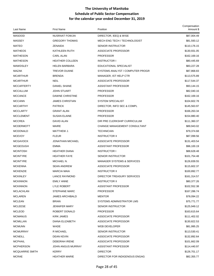| Last Name              | <b>First Name</b>       | Position                              | Compensation<br>Amount \$ |
|------------------------|-------------------------|---------------------------------------|---------------------------|
| <b>MASOOD</b>          | <b>NUSRAAT FOWJIA</b>   | DIRECTOR, IEEQ & WISE                 | \$87,004.49               |
| <b>MASSEY</b>          | <b>GREGORY THOMAS</b>   | <b>MECH ENG TECH / TECHNOLOGIST</b>   | \$81,593.12               |
| <b>MATEO</b>           | <b>ZENAIDA</b>          | <b>SENIOR INSTRUCTOR</b>              | \$110,176.15              |
| <b>MATHEOS</b>         | KATHLEEN RUTH           | ASSOCIATE PROFESSOR                   | \$130,931.05              |
| <b>MATHESON</b>        | <b>CARL ALAN</b>        | <b>PROFESSOR</b>                      | \$162,169.16              |
| <b>MATHESON</b>        | <b>HEATHER COLLEEN</b>  | <b>INSTRUCTOR I</b>                   | \$80,445.69               |
| MAWDSLEY               | <b>HELEN BARBARA</b>    | EDUCATIONAL SPECIALIST                | \$83,227.28               |
| MAZAK                  | <b>TREVOR DUANE</b>     | SYSTEMS ANALYST / COMPUTER PROGR      | \$87,868.83               |
| <b>MCARTHUR</b>        | <b>BRENDA</b>           | MANAGER, IST HELP CTR                 | \$113,575.89              |
| <b>MCARTHUR</b>        | <b>NEIL</b>             | ASSOCIATE PROFESSOR                   | \$117,544.37              |
| <b>MCCAFFERTY</b>      | DANIEL SHANE            | ASSISTANT PROFESSOR                   | \$93,144.15               |
| <b>MCCALLUM</b>        | <b>JOHN STUART</b>      | <b>PROFESSOR</b>                      | \$82,040.16               |
| <b>MCCANCE</b>         | DAWNE CHRISTINE         | <b>PROFESSOR</b>                      | \$162,169.16              |
| <b>MCCANN</b>          | <b>JAMES CHRISTIAN</b>  | <b>SYSTEM SPECIALIST</b>              | \$104,602.78              |
| <b>MCCARTHY</b>        | <b>PATRICK</b>          | DIRECTOR, INFO SEC & COMPL            | \$145,563.97              |
| <b>MCCLARTY</b>        | <b>GRANT ALAN</b>       | <b>PROFESSOR</b>                      | \$166,263.34              |
| <b>MCCLEMENT</b>       | SUSAN ELAINE            | <b>PROFESSOR</b>                      | \$154,880.40              |
| <b>MCCREA</b>          | DAVID ALAN              | DIR PRE CLERKSHIP CURRICULUM          | \$111,360.37              |
| <b>MCDERMOTT</b>       | <b>MAIRE</b>            | CHANGE MANAGEMENT CONSULTANT          | \$89,943.02               |
| <b>MCDONALD</b>        | MATTHEW J.              | <b>TECHNICIAN</b>                     | \$79,374.68               |
| <b>MCEVOY</b>          | <b>FLEUR</b>            | <b>INSTRUCTOR II</b>                  | \$87,099.56               |
| <b>MCGAVOCK</b>        | <b>JONATHAN MICHAEL</b> | ASSOCIATE PROFESSOR                   | \$131,403.54              |
| <b>MCGEOUGH</b>        | EMMA                    | <b>ASSISTANT PROFESSOR</b>            | \$96,100.19               |
| <b>MCINTOSH</b>        | <b>HEATHER DIANA</b>    | <b>INSTRUCTOR I</b>                   | \$88,628.48               |
| <b>MCINTYRE</b>        | <b>HEATHER FAYE</b>     | <b>SENIOR INSTRUCTOR</b>              | \$101,754.48              |
| <b>MCINTYRE</b>        | MICHAEL N.              | <b>MANAGER SYSTEMS &amp; SERVICES</b> | \$126,839.55              |
| <b>MCKENNA</b>         | <b>SEAN ANDREW</b>      | ASSOCIATE PROFESSOR                   | \$115,602.37              |
| <b>MCKENZIE</b>        | <b>MARCIA MAIA</b>      | <b>INSTRUCTOR II</b>                  | \$100,892.77              |
| <b>MCKINLEY</b>        | <b>LANCE RAYMOND</b>    | DIRECTOR TREASURY SERVICES            | \$161,314.57              |
| <b>MCKINNON</b>        | <b>EMILY ANNE</b>       | <b>INSTRUCTOR II</b>                  | \$80,377.26               |
| <b>MCKINNON</b>        | LYLE ROBERT             | ASSISTANT PROFESSOR                   | \$102,552.38              |
| <b>MCLACHLAN</b>       | <b>STEPHANE MARC</b>    | <b>PROFESSOR</b>                      | \$167,286.74              |
| <b>MCLAREN</b>         | <b>JAMES ARCHIBALD</b>  | <b>MENTOR</b>                         | \$78,094.22               |
| <b>MCLEAN</b>          | <b>BRIAN</b>            | SYSTEMS ADMINISTRATOR LMS             | \$75,771.77               |
| <b>MCLEESE</b>         | JENNIFER MARY           | <b>SENIOR INSTRUCTOR</b>              | \$125,949.12              |
| <b>MCLEOD</b>          | ROBERT DONALD           | <b>PROFESSOR</b>                      | \$163,615.64              |
| <b>MCMANUS</b>         | KIRK JAMES              | ASSOCIATE PROFESSOR                   | \$111,402.02              |
| <b>MCMILLAN</b>        | DIANA ELIZABETH         | ASSOCIATE PROFESSOR                   | \$130,822.53              |
| <b>MCMUNN</b>          | WADE                    | WEB DEVELOPER                         | \$81,995.25               |
| MCMURRAY               | R MICHAEL               | <b>SENIOR INSTRUCTOR</b>              | \$113,530.41              |
| <b>MCNEILL</b>         | DEAN KEVIN              | ASSOCIATE PROFESSOR                   | \$132,892.64              |
| <b>MCPHAIL</b>         | <b>DEBORAH IRENE</b>    | ASSOCIATE PROFESSOR                   | \$101,662.09              |
| <b>MCPHERSON</b>       | JOHN ANGUS MURRAY       | ASSISTANT PROFESSOR                   | \$114,440.97              |
| <b>MCQUARRIE SMITH</b> | <b>KERRY</b>            | <b>DIRECTOR</b>                       | \$126,701.17              |
| <b>MCRAE</b>           | <b>HEATHER MARIE</b>    | DIRECTOR FOR INDIGENOUS ENGAG         | \$82,355.77               |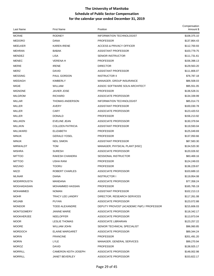| Last Name          | <b>First Name</b>           | Position                                  | Compensation<br>Amount \$ |
|--------------------|-----------------------------|-------------------------------------------|---------------------------|
| <b>MCRAE</b>       | <b>RODNEY</b>               | <b>INFORMATION TECHNOLOGIST</b>           | \$108,375.10              |
| <b>MEDORO</b>      | DANA                        | <b>PROFESSOR</b>                          | \$137,864.43              |
| <b>MEELKER</b>     | <b>KAREN IRENE</b>          | <b>ACCESS &amp; PRIVACY OFFICER</b>       | \$112,700.93              |
| <b>MEHRAN</b>      | <b>BABAK</b>                | <b>ASSISTANT PROFESSOR</b>                | \$103,779.75              |
| <b>MENDEZ</b>      | <b>LISA</b>                 | <b>SENIOR INSTRUCTOR</b>                  | \$111,731.61              |
| <b>MENEC</b>       | <b>VERENA H</b>             | <b>PROFESSOR</b>                          | \$156,398.13              |
| <b>MERIE</b>       | <b>IRENE</b>                | <b>DIRECTOR</b>                           | \$129,563.20              |
| MERZ               | <b>DAVID</b>                | <b>ASSISTANT PROFESSOR</b>                | \$111,806.07              |
| <b>MESSING</b>     | PAUL GORDON                 | <b>INSTRUCTOR II</b>                      | \$76,787.18               |
| <b>MIDDAGH</b>     | <b>KIMBERLY</b>             | MANAGER, GROUP INSURANCE                  | \$86,508.03               |
| <b>MIGIE</b>       | <b>WILLIAM</b>              | ASSOC SOFTWARE SOLN ARCHITECT             | \$95,551.05               |
| <b>MIGNONE</b>     | <b>JAVIER JOSE</b>          | <b>PROFESSOR</b>                          | \$136,528.31              |
| <b>MILGROM</b>     | <b>RICHARD</b>              | ASSOCIATE PROFESSOR                       | \$134,339.99              |
| <b>MILLAR</b>      | THOMAS ANDERSON             | <b>INFORMATION TECHNOLOGIST</b>           | \$85,014.73               |
| <b>MILLER</b>      | AVERY                       | ASSISTANT PROFESSOR                       | \$100,030.78              |
| <b>MILLER</b>      | CARY                        | ASSOCIATE PROFESSOR                       | \$123,420.53              |
| <b>MILLER</b>      | <b>DONALD</b>               | <b>PROFESSOR</b>                          | \$156,213.92              |
| <b>MILLIKEN</b>    | EVELINE JEAN                | ASSOCIATE PROFESSOR                       | \$130,379.94              |
| <b>MILLIKIN</b>    | <b>COLLEEN PATRICIA</b>     | <b>ASSISTANT PROFESSOR</b>                | \$119,593.04              |
| <b>MILLWARD</b>    | <b>ELIZABETH</b>            | <b>PROFESSOR</b>                          | \$125,049.69              |
| <b>MINUK</b>       | <b>GERALD YOSEL</b>         | <b>PROFESSOR</b>                          | \$137,050.66              |
| <b>MINUK</b>       | <b>NEIL SIMON</b>           | <b>ASSISTANT PROFESSOR</b>                | \$87,583.30               |
| <b>MIRWALDT</b>    | <b>TOM</b>                  | MANAGER, PHYSICAL PLANT [HSC]             | \$134,520.30              |
| <b>MISHRA</b>      | <b>SURESH</b>               | ASSOCIATE PROFESSOR                       | \$120,026.92              |
| <b>MITTOO</b>      | RAKESH CHANDRA              | SESSIONAL INSTRUCTOR                      | \$83,469.16               |
| <b>MITTOO</b>      | <b>USHA RANI</b>            | <b>PROFESSOR</b>                          | \$124,249.03              |
| <b>MIZUNO</b>      | <b>TOORU</b>                | <b>PROFESSOR</b>                          | \$136,229.87              |
| MIZZI              | ROBERT CHARLES              | ASSOCIATE PROFESSOR                       | \$103,689.10              |
| <b>MLINAR</b>      | <b>DIANA</b>                | <b>INSTRUCTOR I</b>                       | \$119,954.08              |
| <b>MODIRROUSTA</b> | MANDANA                     | ASSOCIATE PROFESSOR                       | \$77,358.24               |
| MOGHADASIAN        | MOHAMMED HASSAN             | <b>PROFESSOR</b>                          | \$165,765.19              |
| <b>MOHAMMED</b>    | <b>NOMAN</b>                | ASSISTANT PROFESSOR                       | \$102,213.13              |
| <b>MOHR</b>        | TRACY LEE LANDRY            | DIRECTOR, RESEARCH SERVICES               | \$117,261.08              |
| <b>MOJABI</b>      | <b>PUYAN</b>                | ASSOCIATE PROFESSOR                       | \$123,072.88              |
| <b>MONDOR</b>      | TODD ALEXANDRE              | DEPUTY PROVOST (ACADEMIC P&P) / PROFESSOR | \$215,606.03              |
| <b>MONTGOMERY</b>  | <b>JANINE MARIE</b>         | ASSOCIATE PROFESSOR                       | \$118,342.17              |
| <b>MOOKHERJEE</b>  | <b>NEELOFFER</b>            | <b>ASSOCIATE PROFESSOR</b>                | \$113,973.04              |
| <b>MOOR</b>        | <b>LESLIE THOMAS</b>        | ASSOCIATE LIBRARIAN                       | \$123,257.22              |
| <b>MOORE</b>       | WILLIAM JOHN                | SENIOR TECHNICAL SPECIALIST               | \$96,060.85               |
| <b>MORDOCH</b>     | <b>ELAINE MARGARET</b>      | ASSOCIATE PROFESSOR                       | \$89,344.24               |
| <b>MORIN</b>       | <b>FRANCINE</b>             | <b>PROFESSOR</b>                          | \$201,491.20              |
| <b>MORIN</b>       | LYLE                        | MANAGER, GENERAL SERVICES                 | \$99,270.94               |
| <b>MOROZ</b>       | <b>DAVID</b>                | <b>PROFESSOR</b>                          | \$138,925.17              |
| <b>MORRILL</b>     | <b>CAMERON KEITH JOSEPH</b> | ASSOCIATE PROFESSOR                       | \$148,002.98              |
| <b>MORRILL</b>     | JANET BEVERLEY              | ASSOCIATE PROFESSOR                       | \$153,822.17              |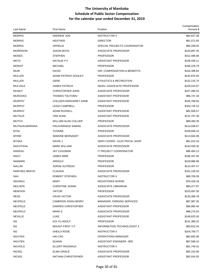| Last Name        | <b>First Name</b>            | Position                          | Compensation<br>Amount \$ |
|------------------|------------------------------|-----------------------------------|---------------------------|
| <b>MORRIS</b>    | <b>ANDREW JON</b>            | <b>INSTRUCTOR II</b>              | \$92,637.38               |
| <b>MORRIS</b>    | <b>HEATHER</b>               | <b>DIRECTOR</b>                   | \$81,571.83               |
| <b>MORRIS</b>    | <b>OPHELIA</b>               | SPECIAL PROJECTS COORDINATOR      | \$80,209.05               |
| <b>MORRISON</b>  | <b>JASON BOYD</b>            | ASSOCIATE PROFESSOR               | \$120,897.45              |
| <b>MOSES</b>     | <b>STEPHEN</b>               | <b>PROFESSOR</b>                  | \$312,495.68              |
| <b>MOTA</b>      | NATALIE P F                  | <b>ASSISTANT PROFESSOR</b>        | \$108,448.11              |
| <b>MOWAT</b>     | <b>MICHAEL</b>               | <b>PROFESSOR</b>                  | \$196,229.79              |
| <b>MUIR</b>      | <b>DAVID</b>                 | DIR. COMPENSATION & BENEFITS      | \$104,396.64              |
| <b>MULLER</b>    | <b>ADAM PATRICK DOOLEY</b>   | <b>PROFESSOR</b>                  | \$132,875.94              |
| <b>MULLER</b>    | <b>GENE</b>                  | ATHLETICS & RECREATION            | \$132,215.70              |
| <b>MULVALE</b>   | <b>JAMES PATRICK</b>         | DEAN / ASSOCIATE PROFESSOR        | \$159,524.87              |
| <b>MUNDY</b>     | <b>CHRISTOPHER JOHN</b>      | ASSOCIATE PROFESSOR               | \$107,286.53              |
| <b>MUROOKA</b>   | THOMAS TSUTOMU               | <b>ASSISTANT PROFESSOR</b>        | \$96,747.18               |
| <b>MURPHY</b>    | <b>COLLEEN MARGARET ANNE</b> | ASSISTANT PROFESSOR               | \$105,789.60              |
| <b>MURPHY</b>    | <b>LEIGH CAMPBELL</b>        | <b>PROFESSOR</b>                  | \$164,745.23              |
| <b>MURRAY</b>    | <b>ADAM RUSSELL</b>          | <b>ASSISTANT PROFESSOR</b>        | \$82,506.57               |
| <b>MUTALIK</b>   | <b>VIMI SUNIL</b>            | <b>ASSISTANT PROFESSOR</b>        | \$122,757.39              |
| <b>MUTCH</b>     | <b>WILLIAM ALAN COLLIER</b>  | <b>PROFESSOR</b>                  | \$89,460.35               |
| MUTHUKUMARANA    | PALAVINNAGE SAMAN            | ASSOCIATE PROFESSOR               | \$114,036.67              |
| MYAL             | <b>YVONNE</b>                | <b>PROFESSOR</b>                  | \$158,658.24              |
| <b>MYRIE</b>     | <b>SEMONE BERNADET</b>       | ASSOCIATE PROFESSOR               | \$113,604.06              |
| <b>MYSKA</b>     | DAVID J                      | SERV COORD - ELECTRICAL SHOP      | \$81,015.33               |
| <b>NACHTIGAL</b> | <b>MARK WILLIAM</b>          | ASSOCIATE PROFESSOR               | \$143,430.35              |
| <b>NADEAU</b>    | <b>JAY COLEMAN</b>           | IT PROJECT COORDINATOR            | \$86,483.13               |
| NAGY             | <b>JAMES IMRE</b>            | <b>PROFESSOR</b>                  | \$166,347.94              |
| <b>NAIMARK</b>   | <b>ARNOLD</b>                | <b>PROFESSOR</b>                  | \$128,886.96              |
| <b>NALLIM</b>    | JORGE ALFREDO                | <b>PROFESSOR</b>                  | \$110,407.47              |
| NARVAEZ BRAVO    | <b>CLAUDIA</b>               | <b>ASSOCIATE PROFESSOR</b>        | \$101,228.53              |
| <b>NAU</b>       | <b>ROBERT STEPHEN</b>        | <b>INSTRUCTOR II</b>              | \$89,709.39               |
| NDUNGU           | <b>MARY</b>                  | REGISTERED NURSE                  | \$76,426.33               |
| <b>NEILSON</b>   | <b>CHRISTINE JOANN</b>       | ASSOCIATE LIBRARIAN               | \$94,477.87               |
| <b>NEMYKIN</b>   | <b>VIKTOR</b>                | <b>PROFESSOR</b>                  | \$153,097.93              |
| <b>NESS</b>      | <b>DAVID VICTOR</b>          | ASSOCIATE PROFESSOR               | \$133,369.78              |
| <b>NEUFELD</b>   | CAMERON JOHN-HENRY           | <b>MANAGER, PARKING SERVICES</b>  | \$87,987.26               |
| <b>NEUFELD</b>   | DARREN CHRISTOPHER           | ASSISTANT PROFESSOR               | \$96,985.46               |
| <b>NEUFELD</b>   | MARK E                       | ASSOCIATE PROFESSOR               | \$98,274.53               |
| <b>NEVILLE</b>   | LUKE                         | ASSISTANT PROFESSOR               | \$148,623.30              |
| ΝG               | KOI YU ADOLF                 | <b>PROFESSOR</b>                  | \$141,389.22              |
| ΝG               | MOUNT-FIRST Y.F.             | <b>INFORMATION TECHNOLOGIST 4</b> | \$83,622.04               |
| ΝG               | SHEILA ROSE                  | <b>INSTRUCTOR II</b>              | \$104,769.77              |
| <b>NGUYEN</b>    | HAI CAO                      | OPERATIONS MANAGER                | \$82,692.06               |
| <b>NGUYEN</b>    | QUANG                        | <b>ASSISTANT ENGINEER -3RD</b>    | \$87,508.10               |
| <b>NICHOLS</b>   | ELLERT REGINALD              | <b>INSTRUCTOR II</b>              | \$91,749.31               |
| <b>NICKEL</b>    | <b>ELMA GRACE</b>            | ASSOCIATE PROFESSOR               | \$92,310.06               |
| <b>NICKEL</b>    | NATHAN CHRISTOPHER           | ASSISTANT PROFESSOR               | \$92,914.55               |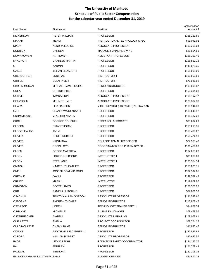| Last Name                    | <b>First Name</b>            | Position                             | Compensation<br>Amount \$ |
|------------------------------|------------------------------|--------------------------------------|---------------------------|
| <b>NICKERSON</b>             | PETER WILLIAM                | <b>PROFESSOR</b>                     | \$365,153.69              |
| <b>NIKNAM</b>                | MEHDI                        | INSTRUCTIONAL TECHNOLOGY SPEC        | \$93,041.92               |
| <b>NIXON</b>                 | <b>KENDRA LOUISE</b>         | ASSOCIATE PROFESSOR                  | \$113,365.04              |
| <b>NODRICK</b>               | DARREN                       | MANAGER, ANNUAL GIVING               | \$81,804.51               |
| <b>NOWAKOWSKI</b>            | ANTHONY T.                   | ASSISTANT PROFESSOR                  | \$128,391.46              |
| <b>NYACHOTI</b>              | <b>CHARLES MARTIN</b>        | <b>PROFESSOR</b>                     | \$155,527.13              |
| O                            | <b>KARMIN</b>                | <b>PROFESSOR</b>                     | \$143,829.35              |
| OAKES                        | <b>JILLIAN ELIZABETH</b>     | <b>PROFESSOR</b>                     | \$161,909.00              |
| <b>OBERDORFER</b>            | LORI RAE                     | <b>INSTRUCTOR II</b>                 | \$119,850.51              |
| <b>OBRIEN</b>                | <b>SEAN TYLER</b>            | <b>INSTRUCTOR I</b>                  | \$79,941.62               |
| <b>OBRIEN-MORAN</b>          | MICHAEL JAMES MUIRE          | <b>SENIOR INSTRUCTOR</b>             | \$103,096.87              |
| <b>ODEA</b>                  | <b>CHRISTOPHER</b>           | <b>PROFESSOR</b>                     | \$159,394.03              |
| <b>OGILVIE</b>               | TAMRA ERIN                   | ASSOCIATE PROFESSOR                  | \$118,497.47              |
| <b>OGUZOGLU</b>              | <b>MEHMET UMUT</b>           | ASSOCIATE PROFESSOR                  | \$120,332.33              |
| <b>OHARA</b>                 | <b>LISA HANSON</b>           | VICE-PROVOST (LIBRARIES) / LIBRARIAN | \$189,944.38              |
| OJO                          | OLANREWAJU AKANBI            | <b>PROFESSOR</b>                     | \$139,646.92              |
| <b>OKHMATOVSKI</b>           | <b>VLADIMIR IVANOV</b>       | <b>PROFESSOR</b>                     | \$136,417.28              |
| <b>OKOLI</b>                 | <b>GEORGE NDUBUISI</b>       | <b>RESEARCH ASSOCIATE</b>            | \$85,692.29               |
| <b>OLESON</b>                | <b>BRIAN THOMAS</b>          | <b>PROFESSOR</b>                     | \$165,215.31              |
| <b>OLESZKIEWICZ</b>          | JAN A                        | <b>PROFESSOR</b>                     | \$163,406.62              |
| <b>OLIVER</b>                | <b>DEREK ROBERT</b>          | <b>PROFESSOR</b>                     | \$150,474.93              |
| <b>OLIVER</b>                | <b>KRISTJANA</b>             | <b>COLLEGE ADMIN / HR OFFICER</b>    | \$77,383.46               |
| <b>OLIVER</b>                | ROBIN LOYD                   | COORDINATOR FOR PHARMACY SK          | \$106,489.80              |
| <b>OLSEN</b>                 | <b>GREGG MATTHEW</b>         | <b>PROFESSOR</b>                     | \$164,668.23              |
| <b>OLSON</b>                 | LOUISE INGIBJORG             | <b>INSTRUCTOR II</b>                 | \$95,000.00               |
| <b>OLSON</b>                 | <b>STEPHANIE</b>             | <b>INSTRUCTOR II</b>                 | \$105,354.34              |
| <b>OMINSKI</b>               | KIMBERLY HEATHER             | <b>PROFESSOR</b>                     | \$155,825.71              |
| ONEIL                        | JOSEPH DOMINIC JOHN          | <b>PROFESSOR</b>                     | \$162,597.65              |
| <b>ORESNIK</b>               | <b>IVAN J</b>                | <b>PROFESSOR</b>                     | \$142,539.43              |
| <b>ORILEY</b>                | <b>MARKL</b>                 | <b>INSTRUCTOR</b>                    | \$112,852.90              |
| ORMISTON                     | <b>SCOTT JAMES</b>           | <b>PROFESSOR</b>                     | \$161,576.28              |
| <b>ORR</b>                   | PAMELA HUTCHINS              | <b>PROFESSOR</b>                     | \$87,861.33               |
| <b>OSACHUK</b>               | TIMOTHY ALLAN GORDON         | ASSOCIATE PROFESSOR                  | \$131,592.60              |
| <b>OSBORNE</b>               | ANDREW THOMAS                | <b>SENIOR INSTRUCTOR</b>             | \$113,807.42              |
| <b>OSCHIPOK</b>              | LOREN                        | <b>TECHNOLOGY TRANSF SPEC 1</b>      | \$94,827.54               |
| <b>OSHANYK</b>               | <b>MICHELLE</b>              | <b>BUSINESS MANAGER</b>              | \$78,459.56               |
| <b>OSTERREICHER</b>          | ANGELA                       | ASSOCIATE LIBRARIAN                  | \$108,063.61              |
| OUELLETTE                    | <b>SHEILA</b>                | PROJECT COORDINATOR                  | \$78,764.35               |
| <b>OULD MOULAYE</b>          | <b>CHEIKH BAYE</b>           | <b>SENIOR INSTRUCTOR</b>             | \$91,935.46               |
| <b>OWENS</b>                 | <b>JUDITH MARIE CAMPBELL</b> | <b>PROFESSOR</b>                     | \$137,583.84              |
| <b>OXFORD</b>                | <b>WILLIAM ROBERT</b>        | ASSOCIATE PROFESSOR                  | \$92,625.57               |
| PAGE                         | <b>LEONA LEIGH</b>           | RADIATION SAFETY COORDINATOR         | \$184,146.36              |
| PAI                          | JEFFREY                      | <b>PROFESSOR</b>                     | \$161,769.48              |
| <b>PALIWAL</b>               | <b>JITENDRA</b>              | <b>PROFESSOR</b>                     | \$150,205.36              |
| PALLICKAPARAMBIL MATHEW SABU |                              | <b>BUDGET OFFICER</b>                | \$81,817.73               |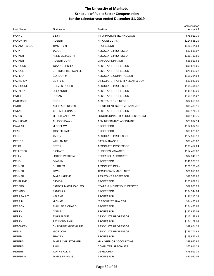| Last Name        | <b>First Name</b>          | Position                        | Compensation<br>Amount \$ |
|------------------|----------------------------|---------------------------------|---------------------------|
| PANNU            | <b>BILJIT</b>              | <b>INFORMATION TECHNOLOGIST</b> | \$75,911.39               |
| <b>PANONTIN</b>  | <b>ROBERT</b>              | HR CONSULTANT                   | \$114,865.29              |
| PAPAKYRIAKOU     | TIMOTHY N                  | <b>PROFESSOR</b>                | \$126,124.64              |
| <b>PARK</b>      | <b>JASON</b>               | ASSOCIATE PROFESSOR             | \$83,518.07               |
| <b>PARKER</b>    | ANNE ELIZABETH             | ASSOCIATE PROFESSOR             | \$131,719.50              |
| <b>PARKER</b>    | ROBERT JOHN                | <b>LAN COORDINATOR</b>          | \$86,923.63               |
| <b>PARSONS</b>   | <b>JOANNE LESLEY</b>       | <b>ASSISTANT PROFESSOR</b>      | \$98,821.05               |
| <b>PASCOE</b>    | <b>CHRISTOPHER DANIEL</b>  | ASSISTANT PROFESSOR             | \$75,903.22               |
| <b>PASIEKA</b>   | <b>GORDON M</b>            | ASSOCIATE COMPTROLLER           | \$161,314.54              |
| <b>PASKARUK</b>  | <b>LARRY S</b>             | DIRECTOR, PROPERTY MGMT & DEV   | \$89,942.99               |
| <b>PASSMORE</b>  | <b>STEVEN ROBERT</b>       | ASSOCIATE PROFESSOR             | \$101,494.32              |
| <b>PASYEKA</b>   | <b>OLEXANDR</b>            | <b>ASSISTANT PROFESSOR</b>      | \$145,142.20              |
| PATEL            | <b>RONAK</b>               | ASSISTANT PROFESSOR             | \$108,114.07              |
| <b>PATERSON</b>  | <b>CORY</b>                | <b>ASSISTANT ENGINEER</b>       | \$82,663.33               |
| <b>PATIO</b>     | <b>ARELLANO REYES</b>      | SR STUDENT SYSTEMS ANALYST      | \$95,433.16               |
| <b>PATZER</b>    | <b>JEREMY LEONARD</b>      | ASSISTANT PROFESSOR             | \$93,174.71               |
| <b>PAULS</b>     | <b>MERRIL ANDREW</b>       | LONGITUDINAL LDR PROFESSIONLSM  | \$91,149.75               |
| <b>PAULUSMA</b>  | <b>ALLISON DAWN</b>        | ADMINISTRATIVE ASSISTANT        | \$78,897.94               |
| <b>PAWLAK</b>    | <b>MIROSLAW</b>            | <b>PROFESSOR</b>                | \$162,602.55              |
| <b>PEAR</b>      | <b>JOSEPH JAMES</b>        | <b>PROFESSOR</b>                | \$83,075.87               |
| PEELER           | <b>JASON</b>               | ASSOCIATE PROFESSOR             | \$127,593.13              |
| <b>PEELER</b>    | <b>WILLIAM NEIL</b>        | DATA MANAGER                    | \$88,483.82               |
| PELKA            | <b>PETER</b>               | ASSOCIATE PROFESSOR             | \$108,452.24              |
| <b>PELLETIER</b> | <b>RICHARD</b>             | <b>BUSINESS MANAGER</b>         | \$114,439.87              |
| PELLY            | <b>LORINE PATRICIA</b>     | <b>RESEARCH ASSOCIATE</b>       | \$97,346.72               |
| <b>PENG</b>      | <b>QINGJIN</b>             | <b>PROFESSOR</b>                | \$146,928.75              |
| <b>PENNER</b>    | <b>CHARLES</b>             | <b>ASSOCIATE DEAN</b>           | \$126,166.40              |
| <b>PENNER</b>    | <b>IRWIN</b>               | <b>TECHNICIAN / MACHINIST</b>   | \$76,815.80               |
| <b>PENNER</b>    | <b>JAMIE LAFAYE</b>        | ASSISTANT PROFESSOR             | \$97,588.82               |
| PENTLAND         | DAVID H                    | <b>PROFESSOR</b>                | \$153,627.21              |
| <b>PEREIRA</b>   | SANDRA MARIA CARLOS        | STATS. & INDIGENOUS OFFICER     | \$89,060.29               |
| <b>PERKINS</b>   | PAMELA A                   | <b>PROFESSOR</b>                | \$134,544.04              |
| PERREAULT        | <b>HELENE</b>              | <b>PROFESSOR</b>                | \$141,210.34              |
| PERRIN           | <b>MICHAEL</b>             | IT SECURITY ANALYST             | \$84,455.63               |
| <b>PERRON</b>    | PHILLIPE RICHARD           | <b>PROFESSOR</b>                | \$154,435.63              |
| PERRY            | ADELE                      | <b>PROFESSOR</b>                | \$142,897.03              |
| PERRY            | <b>JOHN BLAKE</b>          | ASSOCIATE PROFESSOR             | \$216,188.68              |
| PERRY            | RAYMOND PAUL               | <b>PROFESSOR</b>                | \$164,109.08              |
| <b>PESCHKEN</b>  | <b>CHRISTINE ANNEMARIE</b> | ASSOCIATE PROFESSOR             | \$99,604.38               |
| <b>PESUN</b>     | <b>IGOR JOHN</b>           | ASSOCIATE PROFESSOR             | \$225,301.64              |
| PETER            | TRACEY                     | <b>PROFESSOR</b>                | \$169,856.45              |
| <b>PETERS</b>    | <b>JAMES CHRISTOPHER</b>   | MANAGER OF ACCOUNTING           | \$89,942.86               |
| <b>PETERS</b>    | PAUL                       | COMPUTER SPECIALIST             | \$75,911.39               |
| <b>PETERS</b>    | <b>WAYNE ALLAN</b>         | <b>DEVELOPER</b>                | \$75,911.39               |
| PETERS III       | <b>JAMES FRANCIS</b>       | <b>PROFESSOR</b>                | \$81,022.05               |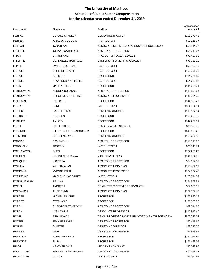| Last Name          | <b>First Name</b>           | Position                                          | Compensation<br>Amount \$ |
|--------------------|-----------------------------|---------------------------------------------------|---------------------------|
| PETKAU             | DONALD STANLEY              | <b>SENIOR INSTRUCTOR</b>                          | \$106,379.46              |
| <b>PETKER</b>      | IQBAL WAJOODDIN             | <b>INSTRUCTOR</b>                                 | \$92,163.37               |
| <b>PEYTON</b>      | <b>JONATHAN</b>             | ASSOCIATE DEPT. HEAD / ASSOCIATE PROFESSOR        | \$99,114.76               |
| <b>PFEFFER</b>     | <b>JULIANA CATHERINE</b>    | ASSISTANT PROFESSOR                               | \$95,210.27               |
| <b>PHAM</b>        | <b>CHRISTIANE</b>           | PROJECT MANAGER, LEVEL 1                          | \$78,488.58               |
| <b>PHILIPPE</b>    | <b>EMANUELLE NATHALIE</b>   | SYSTEMS INFO MGMT SPECIALIST                      | \$78,663.10               |
| <b>PHYFE</b>       | LYNETTE DEE ANN             | <b>INSTRUCTOR II</b>                              | \$96,436.40               |
| <b>PIERCE</b>      | <b>DARLENE CLAIRE</b>       | <b>INSTRUCTOR II</b>                              | \$103,391.75              |
| <b>PIERCE</b>      | <b>GRANT N</b>              | <b>PROFESSOR</b>                                  | \$164,281.89              |
| <b>PIERRE</b>      | STANFORD NATHANIEL          | <b>INSTRUCTOR I</b>                               | \$84,606.86               |
| <b>PINSK</b>       | <b>MAURY NELSON</b>         | <b>PROFESSOR</b>                                  | \$144,032.71              |
| <b>PIOTROWSKI</b>  | ANDREA SUZANNE              | <b>ASSISTANT PROFESSOR</b>                        | \$119,593.04              |
| <b>PIOTROWSKI</b>  | <b>CAROLINE CATHERINE</b>   | ASSOCIATE PROFESSOR                               | \$141,924.20              |
| <b>PIQUEMAL</b>    | <b>NATHALIE</b>             | <b>PROFESSOR</b>                                  | \$144,398.27              |
| <b>PIRNAT</b>      | <b>DENI</b>                 | <b>INSTRUCTOR II</b>                              | \$104,764.94              |
| <b>PISCHKE</b>     | <b>GARTH HENRY</b>          | <b>SENIOR INSTRUCTOR</b>                          | \$116,577.54              |
| <b>PISTORIUS</b>   | <b>STEPHEN</b>              | <b>PROFESSOR</b>                                  | \$155,662.43              |
| <b>PLAIZIER</b>    | JAN C B                     | <b>PROFESSOR</b>                                  | \$147,239.51              |
| <b>PLETT</b>       | <b>CATHERINE G</b>          | PENSION ADMINISTRATOR                             | \$78,500.96               |
| <b>PLOURDE</b>     | PIERRE JOSEPH JACQUES P.    | <b>PROFESSOR</b>                                  | \$348,123.23              |
| <b>PLUMTON</b>     | <b>COLLEEN GAYLE</b>        | <b>SENIOR INSTRUCTOR</b>                          | \$103,282.56              |
| <b>PODNAR</b>      | DAVID JOHN                  | ASSISTANT PROFESSOR                               | \$110,118.09              |
| <b>PODOLSKY</b>    | <b>TIMOTHY</b>              | <b>INSTRUCTOR II</b>                              | \$96,340.74               |
| <b>POKHANOVSKI</b> | OLEG                        | <b>PROFESSOR</b>                                  | \$137,275.29              |
| <b>POLIMENI</b>    | <b>CHRISTINE JOANNA</b>     | VICE DEAN (C.C.A.)                                | \$141,054.05              |
| <b>POLIQUIN</b>    | VANESSA                     | ASSISTANT PROFESSOR                               | \$84,172.57               |
| <b>POLUHA</b>      | <b>WILLIAM ALAN</b>         | ASSOCIATE LIBRARIAN                               | \$110,489.12              |
| <b>POMPANA</b>     | YVONNE EDITH                | ASSOCIATE PROFESSOR                               | \$134,027.48              |
| <b>POMRENKE</b>    | <b>MARLENE MARGARET</b>     | <b>INSTRUCTOR II</b>                              | \$100,844.09              |
| PONNAMPALAM        | ARJUNA                      | ASSISTANT PROFESSOR                               | \$294,987.91              |
| <b>POPIEL</b>      | ANDRZEJ                     | COMPUTER SYSTEM COORD-STATS                       | \$77,666.37               |
| <b>POPOWICH</b>    | <b>ALICE EMMA</b>           | ASSOCIATE LIBRARIAN                               | \$107,709.43              |
| <b>PORTER</b>      | MICHELLE MARIE              | <b>PROFESSOR</b>                                  | \$165,892.19              |
| <b>PORTET</b>      | <b>STEPHANIE</b>            | <b>PROFESSOR</b>                                  | \$125,505.80              |
| <b>PORTH</b>       | <b>CHRISTOPHER BROCK</b>    | <b>ASSISTANT PROFESSOR</b>                        | \$99,014.22               |
| <b>PORTH</b>       | LYSA MARIE                  | <b>ASSOCIATE PROFESSOR</b>                        | \$215,910.40              |
| <b>POSTL</b>       | <b>BRIAN DAVID</b>          | DEAN / PROFESSOR / VICE-PROVOST (HEALTH SCIENCES) | \$567,727.02              |
| <b>POTTER</b>      | <b>JENNIFER LYNN</b>        | ASSISTANT PROFESSOR                               | \$76,419.66               |
| <b>POULIN</b>      | <b>GINETTE</b>              | <b>ASSISTANT DIRECTOR</b>                         | \$78,732.20               |
| <b>PREHNA</b>      | GERD                        | <b>ASSISTANT PROFESSOR</b>                        | \$97,973.98               |
| <b>PRENTICE</b>    | <b>BARRY EVERETT</b>        | <b>PROFESSOR</b>                                  | \$145,088.95              |
| <b>PRENTICE</b>    | <b>SUSAN</b>                | <b>PROFESSOR</b>                                  | \$151,483.09              |
| <b>PRIOR</b>       | <b>HEATHER JANE</b>         | LEAD DATA ANALYST                                 | \$96,029.96               |
| <b>PROTUDJER</b>   | <b>JENNIFER LISA PENNER</b> | ASSISTANT PROFESSOR                               | \$92,928.77               |
| <b>PROTUDJER</b>   | <b>VLADAN</b>               | <b>INSTRUCTOR II</b>                              | \$91,046.91               |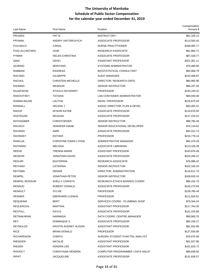| Last Name         | <b>First Name</b>        | Position                         | Compensation<br>Amount \$ |
|-------------------|--------------------------|----------------------------------|---------------------------|
| <b>PRUDEN</b>     | PAT B.                   | <b>INSTRUCTOR I</b>              | \$81,335.12               |
| <b>PRYMAK</b>     | ANDRIY VIKTOROVYCH       | ASSOCIATE PROFESSOR              | \$113,563.45              |
| <b>PUCHAILO</b>   | CAROL                    | <b>NURSE PRACTITIONER</b>        | \$108,992.77              |
| PUIG ALCANTARA    | <b>JOSE</b>              | RESEARCH ASSOCIATE               | \$81,864.71               |
| <b>PYMAR</b>      | <b>HELEN CHRISTINA</b>   | ASSOCIATE PROFESSOR              | \$87,428.77               |
| QING              | <b>GEFEI</b>             | ASSISTANT PROFESSOR              | \$421,301.11              |
| QUIRING           | <b>MONTANA</b>           | SYSTEMS ADMINISTRATOR            | \$79,488.90               |
| <b>RABBANI</b>    | RASHEDA                  | BIOSTATISTICAL CONSULTANT        | \$94,868.79               |
| <b>RACANO</b>     | <b>GIUSEPPE</b>          | AUDIT MANAGER                    | \$120,499.87              |
| <b>RACHUL</b>     | <b>CHRISTEN MICHELLE</b> | DIRECTOR, RESEARCH OEFD          | \$80,965.96               |
| <b>RAHMAN</b>     | <b>MASHIUR</b>           | <b>SENIOR INSTRUCTOR</b>         | \$85,257.93               |
| <b>RAJAPAKSE</b>  | ATHULA DAYANART          | <b>PROFESSOR</b>                 | \$144,193.32              |
| RAKOVITSKY        | <b>TATIANA</b>           | LAN CONTAINER ADMINISTRATOR      | \$84,040.46               |
| RAMAN-WILMS       | LALITHA                  | DEAN / PROFESSOR                 | \$216,875.49              |
| RANDALL           | SELENA J                 | ASSOC DIRECTOR, PLAN & DEVEL     | \$83,355.31               |
| <b>RAOUF</b>      | <b>AFSHIN KATEB</b>      | ASSOCIATE PROFESSOR              | \$118,676.50              |
| <b>RASTEGAR</b>   | <b>MOJGAN</b>            | ASSOCIATE PROFESSOR              | \$117,224.22              |
| <b>RATHGEBER</b>  | <b>CHRISTOPHER</b>       | <b>SENIOR INSTRUCTOR</b>         | \$98,785.49               |
| <b>RAUSCH</b>     | <b>JENNIFER DIANE</b>    | SENIOR EDUCATIONAL DEVELOPER     | \$76,134.62               |
| <b>RAVANDI</b>    | <b>AMIR</b>              | ASSOCIATE PROFESSOR              | \$91,012.73               |
| <b>RAVINSKY</b>   | <b>ESTHER</b>            | <b>PROFESSOR</b>                 | \$210,779.14              |
| RAWLUK            | CHRISTINE DAWN LYONS     | ADMINISTRATIVE MANAGER           | \$92,474.29               |
| RAYNARD           | <b>MELISSA</b>           | ASSOCIATE LIBRARIAN              | \$113,105.39              |
| <b>REEVE</b>      | <b>TRENNA MARIE</b>      | ASSISTANT PROFESSOR              | \$145,878.46              |
| <b>REGEHR</b>     | <b>JONATHAN DAVID</b>    | ASSOCIATE PROFESSOR              | \$103,264.47              |
| <b>REGUIR</b>     | <b>EKATERINA</b>         | RESEARCH ASSOCIATE               | \$76,996.42               |
| <b>REITANO</b>    | <b>CATERINA</b>          | SENIOR INSTRUCTOR                | \$102,165.24              |
| <b>REITSMA</b>    | <b>DENISE</b>            | DIRECTOR, ADMINISTRATION         | \$116,611.74              |
| <b>REMPEL</b>     | <b>JONATHAN PETER</b>    | <b>SENIOR INSTRUCTOR</b>         | \$108,933.24              |
| REMPEL-ROSSUM     | SHELLY CHRISTA           | RESEARCH ETHICS BOARDS COORD     | \$80,432.70               |
| RENAUD            | ROBERT DONALD            | ASSOCIATE PROFESSOR              | \$145,273.59              |
| <b>RENAULT</b>    | <b>SYLVIE</b>            | <b>PROFESSOR</b>                 | \$139,785.44              |
| <b>RENNER</b>     | <b>EBERHARD LUDWIG</b>   | <b>PROFESSOR</b>                 | \$112,924.51              |
| <b>REQUEIMA</b>   | BERT                     | SERVICES COORD - PLUMBING SHOP   | \$79,344.24               |
| <b>RESLEROVA</b>  | <b>MARTINA</b>           | ASSISTANT PROFESSOR              | \$117,764.35              |
| <b>RESTALL</b>    | GAYLE                    | ASSOCIATE PROFESSOR              | \$131,225.86              |
| RETNAKARAN        | NARMADA                  | DATA COORD. CENTRE MANAGER.      | \$99,900.70               |
| REY               | DOMINIQUE S              | ASSOCIATE PROFESSOR              | \$85,156.27               |
| <b>REYNOLDS</b>   | KRISTIN AUDREY ALISON    | ASSISTANT PROFESSOR              | \$81,552.86               |
| <b>RICE</b>       | <b>BRIAN DONALD</b>      | <b>PROFESSOR</b>                 | \$127,934.98              |
| <b>RICHARDSON</b> | <b>CHERYL</b>            | AURORA STUDENT FUNCTNL ANALYST   | \$76,675.56               |
| <b>RIEDIGER</b>   | <b>NATALIE</b>           | ASSISTANT PROFESSOR              | \$91,627.96               |
| <b>RIEGER</b>     | KENDRA LEE               | ASSISTANT PROFESSOR              | \$101,815.71              |
| <b>RIGHOLT</b>    | CHRISTIAAN HENDRIK       | COMPUTER PROGRAMMER / DATA ANLST | \$86,838.92               |
| <b>RIPAT</b>      | <b>JACQUELINE</b>        | ASSOCIATE PROFESSOR              | \$131,636.57              |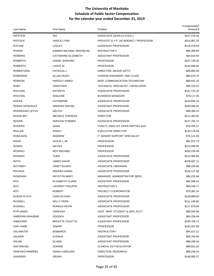| Last Name         | <b>First Name</b>        | Position                                | Compensation<br>Amount \$ |
|-------------------|--------------------------|-----------------------------------------|---------------------------|
| <b>RIPSTEIN</b>   | <b>IRA</b>               | ASSOCIATE DEAN (U.G.M.E.)               | \$147,579.44              |
| <b>RISTOCK</b>    | <b>JANICE LYNN</b>       | PROVOST & V.P. (ACADEMIC) / PROFESSOR   | \$314,901.24              |
| <b>RITCHIE</b>    | <b>LESLEY</b>            | ASSISTANT PROFESSOR                     | \$115,278.03              |
| <b>RIVERS</b>     | DAMIEN MICHAEL REGHELINI | <b>INSTRUCTOR II</b>                    | \$86,399.85               |
| <b>ROBBINS</b>    | CATHERINE ELIZABETH      | ASSISTANT PROFESSOR                     | \$94,810.55               |
| <b>ROBERTS</b>    | DANIEL EDWARD            | <b>PROFESSOR</b>                        | \$167,729.28              |
| <b>ROBERTS</b>    | <b>LANCE W</b>           | <b>PROFESSOR</b>                        | \$116,896.84              |
| <b>ROBERTSON</b>  | PATRICIA J.              | DIRECTOR, MAJOR GIFTS                   | \$94,882.08               |
| <b>ROBINSON</b>   | ALLAN HUGH               | <b>CHARGE ENGINEER -2ND CLASS</b>       | \$80,078.70               |
| <b>ROBSON</b>     | <b>HAROLD JAMES</b>      | MGR, COMMUNICATION TECHNICIAN           | \$89,652.18               |
| <b>ROBY</b>       | <b>JONATHAN</b>          | <b>TECHNICAL SPECIALIST / DEVELOPER</b> | \$95,433.22               |
| <b>ROCHON</b>     | <b>KATERYN</b>           | ASSOCIATE PROFESSOR                     | \$101,715.10              |
| <b>ROCHON</b>     | <b>SHALENE</b>           | <b>BUSINESS MANAGER</b>                 | \$79,117.30               |
| <b>ROCKE</b>      | <b>CATHERINE</b>         | ASSOCIATE PROFESSOR                     | \$110,655.18              |
| RODAS GONZALEZ    | <b>ARGENIS RAFAEL</b>    | <b>ASSISTANT PROFESSOR</b>              | \$100,566.04              |
| RODRIGUEZ LEYVA   | <b>DELFIN</b>            | ASSOCIATE PROFESSOR                     | \$98,394.14               |
| <b>ROGALSKY</b>   | MICHELE THERESA          | <b>DIRECTOR</b>                         | \$111,463.65              |
| <b>ROGER</b>      | <b>KERSTIN STIEBER</b>   | ASSOCIATE PROFESSOR                     | \$127,700.72              |
| <b>ROGERS</b>     | <b>SHAN</b>              | FUNCTL ANALYST OPER REPTNG & GP         | \$78,700.17               |
| <b>ROLLER</b>     | RANDY                    | <b>EXECUTIVE DIRECTOR</b>               | \$135,178.48              |
| <b>RONCADIN</b>   | ANDREW                   | IT SENIOR SUPPORT SPECIALIST            | \$76,141.69               |
| <b>ROOS</b>       | LESLIE L JR              | <b>PROFESSOR</b>                        | \$81,972.79               |
| <b>ROSEN</b>      | <b>NICOLE</b>            | <b>PROFESSOR</b>                        | \$113,289.58              |
| <b>ROSHKO</b>     | <b>ROY MICHAEL</b>       | <b>PROFESSOR</b>                        | \$163,234.49              |
| <b>ROSHKO</b>     | <b>TIJEN</b>             | ASSOCIATE PROFESSOR                     | \$112,966.69              |
| <b>ROTH</b>       | JAMES DAVID              | ASSOCIATE PROFESSOR                     | \$108,507.11              |
| <b>ROTHNEY</b>    | <b>JANET EILEEN</b>      | ASSOCIATE LIBRARIAN                     | \$88,318.60               |
| <b>ROUNCE</b>     | ANDREA DAWN              | ASSOCIATE PROFESSOR                     | \$106,137.98              |
| <b>ROWINSKI</b>   | <b>KRYSTYN MARY</b>      | MANAGER, ADMINISTRATIVE SERV.           | \$88,225.68               |
| <b>ROY</b>        | <b>ELIZABETH CLAIRE</b>  | ASSISTANT PROFESSOR                     | \$82,099.24               |
| <b>ROY</b>        | LAURENT PHILIPPE         | <b>INSTRUCTOR II</b>                    | \$83,445.77               |
| <b>ROY</b>        | <b>ROBERT</b>            | PROJECT COORDINATOR                     | \$79,381.24               |
| RUEDA PLATA       | CARLOS IVAN              | ASSOCIATE PROFESSOR                     | \$130,889.50              |
| <b>RUSSELL</b>    | <b>KELLY FERN</b>        | ASSOCIATE PROFESSOR                     | \$111,140.82              |
| <b>RUSSELL</b>    | RONALD KEVIN             | ASSOCIATE PROFESSOR                     | \$117,579.83              |
| <b>RYPLANSKI</b>  | VANESSA                  | ASST. MGR, STUDENT & GEN. ACCT          | \$89,928.99               |
| SABERIAN RANJBAR  | SOODEH                   | ASSISTANT PROFESSOR                     | \$94,259.49               |
| <b>SABOURIN</b>   | <b>BRIGITTE COLETTE</b>  | ASSISTANT PROFESSOR                     | \$100,769.71              |
| SAFI-HARB         | SAMAR                    | <b>PROFESSOR</b>                        | \$145,207.89              |
| SALAMATIN         | <b>BISMARCK</b>          | <b>INSTRUCTOR I</b>                     | \$84,527.21               |
| SALEEM            | AYESHA                   | ASSISTANT PROFESSOR                     | \$89,760.84               |
| SALIMI            | ELHAM                    | ASSISTANT PROFESSOR                     | \$88,108.44               |
| <b>SAN MIGUEL</b> | <b>JEANNE</b>            | CLINICAL ED FACILITATOR                 | \$86,831.02               |
| SANCHEZ-RAMIREZ   | DIANA CAROLINA           | DIRECTOR, RESEARCH                      | \$88,248.43               |
| SANDRED           | <b>ORJAN</b>             | <b>PROFESSOR</b>                        | \$146,905.27              |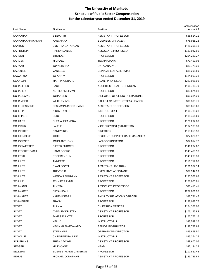| Last Name            | <b>First Name</b>           | Position                         | Compensation<br>Amount \$ |
|----------------------|-----------------------------|----------------------------------|---------------------------|
| SANKARAN             | <b>SIDDARTH</b>             | <b>ASSISTANT PROFESSOR</b>       | \$85,514.11               |
| SANKARANARAYANAN     | <b>KANCHANA</b>             | <b>BUSINESS MANAGER</b>          | \$76,936.13               |
| <b>SANTOS</b>        | CYNTHIA BATANGAN            | ASSISTANT PROFESSOR              | \$421,301.11              |
| <b>SAPIRSTEIN</b>    | <b>HARRY DANIEL</b>         | ASSOCIATE PROFESSOR              | \$133,047.60              |
| SAREEN               | <b>JITENDER</b>             | <b>PROFESSOR</b>                 | \$204,223.27              |
| SARGENT              | <b>MICHAEL</b>              | <b>TECHNICIAN 6</b>              | \$79,499.08               |
| <b>SARKAR</b>        | <b>JOYKRISHNA</b>           | DATA ANALYST                     | \$82,779.30               |
| SAULNIER             | VANESSA                     | <b>CLINICAL ED FACILITATOR</b>   | \$88,298.89               |
| <b>SAWATZKY</b>      | <b>JO-ANN V</b>             | <b>PROFESSOR</b>                 | \$124,903.38              |
| <b>SCANLON</b>       | <b>MARTIN GERARD</b>        | DEAN / PROFESSOR                 | \$223,081.91              |
| <b>SCHAEFFER</b>     | PAUL                        | ARCHITECTURAL TECHNICIAN         | \$106,730.79              |
| <b>SCHAFER</b>       | <b>ARTHUR MELVYN</b>        | <b>PROFESSOR</b>                 | \$83,874.93               |
| SCHALKWYK            | <b>JOHANNES</b>             | DIRECTOR OF CLINIC OPERATIONS    | \$90,334.29               |
| <b>SCHAMBER</b>      | <b>WHITLEY ANN</b>          | SKILLS LAB INSTRUCTOR & LEADER   | \$90,305.71               |
| <b>SCHELLENBERG</b>  | <b>BENJAMIN JACOB ISAAC</b> | <b>ASSISTANT PROFESSOR</b>       | \$85,865.68               |
| <b>SCHEPP</b>        | <b>KIRBY TAYLOR</b>         | <b>INSTRUCTOR II</b>             | \$106,789.28              |
| <b>SCHIPPERS</b>     | <b>ERIC</b>                 | <b>PROFESSOR</b>                 | \$138,461.69              |
| <b>SCHMIDT</b>       | CLEA ALEXANDRA              | <b>PROFESSOR</b>                 | \$126,292.80              |
| <b>SCHNARR</b>       | LAURIE                      | VICE-PROVOST (STUDENTS)          | \$107,933.39              |
| <b>SCHNEIDER</b>     | <b>NANCY IRIS</b>           | <b>DIRECTOR</b>                  | \$113,055.58              |
| <b>SCHOENBECK</b>    | <b>JODIE</b>                | STUDENT SUPPORT CASE MANAGER     | \$77,826.92               |
| <b>SCHOFFNER</b>     | <b>JOHN ANTHONY</b>         | <b>LAN COORDINATOR</b>           | \$87,814.77               |
| <b>SCHONWETTER</b>   | DIETER JURGEN               | <b>PROFESSOR</b>                 | \$146,234.62              |
| <b>SCHRECKENBACH</b> | <b>HANS GEORG</b>           | <b>PROFESSOR</b>                 | \$143,460.98              |
| <b>SCHROTH</b>       | ROBERT JOHN                 | <b>PROFESSOR</b>                 | \$149,208.39              |
| <b>SCHULTZ</b>       | ANNETTE                     | <b>PROFESSOR</b>                 | \$116,719.08              |
| <b>SCHULTZ</b>       | RYAN SCOTT                  | <b>ASSISTANT LIBRARIAN</b>       | \$101,967.14              |
| <b>SCHULTZ</b>       | <b>TREVOR K</b>             | <b>EXECUTIVE ASSISTANT</b>       | \$89,942.99               |
| <b>SCHULTZ</b>       | <b>WENDY LEIGH-ANN</b>      | <b>ASSISTANT PROFESSOR</b>       | \$130,578.68              |
| <b>SCHULZ</b>        | JENNIFER LYNN               | <b>PROFESSOR</b>                 | \$151,005.81              |
| <b>SCHWANN</b>       | ALYSSA                      | ASSOCIATE PROFESSOR              | \$96,410.41               |
| <b>SCHWARTZ</b>      | <b>BRYAN PAUL</b>           | <b>PROFESSOR</b>                 | \$209,001.98              |
| <b>SCHWARTZ</b>      | KAREN DEBRA                 | <b>FACULTY RELATIONS OFFICER</b> | \$82,781.45               |
| <b>SCHWEIZER</b>     | <b>FRANK</b>                | <b>PROFESSOR</b>                 | \$138,037.75              |
| <b>SCOTT</b>         | ALAN A.                     | CHIEF RISK OFFICER               | \$154,358.05              |
| <b>SCOTT</b>         | <b>AYNSLEY KRISTEN</b>      | ASSISTANT PROFESSOR              | \$106,146.83              |
| <b>SCOTT</b>         | <b>JAMES ELLIOTT</b>        | <b>PROFESSOR</b>                 | \$162,777.16              |
| <b>SCOTT</b>         | <b>KELLY</b>                | <b>INSTRUCTOR II</b>             | \$93,599.26               |
| SCOTT                | KEVIN GLEN-EDWARD           | <b>SENIOR INSTRUCTOR</b>         | \$142,787.93              |
| <b>SCOTT</b>         | <b>STEPHANIE</b>            | OPERATIONS DIRECTOR              | \$95,868.50               |
| <b>SCOVILLE</b>      | <b>CHRISTINE PAULINA</b>    | <b>INSTRUCTOR II</b>             | \$95,374.25               |
| <b>SCRIBBANS</b>     | TRISHA DAWN                 | ASSISTANT PROFESSOR              | \$88,600.06               |
| SEAGER               | MARY-JANE                   | HEAD                             | \$97,194.32               |
| <b>SELLERS</b>       | ELIZABETH ANN CAMERON       | <b>PROFESSOR</b>                 | \$107,827.45              |
| <b>SEMUS</b>         | MICHAEL JONATHAN            | ASSISTANT PROFESSOR              | \$133,736.84              |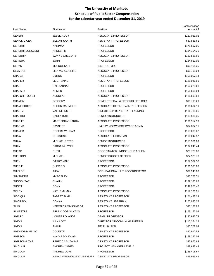| Last Name           | <b>First Name</b>         | Position                         | Compensation<br>Amount \$ |
|---------------------|---------------------------|----------------------------------|---------------------------|
| <b>SENEHI</b>       | <b>JESSICA JOY</b>        | ASSOCIATE PROFESSOR              | \$127,031.02              |
| <b>SENIUK CICEK</b> | <b>JILLIAN JUDITH</b>     | ASSISTANT PROFESSOR              | \$87,883.61               |
| <b>SEPEHRI</b>      | <b>NARIMAN</b>            | <b>PROFESSOR</b>                 | \$171,697.05              |
| SEPEHRI-BOROJENI    | <b>ARDESHIR</b>           | <b>PROFESSOR</b>                 | \$134,154.36              |
| <b>SEREBRIN</b>     | <b>WAYNE GREGORY</b>      | ASSOCIATE PROFESSOR              | \$133,588.66              |
| <b>SERIEUX</b>      | <b>JOHN</b>               | <b>PROFESSOR</b>                 | \$134,612.06              |
| <b>SERZU</b>        | MULUGETA H                | <b>INSTRUCTOR I</b>              | \$92,161.25               |
| <b>SEYMOUR</b>      | <b>LISA MARGUERITE</b>    | ASSOCIATE PROFESSOR              | \$90,705.04               |
| <b>SHAFAI</b>       | <b>CYRUS</b>              | <b>PROFESSOR</b>                 | \$155,057.14              |
| <b>SHAFER</b>       | <b>LEIGH ANNE</b>         | ASSISTANT PROFESSOR              | \$128,046.69              |
| <b>SHAH</b>         | <b>SYED ADNAN</b>         | <b>PROFESSOR</b>                 | \$162,225.61              |
| <b>SHALABY</b>      | AHMED                     | <b>PROFESSOR</b>                 | \$156,606.04              |
| SHALCHI TOUSSI      | ANDREAS                   | ASSOCIATE PROFESSOR              | \$116,593.83              |
| <b>SHAMOV</b>       | <b>GRIGORY</b>            | COMPUTE CDA / WEST GRID SITE COR | \$95,799.29               |
| <b>SHAMSEDDINE</b>  | <b>KHODR MAHMOUD</b>      | ASSOCIATE DEPT. HEAD / PROFESSOR | \$131,634.19              |
| <b>SHANTZ</b>       | <b>VALERIE RUTH</b>       | DIRECTOR, INTG & STRAT PLANNING  | \$114,730.06              |
| <b>SHAPIRO</b>      | <b>CARLA RUTH</b>         | <b>SENIOR INSTRUCTOR</b>         | \$113,586.35              |
| <b>SHARIFF</b>      | <b>MARY JOHANNARRA</b>    | ASSOCIATE PROFESSOR              | \$131,957.99              |
| <b>SHARMA</b>       | <b>NAVNEET</b>            | H & S WINDOWS SOFTWARE ADMIN     | \$87,887.11               |
| <b>SHAVER</b>       | ROBERT WILLIAM            | <b>PROFESSOR</b>                 | \$163,035.02              |
| <b>SHAW</b>         | <b>CHRISTINE</b>          | ASSOCIATE LIBRARIAN              | \$116,042.57              |
| <b>SHAW</b>         | <b>MICHAEL PETER</b>      | <b>SENIOR INSTRUCTOR</b>         | \$153,361.09              |
| <b>SHAY</b>         | <b>BARBARA LYNN</b>       | ASSOCIATE PROFESSOR              | \$137,240.44              |
| <b>SHEAD</b>        | <b>RUTH</b>               | COORDINATOR, INDIGENOUS ACHEIV   | \$79,728.88               |
| SHELDON             | <b>MICHAEL</b>            | <b>SENIOR BUDGET OFFICER</b>     | \$77,979.78               |
| <b>SHEN</b>         | <b>GARRY XINYI</b>        | <b>PROFESSOR</b>                 | \$157,567.50              |
| <b>SHERIF</b>       | SHERIF S                  | <b>ASSOCIATE PROFESSOR</b>       | \$131,535.83              |
| <b>SHIELDS</b>      | JUDY                      | OCCUPATIONAL HLTH COORDINATOR    | \$89,943.03               |
| <b>SHKANDRIJ</b>    | <b>MYROSLAV</b>           | <b>PROFESSOR</b>                 | \$93,756.71               |
| <b>SHOOSHTARI</b>   | <b>SHAHIN</b>             | <b>PROFESSOR</b>                 | \$132,130.63              |
| <b>SHORT</b>        | <b>DONN</b>               | <b>PROFESSOR</b>                 | \$149,973.46              |
| SIBLEY              | <b>KATHRYN MAY</b>        | ASSOCIATE PROFESSOR              | \$119,106.91              |
| <b>SIDDIQUI</b>     | TABREZ JAMAL              | ASSISTANT PROFESSOR              | \$101,423.24              |
| <b>SIKORSKY</b>     | <b>DONNA</b>              | ASSISTANT LIBRARIAN              | \$100,930.28              |
| <b>SILVA</b>        | VERONICA MIYASIKE DA      | ASSISTANT PROFESSOR              | \$93,188.93               |
| <b>SILVESTRE</b>    | <b>BRUNO DOS SANTOS</b>   | <b>PROFESSOR</b>                 | \$163,152.02              |
| <b>SIMARD</b>       | LOUISE ROLANDE            | DEAN / PROFESSOR                 | \$180,997.73              |
| <b>SIMON</b>        | <b>ILANA JOY</b>          | DIRECTOR OF COMM & MARKETING     | \$110,354.22              |
| <b>SIMON</b>        | PHILIP                    | <b>FIELD LIAISON</b>             | \$80,708.04               |
| SIMONOT-MAIELLO     | <b>COLETTE</b>            | ASSISTANT PROFESSOR              | \$90,910.58               |
| <b>SIMPSON</b>      | <b>WAYNE DOUGLAS</b>      | <b>PROFESSOR</b>                 | \$158,347.08              |
| SIMPSON-LITKE       | REBECCA SUZANNE           | ASSISTANT PROFESSOR              | \$85,865.68               |
| <b>SINCLAIR</b>     | ANDREW JAMES              | PROJECT MANAGER LEVEL 2          | \$88,693.48               |
| <b>SINCLAIR</b>     | ANDREW JOHN               | <b>PROFESSOR</b>                 | \$165,408.67              |
| <b>SINCLAIR</b>     | NIIGAANWEWIDAM JAMES MURR | ASSOCIATE PROFESSOR              | \$96,963.49               |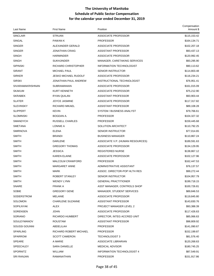| Last Name          | <b>First Name</b>       | Position                            | Compensation<br>Amount \$ |
|--------------------|-------------------------|-------------------------------------|---------------------------|
| <b>SINCLAIR</b>    | <b>STRUAN</b>           | <b>ASSOCIATE PROFESSOR</b>          | \$115,153.42              |
| SINGAL             | <b>PAWANK</b>           | <b>PROFESSOR</b>                    | \$164,134.71              |
| <b>SINGER</b>      | ALEXANDER GERALD        | ASSOCIATE PROFESSOR                 | \$102,207.18              |
| <b>SINGER</b>      | JONATHAN CRAIG          | ASSISTANT PROFESSOR                 | \$93,437.13               |
| <b>SINGH</b>       | <b>HARMINDER</b>        | <b>ASSOCIATE PROFESSOR</b>          | \$120,992.45              |
| <b>SINGH</b>       | <b>SUKHJINDER</b>       | <b>MANAGER, CARETAKING SERVICES</b> | \$93,295.90               |
| <b>SIPINSKI</b>    | RICHARD CHRISTOPHER     | <b>INFORMATION TECHNOLOGIST</b>     | \$90,113.62               |
| <b>SIRANT</b>      | MICHAEL PAUL            | <b>SENIOR INSTRUCTOR</b>            | \$114,803.48              |
| <b>SIRKER</b>      | JESKO MICHAEL RUDOLF    | ASSOCIATE PROFESSOR                 | \$116,234.21              |
| <b>SIRSKI</b>      | JONATHAN PAUL ANDREW    | INSTRUCTIONAL TECHNOLOGIST          | \$76,951.41               |
| SIVARAMAKRISHNAN   | <b>SUBRAMANIAN</b>      | <b>ASSOCIATE PROFESSOR</b>          | \$161,015.09              |
| <b>SKAKUM</b>      | <b>KURT KENNETH</b>     | <b>ASSOCIATE PROFESSOR</b>          | \$75,212.90               |
| <b>SKRABEK</b>     | RYAN QUILAN             | ASSISTANT PROFESSOR                 | \$93,903.44               |
| <b>SLATER</b>      | <b>JOYCE JASMINE</b>    | ASSOCIATE PROFESSOR                 | \$117,317.82              |
| <b>SLEVINSKY</b>   | RICHARD MIKAEL          | ASSISTANT PROFESSOR                 | \$89,108.28               |
| <b>SLIPPERT</b>    | <b>KEVIN</b>            | SYSTEM / BUSINESS ANALYST           | \$79,766.61               |
| <b>SLOMINSKI</b>   | BOGDAN A.               | <b>PROFESSOR</b>                    | \$104,327.32              |
| SMANDYCH           | RUSSELL CHARLES         | <b>PROFESSOR</b>                    | \$159,445.68              |
| <b>SMETANA</b>     | LONNIE A                | SOLUTION ARCHITECT                  | \$110,792.25              |
| <b>SMIRNOVA</b>    | <b>ELENA</b>            | <b>SENIOR INSTRUCTOR</b>            | \$77,014.65               |
| <b>SMITH</b>       | <b>BRANDI</b>           | <b>BUSINESS MANAGER</b>             | \$110,867.24              |
| <b>SMITH</b>       | DARLENE                 | ASSOCIATE V.P. (HUMAN RESOURCES)    | \$189,591.63              |
| <b>SMITH</b>       | <b>GREGORY THOMAS</b>   | ASSOCIATE PROFESSOR                 | \$134,129.95              |
| <b>SMITH</b>       | <b>JESSICA</b>          | <b>REGISTERED NURSE</b>             | \$138,867.12              |
| <b>SMITH</b>       | <b>KAREN ELAINE</b>     | <b>ASSOCIATE PROFESSOR</b>          | \$102,127.96              |
| <b>SMITH</b>       | MALCOLM CRAWFORD        | <b>PROFESSOR</b>                    | \$162,447.53              |
| <b>SMITH</b>       | <b>MARGARET ANNE</b>    | ADMINISTRATIVE ASSISTANT            | \$76,137.57               |
| <b>SMITH</b>       | MARK                    | ASSOC. DIRECTOR-POP HLTH RES        | \$99,272.44               |
| <b>SMITH</b>       | ROBERT STANLEY          | <b>SENIOR INSTRUCTOR</b>            | \$104,957.79              |
| <b>SMITH</b>       | WENDY LYNN              | <b>GENERAL PRACTITIONER</b>         | \$199,718.15              |
| SNARE              | FRANK A                 | ASST MANAGER, CONTROLS SHOP         | \$100,726.81              |
| <b>SOBIE</b>       | <b>GREGORY GENE</b>     | <b>MANAGER, STUDENT SERVICES</b>    | \$89,846.53               |
| SODERSTROM         | MELANIE                 | ASSOCIATE PROFESSOR                 | \$119,845.80              |
| SOLOMON            | <b>CHARLENE SUZANNE</b> | ASSISTANT PROFESSOR                 | \$143,830.76              |
| SOPILNYAK          | ALEX                    | PROJECT MANAGER LEVEL 2             | \$93,388.39               |
| SORENSEN           | <b>JOHN</b>             | <b>ASSOCIATE PROFESSOR</b>          | \$117,426.63              |
| <b>SORIANO</b>     | RICARDO HUMBERT         | DIRECTOR, INTEG ACCRED UNIT         | \$85,066.63               |
| <b>SOULEYMANOV</b> | <b>ROUSTAM</b>          | ASSISTANT PROFESSOR                 | \$98,809.92               |
| SOUSSI GOUNNI      | ABDELILAH               | <b>PROFESSOR</b>                    | \$141,090.67              |
| SPARLING           | RICHARD ROBERT MICHAEL  | <b>PROFESSOR</b>                    | \$152,199.87              |
| <b>SPARROW</b>     | <b>SCOTT CAMERON</b>    | <b>TECHNOLOGIST 3</b>               | \$81,576.40               |
| SPEARE             | A MARIE                 | ASSOCIATE LIBRARIAN                 | \$120,268.63              |
| <b>SPEECHLEY</b>   | SARA DANIELLE           | <b>MEDICAL ADVISOR</b>              | \$180,745.25              |
| SPORNITZ           | WILLIAM                 | INFORMATION TECHNOLOGIST 4          | \$87,549.91               |
| SRI RANJAN         | RAMANATHAN              | <b>PROFESSOR</b>                    | \$151,917.86              |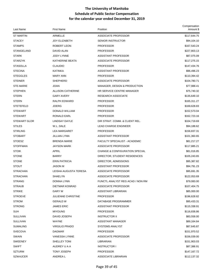| Last Name           | <b>First Name</b>         | Position                                  | Compensation<br>Amount \$ |
|---------------------|---------------------------|-------------------------------------------|---------------------------|
| <b>ST MARTIN</b>    | <b>ARMELLE</b>            | <b>ASSOCIATE PROFESSOR</b>                | \$117,644.75              |
| <b>STACEY</b>       | <b>JOY ELIZABETH</b>      | <b>SENIOR INSTRUCTOR</b>                  | \$94,104.10               |
| <b>STAMPS</b>       | ROBERT LEON               | <b>PROFESSOR</b>                          | \$167,543.24              |
| STANGELAND          | DAVID ALAN                | <b>PROFESSOR</b>                          | \$227,803.13              |
| <b>STARK</b>        | JODY LYNNE                | ASSISTANT PROFESSOR                       | \$87,075.09               |
| <b>STARZYK</b>      | KATHERINE BEATA           | <b>ASSOCIATE PROFESSOR</b>                | \$117,275.15              |
| <b>STASOLLA</b>     | <b>CLAUDIO</b>            | <b>PROFESSOR</b>                          | \$147,434.76              |
| <b>STECINA</b>      | <b>KATINKA</b>            | ASSISTANT PROFESSOR                       | \$96,496.23               |
| <b>STEGGLES</b>     | MARY ANN                  | <b>PROFESSOR</b>                          | \$110,394.42              |
| <b>STEINER</b>      | <b>SHEPHERD</b>           | ASSOCIATE PROFESSOR                       | \$104,780.71              |
| STE-MARIE           | <b>JOAN</b>               | MANAGER, DESIGN & PRODUCTION              | \$77,988.41               |
| <b>STEPHEN</b>      | <b>ALLISON CATHERINE</b>  | HR SERVICE CENTRE MANAGER                 | \$75,740.32               |
| <b>STERN</b>        | <b>GARY AVERY</b>         | <b>RESEARCH ASSOCIATE</b>                 | \$135,649.10              |
| <b>STERN</b>        | RALPH EDWARD              | <b>PROFESSOR</b>                          | \$165,311.27              |
| <b>STETEFELD</b>    | <b>JOERG</b>              | <b>PROFESSOR</b>                          | \$169,628.83              |
| <b>STEWART</b>      | DONALD WILLIAM            | <b>PROFESSOR</b>                          | \$152,573.04              |
| <b>STEWART</b>      | <b>RONALD EARL</b>        | <b>PROFESSOR</b>                          | \$162,723.16              |
| <b>STEWART GLOR</b> | LINDSAY DAYLE             | DIR STRAT. COMM. & CLIENT REL.            | \$104,719.69              |
| <b>STILES</b>       | W.L. DALE                 | <b>LEAD CHARGE ENGINEER</b>               | \$94,188.62               |
| <b>STIRLING</b>     | <b>LEA MARGARET</b>       | <b>PROFESSOR</b>                          | \$156,837.31              |
| <b>STOBART</b>      | JILLIAN LYNN              | <b>ASSISTANT PROFESSOR</b>                | \$101,360.65              |
| <b>STOESZ</b>       | <b>BRENDA MARIE</b>       | FACULTY SPECIALIST - ACADEMIC             | \$81,217.27               |
| <b>STOFFMAN</b>     | <b>JAYSON MARK</b>        | ASSOCIATE PROFESSOR                       | \$117,885.21              |
| <b>STOIK</b>        | APRIL                     | <b>CHANGE &amp; CONFIGURATION SPECIAL</b> | \$81,016.85               |
| <b>STONE</b>        | <b>BARRY</b>              | DIRECTOR, STUDENT RESIDENCES              | \$105,243.65              |
| <b>STONE</b>        | <b>ERIN PATRICIA</b>      | DIRECTOR, ADMISSIONS                      | \$95,387.82               |
| <b>STOUT</b>        | <b>JASON M</b>            | ASSISTANT PROFESSOR                       | \$94,791.23               |
| <b>STRACHAN</b>     | LEISHA AUGUSTA TERESA     | ASSOCIATE PROFESSOR                       | \$95,691.35               |
| <b>STRACHAN</b>     | <b>SHAELYN</b>            | ASSOCIATE PROFESSOR                       | \$122,053.69              |
| <b>STRANG</b>       | <b>DONNA LYNN</b>         | FUNCTL ANALYST REG ACAD / NON RM          | \$79,083.00               |
| <b>STRAUB</b>       | DIETMAR KONRAD            | ASSOCIATE PROFESSOR                       | \$107,404.75              |
| <b>STRIKE</b>       | <b>GARY W</b>             | ASSISTANT LIBRARIAN                       | \$85,000.00               |
| <b>STROEVE</b>      | <b>JULIENNE CHRISTINE</b> | <b>PROFESSOR</b>                          | \$196,628.82              |
| <b>STROM</b>        | <b>GERALD W</b>           | DATABASE PROGRAMMER                       | \$95,433.31               |
| <b>STRONG</b>       | <b>JAMES ERIC</b>         | ASSISTANT PROFESSOR                       | \$115,338.91              |
| SUH                 | <b>MIYOUNG</b>            | <b>PROFESSOR</b>                          | \$116,838.86              |
| <b>SULLIVAN</b>     | DAVID JOSEPH              | <b>INSTRUCTOR II</b>                      | \$83,558.00               |
| <b>SULLIVAN</b>     | WAYNE                     | <b>ASSISTANT MANAGER</b>                  | \$89,164.84               |
| <b>SUMALING</b>     | <b>VIRGILIO PRADO</b>     | SYSTEMS ANALYST                           | \$87,645.87               |
| <b>SVECOVA</b>      | DAGMAR                    | <b>PROFESSOR</b>                          | \$151,970.52              |
| <b>SWAIN</b>        | VANESSA LYNNE             | ASSOCIATE PROFESSOR                       | \$156,039.00              |
| <b>SWEENEY</b>      | SHELLEY TONI              | LIBRARIAN                                 | \$151,903.03              |
| <b>SWIFT</b>        | AUDREY U A A              | <b>INSTRUCTOR I</b>                       | \$87,386.91               |
| <b>SZTURM</b>       | <b>TONY JOSEPH</b>        | <b>PROFESSOR</b>                          | \$147,167.72              |
| <b>SZWAJCER</b>     | ANDREA L                  | ASSOCIATE LIBRARIAN                       | \$112,137.32              |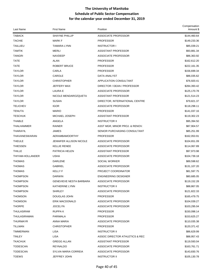| Last Name         | <b>First Name</b>              | Position                       | Compensation<br>Amount \$ |
|-------------------|--------------------------------|--------------------------------|---------------------------|
| <b>TABACK</b>     | <b>SHAYNE PHILLIP</b>          | <b>ASSOCIATE PROFESSOR</b>     | \$144,460.64              |
| <b>TACHIE</b>     | <b>MARK F</b>                  | <b>PROFESSOR</b>               | \$149,233.36              |
| <b>TAILLIEU</b>   | <b>TAMARA LYNN</b>             | <b>INSTRUCTOR I</b>            | \$85,039.21               |
| <b>TAMTIK</b>     | MERLI                          | ASSISTANT PROFESSOR            | \$93,881.34               |
| <b>TANGRI</b>     | <b>NAVDEEP</b>                 | ASSOCIATE PROFESSOR            | \$86,363.92               |
| <b>TATE</b>       | ALAN                           | <b>PROFESSOR</b>               | \$162,612.20              |
| <b>TATE</b>       | <b>ROBERT BRUCE</b>            | <b>PROFESSOR</b>               | \$222,161.35              |
| <b>TAYLOR</b>     | CARLA                          | <b>PROFESSOR</b>               | \$156,699.34              |
| <b>TAYLOR</b>     | CAROLE                         | DATA ANALYST                   | \$86,035.62               |
| <b>TAYLOR</b>     | <b>CHRISTOPHER</b>             | APPLICATION CONSULTANT         | \$76,920.41               |
| <b>TAYLOR</b>     | <b>JEFFERY MAX</b>             | DIRECTOR / DEAN / PROFESSOR    | \$284,393.42              |
| <b>TAYLOR</b>     | LAURA E                        | ASSOCIATE PROFESSOR            | \$125,170.78              |
| <b>TAYLOR</b>     | NICOLE MENDAROZQUETA           | <b>ASSISTANT PROFESSOR</b>     | \$121,514.23              |
| <b>TAYLOR</b>     | <b>SUSAN</b>                   | DIRECTOR, INTERNATIONAL CENTRE | \$79,821.37               |
| <b>TELICHEV</b>   | <b>IGOR</b>                    | ASSOCIATE PROFESSOR            | \$118,298.11              |
| <b>TENUTA</b>     | <b>MARIO</b>                   | <b>PROFESSOR</b>               | \$141,037.16              |
| <b>TESCHUK</b>    | MICHAEL JOSEPH                 | <b>ASSISTANT PROFESSOR</b>     | \$119,302.23              |
| <b>THABLE</b>     | ANGELA                         | <b>INSTRUCTOR II</b>           | \$95,394.50               |
| <b>THALHAMMER</b> | RAINER                         | ASST MGR, MINOR PROJ. & RENOV. | \$87,904.57               |
| THARAYIL          | <b>JAMES</b>                   | SENIOR PURCHASING CONSULTANT   | \$85,251.99               |
| THAVANESWARAN     | <b>AERAMBAMOORTHY</b>          | <b>PROFESSOR</b>               | \$162,053.91              |
| <b>THEULE</b>     | JENNIFER ALLISON NICOLE        | ASSOCIATE PROFESSOR            | \$104,651.09              |
| <b>THIESSEN</b>   | <b>KELLIE RENEE</b>            | ASSOCIATE PROFESSOR            | \$114,067.89              |
| <b>THILLE</b>     | PATRICIA HELEN                 | ASSISTANT PROFESSOR            | \$97,973.98               |
| THIYAM-HOLLANDER  | <b>USHA</b>                    | ASSOCIATE PROFESSOR            | \$104,739.18              |
| <b>THOMAS</b>     | <b>DARLENE</b>                 | <b>SOCIAL WORKER</b>           | \$89,598.62               |
| <b>THOMAS</b>     | <b>GABRIEL</b>                 | ASSOCIATE PROFESSOR            | \$131,107.20              |
| <b>THOMAS</b>     | <b>KELLY F</b>                 | PROJECT COORDINATOR            | \$81,597.75               |
| <b>THOMPSON</b>   | <b>DARWIN</b>                  | <b>ENGINEERING DESIGNER</b>    | \$80,685.05               |
| <b>THOMPSON</b>   | <b>GENEVIEVE NESTA BARBARA</b> | ASSOCIATE PROFESSOR            | \$119,152.28              |
| <b>THOMPSON</b>   | KATHERINE LYNN                 | <b>INSTRUCTOR II</b>           | \$88,867.05               |
| <b>THOMPSON</b>   | <b>SHIRLEY</b>                 | ASSOCIATE PROFESSOR            | \$121,822.33              |
| <b>THOMSON</b>    | DOUGLAS JOHN                   | <b>PROFESSOR</b>               | \$165,479.75              |
| <b>THOMSON</b>    | <b>ERIK MACDONALD</b>          | ASSOCIATE PROFESSOR            | \$104,039.27              |
| <b>THORPE</b>     | <b>JOCELYN</b>                 | ASSOCIATE PROFESSOR            | \$103,295.04              |
| THULASIRAM        | RUPPA K                        | <b>PROFESSOR</b>               | \$150,098.14              |
| THULASIRAMAN      | PARIMALA                       | <b>PROFESSOR</b>               | \$153,625.27              |
| THURMAYR          | ANNA MARIA                     | <b>ASSOCIATE PROFESSOR</b>     | \$110,035.38              |
| <b>TILLMAN</b>    | <b>CHRISTOPHER</b>             | <b>PROFESSOR</b>               | \$120,371.42              |
| <b>TIMMERMAN</b>  | <b>LISA</b>                    | <b>INSTRUCTOR II</b>           | \$86,629.99               |
| <b>TINLEY</b>     | <b>LISA</b>                    | ASSOC DIRECTOR ATHLETICS & REC | \$88,957.43               |
| <b>TKACHUK</b>    | <b>GREGG ALLAN</b>             | ASSISTANT PROFESSOR            | \$119,593.04              |
| <b>TODESCAN</b>   | <b>REYNALDO</b>                | ASSOCIATE PROFESSOR            | \$163,761.71              |
| <b>TODESCAN</b>   | SYLVIA MARIA CORREIA           | ASSOCIATE PROFESSOR            | \$143,830.76              |
| <b>TOEWS</b>      | JEFFREY JOHN                   | <b>INSTRUCTOR II</b>           | \$105,130.78              |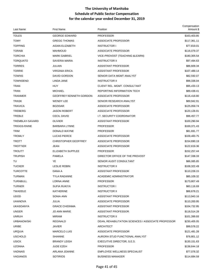| Last Name           | <b>First Name</b>              | Position                                            | Compensation<br>Amount \$ |
|---------------------|--------------------------------|-----------------------------------------------------|---------------------------|
| <b>TOLES</b>        | <b>GEORGE EDWARD</b>           | <b>PROFESSOR</b>                                    | \$163,403.85              |
| <b>TOMY</b>         | <b>GREGG THOMAS</b>            | ASSOCIATE PROFESSOR                                 | \$117,361.11              |
| <b>TOPPING</b>      | AIDAN ELIZABETH                | <b>INSTRUCTOR I</b>                                 | \$77,819.01               |
| <b>TORABI</b>       | <b>MAHMOUD</b>                 | ASSOCIATE PROFESSOR                                 | \$116,079.37              |
| <b>TORCHIA</b>      | <b>MARK GABRIEL</b>            | VICE-PROVOST (TEACHING & LEARN)                     | \$180,305.54              |
| <b>TORQUATO</b>     | <b>SAVERIA MARIA</b>           | <b>INSTRUCTOR II</b>                                | \$97,494.63               |
| <b>TORRES</b>       | JULIAN                         | <b>ASSISTANT PROFESSOR</b>                          | \$86,609.34               |
| <b>TORRIE</b>       | <b>VIRGINIA ERICA</b>          | ASSISTANT PROFESSOR                                 | \$107,489.14              |
| <b>TOWNS</b>        | <b>DAVID GORDON</b>            | SENIOR DATA MGMT ANALYST                            | \$82,592.07               |
| <b>TOWNSEND</b>     | LINDA JANE                     | <b>INSTRUCTOR II</b>                                | \$98,336.04               |
| <b>TRAN</b>         | <b>HUY</b>                     | CLIENT REL. MGMT. CONSULTANT                        | \$95,433.13               |
| <b>TRAN</b>         | <b>MICHAEL</b>                 | REPORTING INFORMATION TECH                          | \$89,438.41               |
| <b>TRANMER</b>      | <b>GEOFFREY KENNETH GORDON</b> | ASSOCIATE PROFESSOR                                 | \$116,418.80              |
| <b>TRASK</b>        | <b>WENDY LEE</b>               | SENIOR RESEARCH ANALYST                             | \$89,942.91               |
| <b>TRAVICA</b>      | <b>BOZIDAR</b>                 | ASSOCIATE PROFESSOR                                 | \$125,059.74              |
| <b>TREBERG</b>      | <b>JASON ROBERT</b>            | ASSOCIATE PROFESSOR                                 | \$120,128.91              |
| <b>TREBLE</b>       | <b>CECIL DAVID</b>             | <b>I.T. SECURITY COORDINATOR</b>                    | \$96,457.77               |
| TREMBLAY-SAVARD     | <b>OLIVIER</b>                 | ASSISTANT PROFESSOR                                 | \$100,290.94              |
| <b>TRIGGS-RAINE</b> | <b>BARBARA LYNNE</b>           | <b>PROFESSOR</b>                                    | \$169,371.43              |
| TRIM                | DONALD WAYNE                   | <b>PROFESSOR</b>                                    | \$81,691.77               |
| <b>TROMLY</b>       | <b>LUCAS PIERCE</b>            | ASSOCIATE PROFESSOR                                 | \$109,483.75              |
| <b>TROTT</b>        | <b>CHRISTOPHER GEOFFREY</b>    | ASSOCIATE PROFESSOR                                 | \$154,690.19              |
| <b>TROTTIER</b>     | JEAN                           | ASSOCIATE PROFESSOR                                 | \$122,619.36              |
| <b>TROUTT</b>       | ELIZABETH SUPPLEE              | <b>PROFESSOR</b>                                    | \$152,257.44              |
| <b>TRUPISH</b>      | <b>PAMELA</b>                  | DIRECTOR OFFICE OF THE PROVOST                      | \$147,338.33              |
| TU                  | <b>YE</b>                      | SENIOR AUDIT CONSULTANT                             | \$86,085.85               |
| <b>TUCKER</b>       | <b>LESLIE ROBIN</b>            | <b>INSTRUCTOR II</b>                                | \$108,322.49              |
| <b>TURCOTTE</b>     | DANA A                         | ASSISTANT PROFESSOR                                 | \$110,228.15              |
| <b>TURMAN</b>       | <b>TYLA RAEANNE</b>            | ACADEMIC ADMINISTRATOR                              | \$85,109.32               |
| <b>TURNBULL</b>     | LORNA ANNE                     | <b>PROFESSOR</b>                                    | \$173,807.49              |
| <b>TURNER</b>       | SUFIA RUKIYA                   | <b>INSTRUCTOR I</b>                                 | \$83,116.69               |
| <b>TWADDLE</b>      | <b>KATHERINE</b>               | <b>INSTRUCTOR II</b>                                | \$86,676.21               |
| <b>UDOD</b>         | SONIA ANN                      | ASSISTANT PROFESSOR                                 | \$113,943.16              |
| <b>UHANOVA</b>      | JULIA                          | ASSOCIATE PROFESSOR                                 | \$110,200.95              |
| <b>UKASOANYA</b>    | <b>GRACE CHIDINMA</b>          | ASSISTANT PROFESSOR                                 | \$104,732.95              |
| <b>UNGER</b>        | <b>JO ANN MARIE</b>            | ASSISTANT PROFESSOR                                 | \$118,514.28              |
| <b>UNRUH</b>        | <b>MIRIAM</b>                  | <b>INSTRUCTOR II</b>                                | \$101,399.93              |
| <b>URBANOWSKI</b>   | <b>REGINALD</b>                | DEAN, REHABILITATION SCIENCES / ASSOCIATE PROFESSOR | \$230,405.05              |
| URIBE               | JAVIER                         | ARCHITECT                                           | \$99,576.22               |
| <b>URQUIA</b>       | <b>MARCELO LUIS</b>            | ASSOCIATE PROFESSOR                                 | \$121,481.28              |
| <b>USCHOLD</b>      | <b>SHIANNE</b>                 | AURORA STUD FUNCTIONAL ANALYST                      | \$76,801.12               |
| <b>USICK</b>        | <b>BRANDY LEIGH</b>            | EXECUTIVE DIRECTOR, S.E.S.                          | \$130,151.63              |
| <b>UZONNA</b>       | JUDE EZEH                      | <b>PROFESSOR</b>                                    | \$138,644.18              |
| <b>VADNAIS</b>      | ARLANA JOANNE                  | <b>EMPLOYEE WELLNESS SPECIALIST</b>                 | \$77,076.32               |
| VAGIANOS            | <b>SOTIRIOS</b>                | <b>BUSINESS MANAGER</b>                             | \$114,684.59              |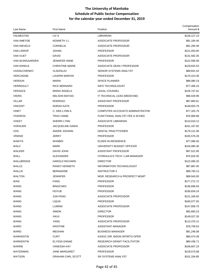| Last Name              | <b>First Name</b>        | Position                               | Compensation<br>Amount \$ |
|------------------------|--------------------------|----------------------------------------|---------------------------|
| VALMESTAD              | LIV S                    | LIBRARIAN                              | \$128,127.14              |
| VAN AMEYDE             | <b>KENNETH J L</b>       | ASSOCIATE PROFESSOR                    | \$91,184.46               |
| VAN INEVELD            | <b>CORNELIA</b>          | ASSOCIATE PROFESSOR                    | \$81,294.49               |
| VAN LIEROP             | <b>JOHAN</b>             | <b>PROFESSOR</b>                       | \$121,053.00              |
| <b>VAN VLIET</b>       | <b>DAVID</b>             | ASSOCIATE PROFESSOR                    | \$131,582.35              |
| <b>VAN WIJNGAARDEN</b> | <b>JENNIFER ANNE</b>     | <b>PROFESSOR</b>                       | \$122,590.58              |
| <b>VAN WINKLE</b>      | <b>CHRISTINE MARIE</b>   | ASSOCIATE DEAN / PROFESSOR             | \$129,625.53              |
| VASSILCHENKO           | VLADISLAV                | SENIOR SYSTEMS ANALYST                 | \$89,841.54               |
| <b>VERCAIGNE</b>       | <b>LAVERN MARVIN</b>     | <b>PROFESSOR</b>                       | \$170,313.36              |
| <b>VERDUN</b>          | <b>MARIA</b>             | <b>SPACE PLANNER</b>                   | \$88,080.19               |
| VERREAULT              | <b>RICK BERNARD</b>      | <b>INFO TECHNOLOGIST</b>               | \$77,406.23               |
| <b>VERSACE</b>         | <b>MARIA ANGELA</b>      | <b>LEGAL COUNSEL</b>                   | \$126,747.81              |
| <b>VIEIRA</b>          | <b>NELSON MATIAS</b>     | IT TECHNICAL LEAD (MEDICINE)           | \$96,029.99               |
| <b>VILLAR</b>          | <b>RODRIGO</b>           | ASSISTANT PROFESSOR                    | \$87,883.61               |
| <b>VINCENT</b>         | NORAH KATE               | <b>PROFESSOR</b>                       | \$148,603.79              |
| <b>VINET</b>           | C. DEE-LYNN K.           | <b>COMPUTER ACCOUNTS ADMINISTRATOR</b> | \$77,325.79               |
| <b>VIVEIROS</b>        | <b>TRACI ANNE</b>        | FUNCTIONAL ANALYST FEE & SCHED         | \$76,906.88               |
| <b>VOKEY</b>           | <b>SHERRI LYNN</b>       | ASSOCIATE LIBRARIAN                    | \$110,010.12              |
| <b>VORAUER</b>         | JACQUELINE DAWN          | <b>PROFESSOR</b>                       | \$161,107.92              |
| <b>VOS</b>             | ANDRE JOHANN             | DENTAL PRACTITIONER                    | \$179,121.06              |
| <b>VRIEND</b>          | <b>JERRY</b>             | <b>PROFESSOR</b>                       | \$165,576.28              |
| <b>WAKITA</b>          | <b>WANBDI</b>            | ELDER-IN-RESIDENCE                     | \$77,086.40               |
| WALC                   | <b>MARK</b>              | UNIVERSITY BUDGET OFFICER              | \$104,085.36              |
| <b>WALKER</b>          | DAVID JOHN               | ASSISTANT PROFESSOR                    | \$97,521.95               |
| WALL                   | ALEXANDER                | <b>HYDRAULICS TECH / LAB MANAGER</b>   | \$75,916.35               |
| WALLBRIDGE             | <b>HAROLD RICHARD</b>    | <b>DIRECTOR</b>                        | \$122,095.20              |
| WALLD                  | <b>RANDY KENNETH</b>     | <b>INFORMATION TECHNOLOGIST</b>        | \$87,887.05               |
| <b>WALLIS</b>          | <b>BERNADINE</b>         | <b>INSTRUCTOR II</b>                   | \$99,793.13               |
| <b>WALTON</b>          | <b>JENNIFER</b>          | MGR. RESEARCH & PROSPECT MGMT          | \$89,943.00               |
| WAN                    | <b>FANG</b>              | PROFESSOR                              | \$177,272.72              |
| WANG                   | <b>BINGCHEN</b>          | <b>PROFESSOR</b>                       | \$136,696.93              |
| WANG                   | <b>FEIYUE</b>            | <b>PROFESSOR</b>                       | \$190,834.24              |
| <b>WANG</b>            | <b>JUN-FENG</b>          | ASSOCIATE PROFESSOR                    | \$121,165.92              |
| WANG                   | <b>LIQUN</b>             | <b>PROFESSOR</b>                       | \$160,077.55              |
| WANG                   | <b>LUMING</b>            | ASSOCIATE PROFESSOR                    | \$147,606.70              |
| WANG                   | <b>SIMON</b>             | <b>DIRECTOR</b>                        | \$92,683.23               |
| <b>WANG</b>            | <b>XIKUI</b>             | <b>PROFESSOR</b>                       | \$149,027.26              |
| <b>WANG</b>            | YANG                     | ASSOCIATE PROFESSOR                    | \$113,370.12              |
| WARD                   | <b>KRISTINE</b>          | ASSISTANT MANAGER                      | \$78,759.53               |
| WARD                   | MEGHAN                   | <b>BUSINESS MANAGER</b>                | \$81,246.08               |
| <b>WARKENTIN</b>       | <b>CURT</b>              | ASSOC DIR, BISON SPORTS OPER           | \$80,474.39               |
| <b>WARKENTIN</b>       | ELYSSA DANAE             | RESEARCH GRANT FACILITATOR             | \$80,436.71               |
| WARNE                  | VANESSA KAY              | ASSOCIATE PROFESSOR                    | \$108,607.23              |
| WATERMAN               | JANE MARGARET            | <b>PROFESSOR</b>                       | \$129,573.68              |
| <b>WATSON</b>          | <b>GRAHAM CARL SCOTT</b> | SR SYSTEMS ANALYST                     | \$101,334.85              |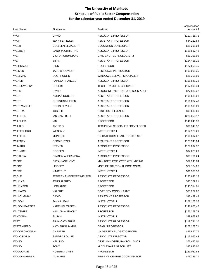| Last Name             | <b>First Name</b>        | Position                         | Compensation<br>Amount \$ |
|-----------------------|--------------------------|----------------------------------|---------------------------|
| <b>WATT</b>           | <b>DAVID</b>             | <b>ASSOCIATE PROFESSOR</b>       | \$117,726.75              |
| WATT                  | <b>JENNIFER ELLEN</b>    | ASSISTANT PROFESSOR              | \$84,222.84               |
| WEBB                  | <b>COLLEEN ELIZABETH</b> | <b>EDUCATION DEVELOPER</b>       | \$85,295.04               |
| WEBBER                | <b>SANDRA CHRISTINE</b>  | ASSOCIATE PROFESSOR              | \$118,517.48              |
| WEI                   | <b>VICTOR CHUNLIANG</b>  | CIVIL ENG TECHNOLOGIST 3         | \$81,398.02               |
| WEI                   | <b>YIFAN</b>             | ASSISTANT PROFESSOR              | \$124,455.19              |
| <b>WEIHRAUCH</b>      | <b>DIRK</b>              | <b>PROFESSOR</b>                 | \$127,659.75              |
| WEIMER                | <b>JADE BROOKLYN</b>     | <b>SESSIONAL INSTRUCTOR</b>      | \$100,008.25              |
| <b>WELLMAN</b>        | <b>SCOTT COLIN</b>       | WINDOWS SERVER SPECIALIST        | \$86,355.99               |
| WENER                 | PAMELA FRANCES           | ASSOCIATE PROFESSOR              | \$105,648.28              |
| <b>WERBOWESKY</b>     | <b>ROBERT</b>            | TECH. TRANSFER SPECIALIST        | \$107,999.34              |
| WESST                 | <b>DAVID</b>             | ASSOC INFRASTRUCTURE SOLN ARCH   | \$77,582.32               |
| WEST                  | ADRIAN ROBERT            | ASSISTANT PROFESSOR              | \$101,535.91              |
| WEST                  | <b>CHRISTINA HELEN</b>   | ASSISTANT PROFESSOR              | \$111,037.43              |
| <b>WESTMACOTT</b>     | <b>ROBIN PHYLLIS</b>     | ASSISTANT PROFESSOR              | \$103,513.09              |
| <b>WESTRA</b>         | <b>JOSEPH</b>            | <b>SYSTEMS SPECIALIST</b>        | \$93,610.60               |
| <b>WHETTER</b>        | <b>IAN CAMPBELL</b>      | ASSISTANT PROFESSOR              | \$220,853.17              |
| <b>WHICHER</b>        | IAN                      | <b>PROFESSOR</b>                 | \$146,245.33              |
| <b>WHIKLO</b>         | <b>JARED S</b>           | TECHNICAL SPECIALIST / DEVELOPER | \$96,348.57               |
| <b>WHITECLOUD</b>     | WENDY J                  | <b>INSTRUCTOR II</b>             | \$112,928.20              |
| <b>WHITEHILL</b>      | <b>MONIQUE</b>           | SR CATEGORY LEAD, IT GDS & SER   | \$106,817.02              |
| <b>WHITNEY</b>        | <b>DEBBIE LYNN</b>       | <b>ASSISTANT PROFESSOR</b>       | \$123,343.04              |
| WHYARD                | <b>STEVEN</b>            | ASSOCIATE PROFESSOR              | \$129,292.32              |
| <b>WICHART</b>        | <b>NOREEN</b>            | <b>INSTRUCTOR II</b>             | \$97,675.29               |
| <b>WICKLOW</b>        | <b>BRANDY ALEXANDRA</b>  | ASSOCIATE PROFESSOR              | \$90,781.24               |
| WIEBE                 | <b>BRYAN ANTHONY</b>     | MANAGER, EMPLOYEE WELL-BEING     | \$89,943.04               |
| WIEBE                 | <b>LINDSEY</b>           | MGR. INSTITUTIONAL PROJ COMM.    | \$79,774.26               |
| <b>WIESE</b>          | KIMBERLY                 | <b>INSTRUCTOR II</b>             | \$91,300.50               |
| <b>WIGLE</b>          | JEFFREY THEODORE NELSON  | ASSOCIATE PROFESSOR              | \$130,643.18              |
| <b>WILKINS</b>        | JOHN ALFRED              | <b>PROFESSOR</b>                 | \$93,322.81               |
| <b>WILKINSON</b>      | LORI ANNE                | <b>PROFESSOR</b>                 | \$143,514.01              |
| <b>WILLIAMS</b>       | VALERIE                  | DIVERSITY CONSULTANT             | \$85,229.87               |
| <b>WILLOUGHBY</b>     | <b>DAVID</b>             | ASSISTANT PROFESSOR              | \$93,489.48               |
| <b>WILSON</b>         | JANNA LEAH               | <b>INSTRUCTOR II</b>             | \$102,103.25              |
| <b>WILSON BAPTIST</b> | KAREN ELIZABETH          | ASSOCIATE PROFESSOR              | \$141,660.42              |
| <b>WILTSHIRE</b>      | <b>WILLIAM ANTHONY</b>   | <b>PROFESSOR</b>                 | \$256,268.78              |
| <b>WINTONIW</b>       | <b>SUSAN</b>             | <b>INSTRUCTOR II</b>             | \$89,953.95               |
| WITT                  | <b>JULIA CATHERINE</b>   | <b>ASSOCIATE PROFESSOR</b>       | \$119,791.10              |
| WITTENBERG            | KATHERINA MARIA          | DEAN / PROFESSOR                 | \$277,263.71              |
| <b>WOJCIECHOWSKI</b>  | <b>CHESTER</b>           | UNIVERSITY BUDGET OFFICER        | \$95,860.27               |
| <b>WOLOSCHUK</b>      | SANDRA LOUISE            | <b>ASSOCIATE DIRECTOR</b>        | \$113,060.43              |
| <b>WONG</b>           | <b>HEI LING</b>          | ASST. MANAGER, PAYROLL SVCS      | \$76,442.01               |
| <b>WONG</b>           | <b>TONY</b>              | MIDDLEWARE SPECIALIST            | \$87,892.00               |
| WOODGATE              | ROBERTA LYNN             | <b>PROFESSOR</b>                 | \$169,082.53              |
| WOOD-WARREN           | ALI MARIE                | FIRST YR CENTRE COORDINATOR      | \$75,283.71               |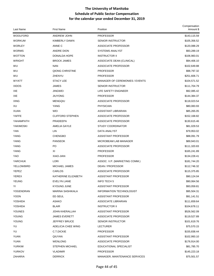| Last Name       | <b>First Name</b>       | Position                        | Compensation<br>Amount \$ |
|-----------------|-------------------------|---------------------------------|---------------------------|
| <b>WOOLFORD</b> | ANDREW JOHN             | <b>PROFESSOR</b>                | \$143,115.59              |
| <b>WORKUM</b>   | KIMBERLY DAWN           | <b>SENIOR INSTRUCTOR</b>        | \$105,356.52              |
| <b>WORLEY</b>   | ANNE C                  | <b>ASSOCIATE PROFESSOR</b>      | \$120,088.29              |
| <b>WORMS</b>    | <b>ANDRE DION</b>       | <b>SYSTEMS ANALYST</b>          | \$93,289.19               |
| <b>WOTTON</b>   | DONALDA HOPE            | <b>INSTRUCTOR II</b>            | \$106,983.01              |
| <b>WRIGHT</b>   | <b>BROCK JAMES</b>      | ASSOCIATE DEAN (CLINICAL)       | \$94,406.10               |
| WU              | <b>NAN</b>              | ASSOCIATE PROFESSOR             | \$102,649.88              |
| WU              | QIONG CHRISTINE         | <b>PROFESSOR</b>                | \$98,797.32               |
| WU              | ZHENYU                  | <b>PROFESSOR</b>                | \$251,606.71              |
| <b>WYATT</b>    | <b>STACY LEE</b>        | MANAGER OF CEREMONIES / EVENTS  | \$104,571.52              |
| <b>XIDOS</b>    | <b>JAMES</b>            | SENIOR INSTRUCTOR               | \$111,704.79              |
| XIE             | <b>JINGWEI</b>          | LIFE SAFETY ENGINEER            | \$92,085.42               |
| XIE             | <b>JIUYONG</b>          | <b>PROFESSOR</b>                | \$144,384.37              |
| <b>XING</b>     | <b>MENGQIU</b>          | ASSOCIATE PROFESSOR             | \$118,023.54              |
| XU              | YANG                    | <b>PHYSICIAN</b>                | \$80,083.93               |
| <b>XUAN</b>     | WEI                     | <b>ASSISTANT LIBRARIAN</b>      | \$85,265.05               |
| YAFFE           | <b>CLIFFORD STEPHEN</b> | ASSOCIATE PROFESSOR             | \$152,168.82              |
| YAHAMPATH       | <b>PRADEEPA</b>         | ASSOCIATE PROFESSOR             | \$130,615.46              |
| YAKIMOSKI       | AMELIA GAYLE            | <b>STUDY COORDINATOR</b>        | \$81,029.53               |
| YAN             | <b>LIN</b>              | DATA ANALYST                    | \$79,953.02               |
| YANG            | <b>CHENGBO</b>          | ASSISTANT PROFESSOR             | \$88,091.79               |
| YANG            | <b>PANSEOK</b>          | MICROBEAM LAB MANAGER           | \$89,943.01               |
| YANG            | PO                      | ASSOCIATE PROFESSOR             | \$111,320.83              |
| YANG            | ΧI                      | <b>PROFESSOR</b>                | \$165,241.89              |
| YAO             | XIAO-JIAN               | <b>PROFESSOR</b>                | \$134,228.41              |
| <b>YARCHUK</b>  | LORI                    | ASSOC. V.P. (MARKETING COMM.)   | \$181,744.20              |
| YELLOWBIRD      | MICHAEL JAMES           | DEAN / PROFESSOR                | \$112,746.32              |
| YEPEZ           | CARLOS                  | ASSOCIATE PROFESSOR             | \$115,375.85              |
| YEREX           | KATHERINE ELIZABETH     | <b>ASSISTANT PROFESSOR</b>      | \$90,124.04               |
| <b>YEUNG</b>    | <b>EVELYN LIANE</b>     | <b>INFO TECH 5</b>              | \$90,064.56               |
| YI              | <b>KYOUNG JUNE</b>      | ASSISTANT PROFESSOR             | \$93,059.81               |
| YOGENDRAN       | MARINA SASHIKALA        | <b>INFORMATION TECHNOLOGIST</b> | \$95,504.31               |
| <b>YOON</b>     | EE-SEUL                 | ASSISTANT PROFESSOR             | \$91,141.51               |
| YOSHIDA         | ASAKO                   | ASSOCIATE LIBRARIAN             | \$111,659.64              |
| <b>YOSHIDA</b>  | <b>BLAIR</b>            | <b>INSTRUCTOR II</b>            | \$104,678.11              |
| <b>YOUNES</b>   | <b>JOHN KHERALLAH</b>   | ASSISTANT PROFESSOR             | \$526,562.09              |
| <b>YOUNG</b>    | <b>JAMES EVERETT</b>    | ASSOCIATE PROFESSOR             | \$119,527.89              |
| <b>YOUNG</b>    | JEFFREY BRUCE           | SENIOR INSTRUCTOR               | \$101,619.76              |
| YU              | ADELICIA CHEE WING      | LECTURER                        | \$75,570.15               |
| YU              | C.T.DICKIE              | <b>PROFESSOR</b>                | \$155,838.44              |
| YUAN            | QIUYAN                  | ASSISTANT PROFESSOR             | \$102,993.10              |
| YUAN            | <b>WENLONG</b>          | ASSOCIATE PROFESSOR             | \$176,914.00              |
| <b>YURKIW</b>   | <b>STEPHEN MICHAEL</b>  | EDUCATIONAL SPECIALIST          | \$81,785.70               |
| <b>YURKOV</b>   | <b>VLADIMIR</b>         | <b>PROFESSOR</b>                | \$145,223.18              |
| ZAHARIA         | <b>DERRICK</b>          | MANAGER, MAINTENANCE SERVICES   | \$75,501.57               |